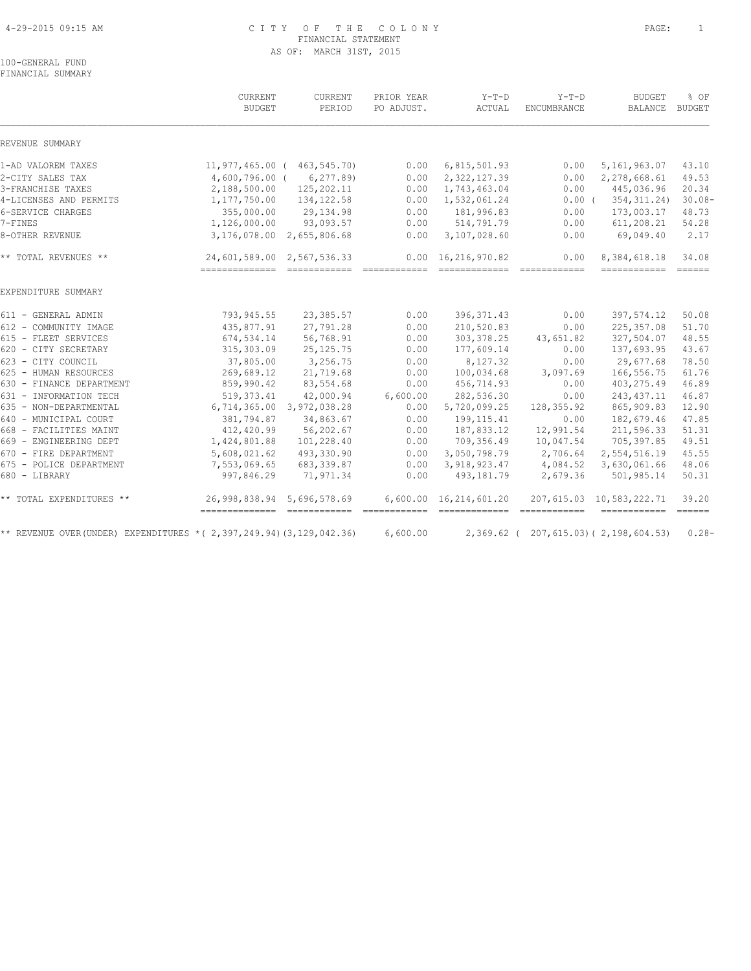# 4-29-2015 09:15 AM C I T Y O F T H E C O L O N Y PAGE: 1 FINANCIAL STATEMENT AS OF: MARCH 31ST, 2015

100-GENERAL FUND FINANCIAL SUMMARY

|                                                                           | CURRENT<br><b>BUDGET</b>       | CURRENT<br>PERIOD           | PRIOR YEAR<br>PO ADJUST.                                                                                                                                                                                                                                                                                                                                                                                                                                                                           | $Y-T-D$<br>ACTUAL                                                                                                                                                                                                                                                                                                                                                                                                                                                                                                        | $Y-T-D$<br><b>ENCUMBRANCE</b>                                                                                                                                                                                                                                                                                                                                                                                                                                                          | <b>BUDGET</b><br><b>BALANCE</b>                     | % OF<br><b>BUDGET</b> |
|---------------------------------------------------------------------------|--------------------------------|-----------------------------|----------------------------------------------------------------------------------------------------------------------------------------------------------------------------------------------------------------------------------------------------------------------------------------------------------------------------------------------------------------------------------------------------------------------------------------------------------------------------------------------------|--------------------------------------------------------------------------------------------------------------------------------------------------------------------------------------------------------------------------------------------------------------------------------------------------------------------------------------------------------------------------------------------------------------------------------------------------------------------------------------------------------------------------|----------------------------------------------------------------------------------------------------------------------------------------------------------------------------------------------------------------------------------------------------------------------------------------------------------------------------------------------------------------------------------------------------------------------------------------------------------------------------------------|-----------------------------------------------------|-----------------------|
| REVENUE SUMMARY                                                           |                                |                             |                                                                                                                                                                                                                                                                                                                                                                                                                                                                                                    |                                                                                                                                                                                                                                                                                                                                                                                                                                                                                                                          |                                                                                                                                                                                                                                                                                                                                                                                                                                                                                        |                                                     |                       |
| 1-AD VALOREM TAXES                                                        |                                | 11,977,465.00 ( 463,545.70) | 0.00                                                                                                                                                                                                                                                                                                                                                                                                                                                                                               | 6,815,501.93                                                                                                                                                                                                                                                                                                                                                                                                                                                                                                             | 0.00                                                                                                                                                                                                                                                                                                                                                                                                                                                                                   | 5, 161, 963.07                                      | 43.10                 |
| 2-CITY SALES TAX                                                          | $4,600,796.00$ (               | 6, 277.89                   | 0.00                                                                                                                                                                                                                                                                                                                                                                                                                                                                                               | 2,322,127.39                                                                                                                                                                                                                                                                                                                                                                                                                                                                                                             | 0.00                                                                                                                                                                                                                                                                                                                                                                                                                                                                                   | 2,278,668.61                                        | 49.53                 |
| 3-FRANCHISE TAXES                                                         | 2,188,500.00                   | 125,202.11                  | 0.00                                                                                                                                                                                                                                                                                                                                                                                                                                                                                               | 1,743,463.04                                                                                                                                                                                                                                                                                                                                                                                                                                                                                                             | 0.00                                                                                                                                                                                                                                                                                                                                                                                                                                                                                   | 445,036.96                                          | 20.34                 |
| 4-LICENSES AND PERMITS                                                    | 1,177,750.00                   | 134, 122.58                 | 0.00                                                                                                                                                                                                                                                                                                                                                                                                                                                                                               | 1,532,061.24                                                                                                                                                                                                                                                                                                                                                                                                                                                                                                             | $0.00$ (                                                                                                                                                                                                                                                                                                                                                                                                                                                                               | 354, 311.24)                                        | $30.08 -$             |
| 6-SERVICE CHARGES                                                         | 355,000.00                     | 29,134.98                   | 0.00                                                                                                                                                                                                                                                                                                                                                                                                                                                                                               | 181,996.83                                                                                                                                                                                                                                                                                                                                                                                                                                                                                                               | 0.00                                                                                                                                                                                                                                                                                                                                                                                                                                                                                   | 173,003.17                                          | 48.73                 |
| 7-FINES                                                                   | 1,126,000.00                   | 93,093.57                   | 0.00                                                                                                                                                                                                                                                                                                                                                                                                                                                                                               | 514,791.79                                                                                                                                                                                                                                                                                                                                                                                                                                                                                                               | 0.00                                                                                                                                                                                                                                                                                                                                                                                                                                                                                   | 611,208.21                                          | 54.28                 |
| 8-OTHER REVENUE                                                           | 3,176,078.00                   | 2,655,806.68                | 0.00                                                                                                                                                                                                                                                                                                                                                                                                                                                                                               | 3,107,028.60                                                                                                                                                                                                                                                                                                                                                                                                                                                                                                             | 0.00                                                                                                                                                                                                                                                                                                                                                                                                                                                                                   | 69,049.40                                           | 2.17                  |
| ** TOTAL REVENUES **                                                      | 24,601,589.00 2,567,536.33     |                             | 0.00<br>$\begin{array}{cccccccccc} \multicolumn{2}{c}{} & \multicolumn{2}{c}{} & \multicolumn{2}{c}{} & \multicolumn{2}{c}{} & \multicolumn{2}{c}{} & \multicolumn{2}{c}{} & \multicolumn{2}{c}{} & \multicolumn{2}{c}{} & \multicolumn{2}{c}{} & \multicolumn{2}{c}{} & \multicolumn{2}{c}{} & \multicolumn{2}{c}{} & \multicolumn{2}{c}{} & \multicolumn{2}{c}{} & \multicolumn{2}{c}{} & \multicolumn{2}{c}{} & \multicolumn{2}{c}{} & \multicolumn{2}{c}{} & \multicolumn{2}{c}{} & \mult$     | 16,216,970.82<br>$\begin{tabular}{lllllllllllll} \multicolumn{2}{l}{{\color{red}\textbf{a}}}& \multicolumn{2}{l}{\color{blue}\textbf{a}}& \multicolumn{2}{l}{\color{blue}\textbf{a}}& \multicolumn{2}{l}{\color{blue}\textbf{a}}& \multicolumn{2}{l}{\color{blue}\textbf{a}}& \multicolumn{2}{l}{\color{blue}\textbf{a}}& \multicolumn{2}{l}{\color{blue}\textbf{a}}& \multicolumn{2}{l}{\color{blue}\textbf{a}}& \multicolumn{2}{l}{\color{blue}\textbf{a}}& \multicolumn{2}{l}{\color{blue}\textbf{a}}& \multicolumn{$ | 0.00                                                                                                                                                                                                                                                                                                                                                                                                                                                                                   | 8,384,618.18<br>------------- ------                | 34.08                 |
| EXPENDITURE SUMMARY                                                       |                                |                             |                                                                                                                                                                                                                                                                                                                                                                                                                                                                                                    |                                                                                                                                                                                                                                                                                                                                                                                                                                                                                                                          |                                                                                                                                                                                                                                                                                                                                                                                                                                                                                        |                                                     |                       |
| 611 - GENERAL ADMIN                                                       | 793,945.55                     | 23,385.57                   | 0.00                                                                                                                                                                                                                                                                                                                                                                                                                                                                                               | 396, 371.43                                                                                                                                                                                                                                                                                                                                                                                                                                                                                                              | 0.00                                                                                                                                                                                                                                                                                                                                                                                                                                                                                   | 397,574.12                                          | 50.08                 |
| 612 - COMMUNITY IMAGE                                                     | 435,877.91                     | 27,791.28                   | 0.00                                                                                                                                                                                                                                                                                                                                                                                                                                                                                               | 210,520.83                                                                                                                                                                                                                                                                                                                                                                                                                                                                                                               | 0.00                                                                                                                                                                                                                                                                                                                                                                                                                                                                                   | 225, 357.08                                         | 51.70                 |
| 615 - FLEET SERVICES                                                      | 674,534.14                     | 56,768.91                   | 0.00                                                                                                                                                                                                                                                                                                                                                                                                                                                                                               | 303, 378.25                                                                                                                                                                                                                                                                                                                                                                                                                                                                                                              | 43,651.82                                                                                                                                                                                                                                                                                                                                                                                                                                                                              | 327,504.07                                          | 48.55                 |
| 620 - CITY SECRETARY                                                      | 315,303.09                     | 25, 125. 75                 | 0.00                                                                                                                                                                                                                                                                                                                                                                                                                                                                                               | 177,609.14                                                                                                                                                                                                                                                                                                                                                                                                                                                                                                               | 0.00                                                                                                                                                                                                                                                                                                                                                                                                                                                                                   | 137,693.95                                          | 43.67                 |
| 623 - CITY COUNCIL                                                        | 37,805.00                      | 3,256.75                    | 0.00                                                                                                                                                                                                                                                                                                                                                                                                                                                                                               | 8,127.32                                                                                                                                                                                                                                                                                                                                                                                                                                                                                                                 | 0.00                                                                                                                                                                                                                                                                                                                                                                                                                                                                                   | 29,677.68                                           | 78.50                 |
| 625 - HUMAN RESOURCES                                                     | 269,689.12                     | 21,719.68                   | 0.00                                                                                                                                                                                                                                                                                                                                                                                                                                                                                               | 100,034.68                                                                                                                                                                                                                                                                                                                                                                                                                                                                                                               | 3,097.69                                                                                                                                                                                                                                                                                                                                                                                                                                                                               | 166,556.75                                          | 61.76                 |
| 630 - FINANCE DEPARTMENT                                                  | 859,990.42                     | 83,554.68                   | 0.00                                                                                                                                                                                                                                                                                                                                                                                                                                                                                               | 456,714.93                                                                                                                                                                                                                                                                                                                                                                                                                                                                                                               | 0.00                                                                                                                                                                                                                                                                                                                                                                                                                                                                                   | 403, 275.49                                         | 46.89                 |
| 631 - INFORMATION TECH                                                    | 519, 373.41                    | 42,000.94                   | 6,600.00                                                                                                                                                                                                                                                                                                                                                                                                                                                                                           | 282,536.30                                                                                                                                                                                                                                                                                                                                                                                                                                                                                                               | 0.00                                                                                                                                                                                                                                                                                                                                                                                                                                                                                   | 243, 437.11                                         | 46.87                 |
| 635 - NON-DEPARTMENTAL                                                    | 6,714,365.00                   | 3,972,038.28                | 0.00                                                                                                                                                                                                                                                                                                                                                                                                                                                                                               | 5,720,099.25                                                                                                                                                                                                                                                                                                                                                                                                                                                                                                             | 128, 355.92                                                                                                                                                                                                                                                                                                                                                                                                                                                                            | 865,909.83                                          | 12.90                 |
| 640 - MUNICIPAL COURT                                                     | 381,794.87                     | 34,863.67                   | 0.00                                                                                                                                                                                                                                                                                                                                                                                                                                                                                               | 199, 115.41                                                                                                                                                                                                                                                                                                                                                                                                                                                                                                              | 0.00                                                                                                                                                                                                                                                                                                                                                                                                                                                                                   | 182,679.46                                          | 47.85                 |
| 668 - FACILITIES MAINT                                                    | 412,420.99                     | 56,202.67                   | 0.00                                                                                                                                                                                                                                                                                                                                                                                                                                                                                               | 187,833.12                                                                                                                                                                                                                                                                                                                                                                                                                                                                                                               | 12,991.54                                                                                                                                                                                                                                                                                                                                                                                                                                                                              | 211,596.33                                          | 51.31                 |
| 669 - ENGINEERING DEPT                                                    | 1,424,801.88                   | 101,228.40                  | 0.00                                                                                                                                                                                                                                                                                                                                                                                                                                                                                               | 709,356.49                                                                                                                                                                                                                                                                                                                                                                                                                                                                                                               | 10,047.54                                                                                                                                                                                                                                                                                                                                                                                                                                                                              | 705, 397.85                                         | 49.51                 |
| 670 - FIRE DEPARTMENT                                                     | 5,608,021.62                   | 493,330.90                  | 0.00                                                                                                                                                                                                                                                                                                                                                                                                                                                                                               | 3,050,798.79                                                                                                                                                                                                                                                                                                                                                                                                                                                                                                             | 2,706.64                                                                                                                                                                                                                                                                                                                                                                                                                                                                               | 2,554,516.19                                        | 45.55                 |
| 675 - POLICE DEPARTMENT                                                   | 7,553,069.65                   | 683, 339.87                 | 0.00                                                                                                                                                                                                                                                                                                                                                                                                                                                                                               | 3,918,923.47                                                                                                                                                                                                                                                                                                                                                                                                                                                                                                             | 4,084.52                                                                                                                                                                                                                                                                                                                                                                                                                                                                               | 3,630,061.66                                        | 48.06                 |
| 680 - LIBRARY                                                             | 997,846.29                     | 71,971.34                   | 0.00                                                                                                                                                                                                                                                                                                                                                                                                                                                                                               | 493,181.79                                                                                                                                                                                                                                                                                                                                                                                                                                                                                                               | 2,679.36                                                                                                                                                                                                                                                                                                                                                                                                                                                                               | 501,985.14                                          | 50.31                 |
| ** TOTAL EXPENDITURES **                                                  | 26,998,838.94                  | 5,696,578.69                |                                                                                                                                                                                                                                                                                                                                                                                                                                                                                                    | 6,600.00 16,214,601.20                                                                                                                                                                                                                                                                                                                                                                                                                                                                                                   |                                                                                                                                                                                                                                                                                                                                                                                                                                                                                        | 207, 615.03 10, 583, 222.71                         | 39.20                 |
| ** REVENUE OVER (UNDER) EXPENDITURES * ( 2, 397, 249.94) (3, 129, 042.36) | ============================== |                             | $\begin{array}{cccccccccc} \multicolumn{2}{c}{} & \multicolumn{2}{c}{} & \multicolumn{2}{c}{} & \multicolumn{2}{c}{} & \multicolumn{2}{c}{} & \multicolumn{2}{c}{} & \multicolumn{2}{c}{} & \multicolumn{2}{c}{} & \multicolumn{2}{c}{} & \multicolumn{2}{c}{} & \multicolumn{2}{c}{} & \multicolumn{2}{c}{} & \multicolumn{2}{c}{} & \multicolumn{2}{c}{} & \multicolumn{2}{c}{} & \multicolumn{2}{c}{} & \multicolumn{2}{c}{} & \multicolumn{2}{c}{} & \multicolumn{2}{c}{} & \mult$<br>6,600.00 | =============<br>$2,369.62$ (                                                                                                                                                                                                                                                                                                                                                                                                                                                                                            | $\begin{array}{cccccccccc} \multicolumn{2}{c}{} & \multicolumn{2}{c}{} & \multicolumn{2}{c}{} & \multicolumn{2}{c}{} & \multicolumn{2}{c}{} & \multicolumn{2}{c}{} & \multicolumn{2}{c}{} & \multicolumn{2}{c}{} & \multicolumn{2}{c}{} & \multicolumn{2}{c}{} & \multicolumn{2}{c}{} & \multicolumn{2}{c}{} & \multicolumn{2}{c}{} & \multicolumn{2}{c}{} & \multicolumn{2}{c}{} & \multicolumn{2}{c}{} & \multicolumn{2}{c}{} & \multicolumn{2}{c}{} & \multicolumn{2}{c}{} & \mult$ | ------------ -----<br>207, 615.03) (2, 198, 604.53) | $0.28 -$              |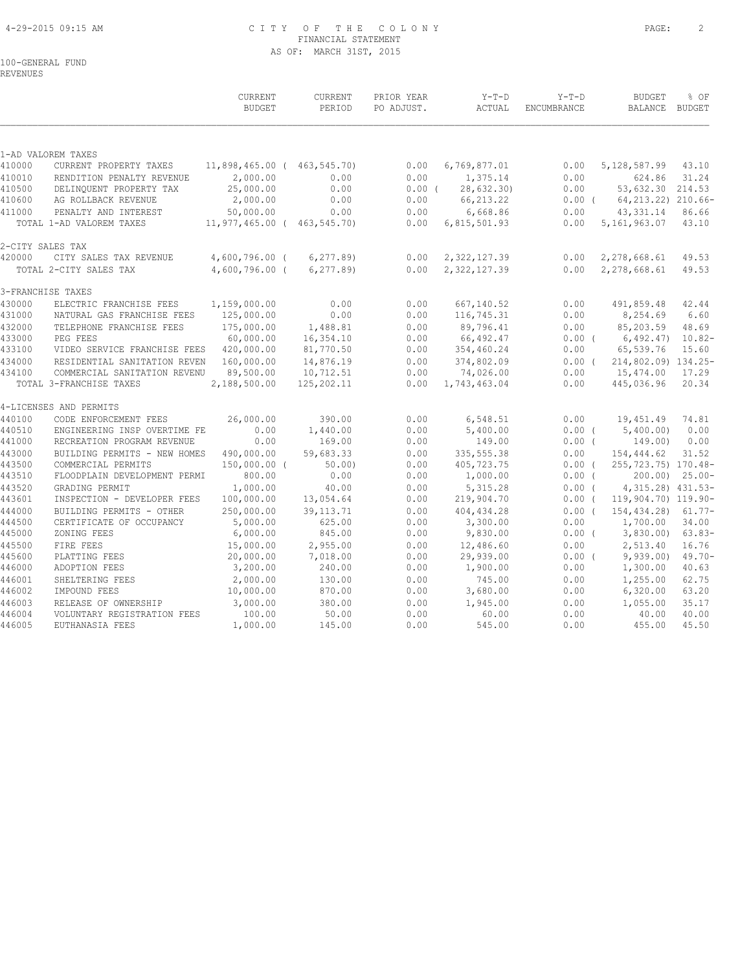# 4-29-2015 09:15 AM C I T Y O F T H E C O L O N Y PAGE: 2 FINANCIAL STATEMENT AS OF: MARCH 31ST, 2015

# 100-GENERAL FUND

REVENUES

|                  |                                                | CURRENT<br><b>BUDGET</b>    | <b>CURRENT</b><br>PERIOD | PRIOR YEAR<br>PO ADJUST. | $Y-T-D$<br>ACTUAL     | $Y-T-D$<br>ENCUMBRANCE | <b>BUDGET</b><br>BALANCE BUDGET | % OF                 |
|------------------|------------------------------------------------|-----------------------------|--------------------------|--------------------------|-----------------------|------------------------|---------------------------------|----------------------|
|                  | 1-AD VALOREM TAXES                             |                             |                          |                          |                       |                        |                                 |                      |
| 410000           | CURRENT PROPERTY TAXES                         | 11,898,465.00 ( 463,545.70) |                          | 0.00                     | 6,769,877.01          | 0.00                   | 5, 128, 587.99                  | 43.10                |
| 410010           | RENDITION PENALTY REVENUE                      | 2,000.00                    | 0.00                     | 0.00                     | 1,375.14              | 0.00                   | 624.86                          | 31.24                |
| 410500           | DELINQUENT PROPERTY TAX                        | 25,000.00                   | 0.00                     | $0.00$ (                 | 28,632.30)            | 0.00                   | 53,632.30 214.53                |                      |
| 410600           | AG ROLLBACK REVENUE                            | 2,000.00                    | 0.00                     | 0.00                     | 66, 213.22            | $0.00$ (               | 64, 213. 22) 210. 66-           |                      |
| 411000           | PENALTY AND INTEREST                           | 50,000.00                   | 0.00                     | 0.00                     | 6,668.86              | 0.00                   | 43, 331.14                      | 86.66                |
|                  | TOTAL 1-AD VALOREM TAXES                       | 11,977,465.00 ( 463,545.70) |                          | 0.00                     | 6,815,501.93          | 0.00                   | 5, 161, 963.07                  | 43.10                |
|                  | 2-CITY SALES TAX                               |                             |                          |                          |                       |                        |                                 |                      |
| 420000           | CITY SALES TAX REVENUE                         | 4,600,796.00 (              | 6, 277.89                | 0.00                     | 2, 322, 127.39        | 0.00                   | 2,278,668.61                    | 49.53                |
|                  | TOTAL 2-CITY SALES TAX                         | $4,600,796.00$ (            | 6, 277.89                | 0.00                     | 2,322,127.39          | 0.00                   | 2,278,668.61                    | 49.53                |
|                  | 3-FRANCHISE TAXES                              |                             |                          |                          |                       |                        |                                 |                      |
| 430000           | ELECTRIC FRANCHISE FEES                        | 1,159,000.00                | 0.00                     | 0.00                     | 667,140.52            | 0.00                   | 491,859.48                      | 42.44                |
| 431000           | NATURAL GAS FRANCHISE FEES                     | 125,000.00                  | 0.00                     | 0.00                     | 116,745.31            | 0.00                   | 8,254.69                        | 6.60                 |
| 432000           | TELEPHONE FRANCHISE FEES                       | 175,000.00                  | 1,488.81                 | 0.00                     | 89,796.41             | 0.00                   | 85,203.59                       | 48.69                |
| 433000           | PEG FEES                                       | 60,000.00                   | 16,354.10                | 0.00                     | 66,492.47             | $0.00$ (               | 6,492,47)                       | $10.82 -$            |
| 433100           | VIDEO SERVICE FRANCHISE FEES                   | 420,000.00                  | 81,770.50                | 0.00                     | 354,460.24            | 0.00                   | 65,539.76                       | 15.60                |
| 434000           | RESIDENTIAL SANITATION REVEN                   | 160,000.00                  | 14,876.19                | 0.00                     | 374,802.09            | 0.00(                  | 214,802.09) 134.25-             |                      |
| 434100           | COMMERCIAL SANITATION REVENU                   | 89,500.00                   | 10,712.51                | 0.00                     | 74,026.00             | 0.00                   | 15,474.00                       | 17.29                |
|                  | TOTAL 3-FRANCHISE TAXES                        | 2,188,500.00                | 125,202.11               | 0.00                     | 1,743,463.04          | 0.00                   | 445,036.96                      | 20.34                |
|                  | 4-LICENSES AND PERMITS                         |                             |                          |                          |                       |                        |                                 |                      |
| 440100           | CODE ENFORCEMENT FEES                          | 26,000.00                   | 390.00                   | 0.00                     | 6,548.51              | 0.00                   | 19,451.49                       | 74.81                |
| 440510           | ENGINEERING INSP OVERTIME FE                   | 0.00                        | 1,440.00                 | 0.00                     | 5,400.00              | $0.00$ (               | 5,400.00)                       | 0.00                 |
| 441000           | RECREATION PROGRAM REVENUE                     | 0.00                        | 169.00                   | 0.00                     | 149.00                | $0.00$ (               | 149.00)                         | 0.00                 |
| 443000           | BUILDING PERMITS - NEW HOMES                   | 490,000.00                  | 59,683.33                | 0.00                     | 335, 555.38           | 0.00                   | 154,444.62                      | 31.52                |
| 443500           | COMMERCIAL PERMITS                             | 150,000.00 (                | 50.00                    | 0.00                     | 405,723.75            | 0.00(                  | 255,723.75) 170.48-             | $200.00$ ) $25.00 -$ |
| 443510<br>443520 | FLOODPLAIN DEVELOPMENT PERMI<br>GRADING PERMIT | 800.00<br>1,000.00          | 0.00<br>40.00            | 0.00<br>0.00             | 1,000.00<br>5, 315.28 | $0.00$ (<br>$0.00$ (   | 4, 315.28) 431.53-              |                      |
| 443601           | INSPECTION - DEVELOPER FEES                    | 100,000.00                  | 13,054.64                | 0.00                     | 219,904.70            | $0.00$ (               | 119,904.70) 119.90-             |                      |
| 444000           | BUILDING PERMITS - OTHER                       | 250,000.00                  | 39, 113. 71              | 0.00                     | 404, 434.28           | 0.00(                  | 154,434.28)                     | $61.77-$             |
| 444500           | CERTIFICATE OF OCCUPANCY                       | 5,000.00                    | 625.00                   | 0.00                     | 3,300.00              | 0.00                   | 1,700.00                        | 34.00                |
| 445000           | ZONING FEES                                    | 6,000.00                    | 845.00                   | 0.00                     | 9,830.00              | $0.00$ (               | 3,830.00                        | $63.83-$             |
| 445500           | FIRE FEES                                      | 15,000.00                   | 2,955.00                 | 0.00                     | 12,486.60             | 0.00                   | 2,513.40                        | 16.76                |
| 445600           | PLATTING FEES                                  | 20,000.00                   | 7,018.00                 | 0.00                     | 29,939.00             | $0.00$ (               | 9,939.00                        | $49.70 -$            |
| 446000           | ADOPTION FEES                                  | 3,200.00                    | 240.00                   | 0.00                     | 1,900.00              | 0.00                   | 1,300.00                        | 40.63                |
| 446001           | SHELTERING FEES                                | 2,000.00                    | 130.00                   | 0.00                     | 745.00                | 0.00                   | 1,255.00                        | 62.75                |
| 446002           | IMPOUND FEES                                   | 10,000.00                   | 870.00                   | 0.00                     | 3,680.00              | 0.00                   | 6,320.00                        | 63.20                |
| 446003           | RELEASE OF OWNERSHIP                           | 3,000.00                    | 380.00                   | 0.00                     | 1,945.00              | 0.00                   | 1,055.00                        | 35.17                |
| 446004           | VOLUNTARY REGISTRATION FEES                    | 100.00                      | 50.00                    | 0.00                     | 60.00                 | 0.00                   | 40.00                           | 40.00                |
| 446005           | EUTHANASIA FEES                                | 1,000.00                    | 145.00                   | 0.00                     | 545.00                | 0.00                   | 455.00                          | 45.50                |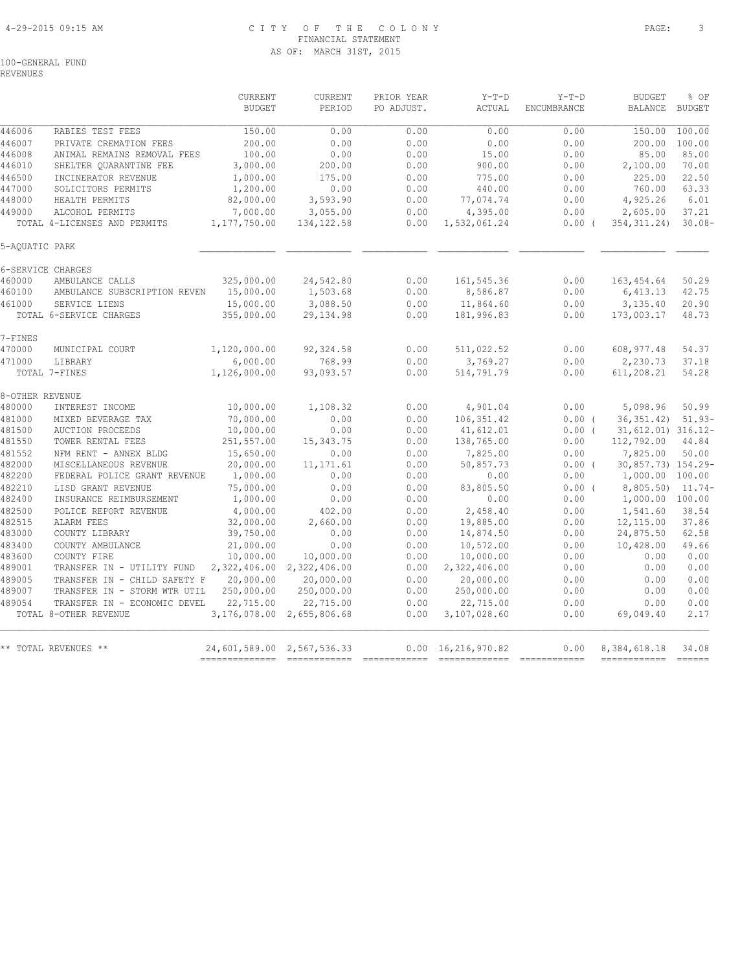# 4-29-2015 09:15 AM C I T Y O F T H E C O L O N Y PAGE: 3 FINANCIAL STATEMENT AS OF: MARCH 31ST, 2015

100-GENERAL FUND

REVENUES

|                 |                                                       | <b>CURRENT</b><br><b>BUDGET</b> | <b>CURRENT</b><br>PERIOD               | PRIOR YEAR<br>PO ADJUST. | $Y-T-D$<br>ACTUAL         | $Y-T-D$<br><b>ENCUMBRANCE</b> | <b>BUDGET</b><br><b>BALANCE</b> | % OF<br>BUDGET             |
|-----------------|-------------------------------------------------------|---------------------------------|----------------------------------------|--------------------------|---------------------------|-------------------------------|---------------------------------|----------------------------|
| 446006          | RABIES TEST FEES                                      | 150.00                          | 0.00                                   | 0.00                     | 0.00                      | 0.00                          | 150.00                          | 100.00                     |
| 446007          | PRIVATE CREMATION FEES                                | 200.00                          | 0.00                                   | 0.00                     | 0.00                      | 0.00                          | 200.00                          | 100.00                     |
| 446008          | ANIMAL REMAINS REMOVAL FEES                           | 100.00                          | 0.00                                   | 0.00                     | 15.00                     | 0.00                          | 85.00                           | 85.00                      |
| 446010          | SHELTER QUARANTINE FEE                                | 3,000.00                        | 200.00                                 | 0.00                     | 900.00                    | 0.00                          | 2,100.00                        | 70.00                      |
| 446500          | INCINERATOR REVENUE                                   | 1,000.00                        | 175.00                                 | 0.00                     | 775.00                    | 0.00                          | 225.00                          | 22.50                      |
| 447000          | SOLICITORS PERMITS                                    | 1,200.00                        | 0.00                                   | 0.00                     | 440.00                    | 0.00                          | 760.00                          | 63.33                      |
| 448000          | HEALTH PERMITS                                        | 82,000.00                       | 3,593.90                               | 0.00                     | 77,074.74                 | 0.00                          | 4,925.26                        | 6.01                       |
| 449000          | ALCOHOL PERMITS                                       | 7,000.00                        | 3,055.00                               | 0.00                     | 4,395.00                  | 0.00                          | 2,605.00                        | 37.21                      |
|                 | TOTAL 4-LICENSES AND PERMITS                          | 1,177,750.00                    | 134, 122.58                            | 0.00                     | 1,532,061.24              | 0.00(                         | 354, 311.24)                    | $30.08 -$                  |
| 5-AQUATIC PARK  |                                                       |                                 |                                        |                          |                           |                               |                                 |                            |
|                 | 6-SERVICE CHARGES                                     |                                 |                                        |                          |                           |                               |                                 |                            |
| 460000          | AMBULANCE CALLS                                       | 325,000.00                      | 24,542.80                              | 0.00                     | 161,545.36                | 0.00                          | 163,454.64                      | 50.29                      |
| 460100          | AMBULANCE SUBSCRIPTION REVEN                          | 15,000.00                       | 1,503.68                               | 0.00                     | 8,586.87                  | 0.00                          | 6,413.13                        | 42.75                      |
| 461000          | SERVICE LIENS                                         | 15,000.00                       | 3,088.50                               | 0.00                     | 11,864.60                 | 0.00                          | 3,135.40                        | 20.90                      |
|                 | TOTAL 6-SERVICE CHARGES                               | 355,000.00                      | 29, 134.98                             | 0.00                     | 181,996.83                | 0.00                          | 173,003.17                      | 48.73                      |
| 7-FINES         |                                                       |                                 |                                        |                          |                           |                               |                                 |                            |
| 470000          | MUNICIPAL COURT                                       | 1,120,000.00                    | 92,324.58                              | 0.00                     | 511,022.52                | 0.00                          | 608, 977.48                     | 54.37                      |
| 471000          | LIBRARY                                               | 6,000.00                        | 768.99                                 | 0.00                     | 3,769.27                  | 0.00                          | 2,230.73                        | 37.18                      |
|                 | TOTAL 7-FINES                                         | 1,126,000.00                    | 93,093.57                              | 0.00                     | 514,791.79                | 0.00                          | 611,208.21                      | 54.28                      |
| 8-OTHER REVENUE |                                                       |                                 |                                        |                          |                           |                               |                                 |                            |
| 480000          | INTEREST INCOME                                       | 10,000.00                       | 1,108.32                               | 0.00                     | 4,901.04                  | 0.00                          | 5,098.96                        | 50.99                      |
| 481000          | MIXED BEVERAGE TAX                                    | 70,000.00                       | 0.00                                   | 0.00                     | 106, 351.42               | 0.00(                         | 36, 351, 42)                    | $51.93-$                   |
| 481500          | <b>AUCTION PROCEEDS</b>                               | 10,000.00                       | 0.00                                   | 0.00                     | 41,612.01                 | 0.00(                         | 31,612.01) 316.12-              |                            |
| 481550          | TOWER RENTAL FEES                                     | 251,557.00                      | 15, 343.75                             | 0.00                     | 138,765.00                | 0.00                          | 112,792.00                      | 44.84                      |
| 481552          | NFM RENT - ANNEX BLDG                                 | 15,650.00                       | 0.00                                   | 0.00                     | 7,825.00                  | 0.00                          | 7,825.00                        | 50.00                      |
| 482000          | MISCELLANEOUS REVENUE                                 | 20,000.00                       | 11, 171.61                             | 0.00                     | 50,857.73                 | 0.00(                         | 30,857.73) 154.29-              |                            |
| 482200          | FEDERAL POLICE GRANT REVENUE                          | 1,000.00                        | 0.00                                   | 0.00                     | 0.00                      | 0.00                          | 1,000.00 100.00                 |                            |
| 482210          | LISD GRANT REVENUE                                    | 75,000.00                       | 0.00                                   | 0.00                     | 83,805.50                 | 0.00(                         | 8,805.50)                       | $11.74-$                   |
| 482400          | INSURANCE REIMBURSEMENT                               | 1,000.00                        | 0.00                                   | 0.00                     | 0.00                      | 0.00                          | 1,000.00                        | 100.00                     |
| 482500          | POLICE REPORT REVENUE                                 | 4,000.00                        | 402.00                                 | 0.00                     | 2,458.40                  | 0.00                          | 1,541.60                        | 38.54                      |
| 482515          | <b>ALARM FEES</b>                                     | 32,000.00                       | 2,660.00                               | 0.00                     | 19,885.00                 | 0.00                          | 12,115.00                       | 37.86                      |
| 483000          | COUNTY LIBRARY                                        | 39,750.00                       | 0.00                                   | 0.00                     | 14,874.50                 | 0.00                          | 24,875.50                       | 62.58                      |
| 483400          | COUNTY AMBULANCE                                      | 21,000.00                       | 0.00                                   | 0.00                     | 10,572.00                 | 0.00                          | 10,428.00                       | 49.66                      |
| 483600          | COUNTY FIRE                                           | 10,000.00                       | 10,000.00                              | 0.00                     | 10,000.00                 | 0.00                          | 0.00                            | 0.00                       |
| 489001          | TRANSFER IN - UTILITY FUND                            | 2,322,406.00                    | 2,322,406.00                           | 0.00                     | 2,322,406.00              | 0.00                          | 0.00                            | 0.00                       |
| 489005          | TRANSFER IN - CHILD SAFETY F                          | 20,000.00                       | 20,000.00                              | 0.00                     | 20,000.00                 | 0.00                          | 0.00                            | 0.00                       |
| 489007          | TRANSFER IN - STORM WTR UTIL                          | 250,000.00                      | 250,000.00                             | 0.00                     | 250,000.00                | 0.00                          | 0.00                            | 0.00                       |
| 489054          | TRANSFER IN - ECONOMIC DEVEL<br>TOTAL 8-OTHER REVENUE | 22,715.00                       | 22,715.00<br>3,176,078.00 2,655,806.68 | 0.00<br>0.00             | 22,715.00<br>3,107,028.60 | 0.00<br>0.00                  | 0.00<br>69,049.40               | 0.00<br>2.17               |
|                 |                                                       |                                 |                                        |                          |                           |                               |                                 |                            |
|                 | ** TOTAL REVENUES **                                  | 24,601,589.00 2,567,536.33      |                                        | 0.00                     | 16,216,970.82             | 0.00                          | 8,384,618.18<br>------------    | 34.08<br><b>Experience</b> |
|                 |                                                       |                                 |                                        |                          |                           |                               |                                 |                            |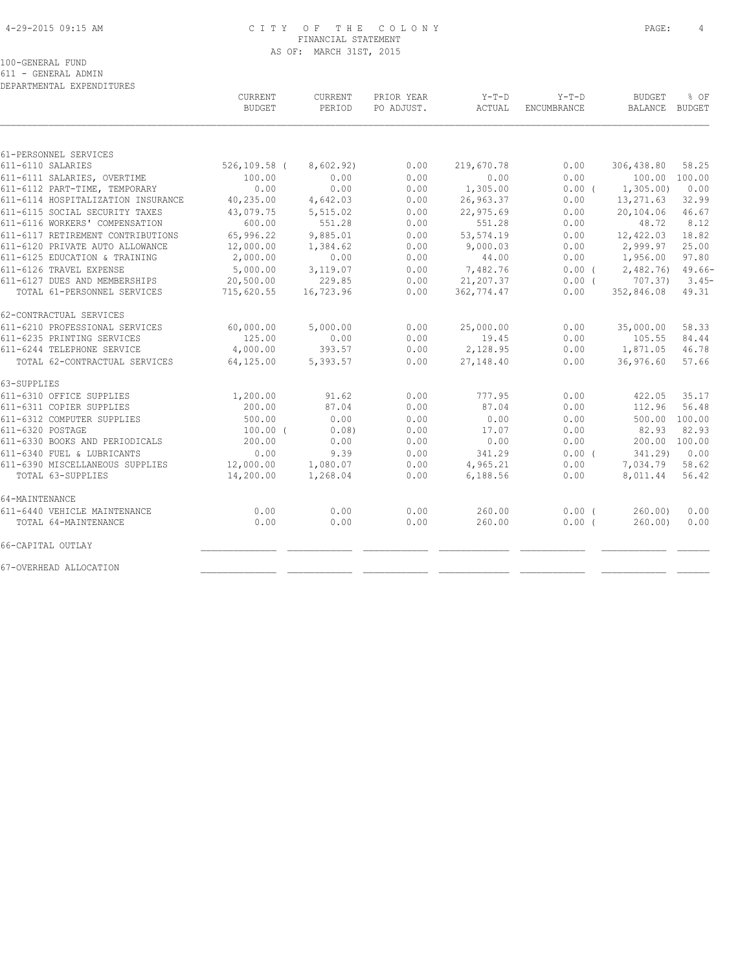# 4-29-2015 09:15 AM C I T Y O F T H E C O L O N Y PAGE: 4 FINANCIAL STATEMENT AS OF: MARCH 31ST, 2015

100-GENERAL FUND

611 - GENERAL ADMIN

| DEPARTMENTAL EXPENDITURES          |                                 |                   |                          |                 |                               |                                 |          |
|------------------------------------|---------------------------------|-------------------|--------------------------|-----------------|-------------------------------|---------------------------------|----------|
|                                    | <b>CURRENT</b><br><b>BUDGET</b> | CURRENT<br>PERIOD | PRIOR YEAR<br>PO ADJUST. | Y-T-D<br>ACTUAL | $Y-T-D$<br><b>ENCUMBRANCE</b> | <b>BUDGET</b><br>BALANCE BUDGET | % OF     |
|                                    |                                 |                   |                          |                 |                               |                                 |          |
|                                    |                                 |                   |                          |                 |                               |                                 |          |
| 61-PERSONNEL SERVICES              |                                 |                   |                          |                 |                               |                                 |          |
| 611-6110 SALARIES                  | $526, 109.58$ (                 | 8,602.92)         | 0.00                     | 219,670.78      | 0.00                          | 306,438.80                      | 58.25    |
| 611-6111 SALARIES, OVERTIME        | 100.00                          | 0.00              | 0.00                     | 0.00            | 0.00                          | 100.00 100.00                   |          |
| 611-6112 PART-TIME, TEMPORARY      | 0.00                            | 0.00              | 0.00                     | 1,305.00        | 0.00(                         | 1,305.00                        | 0.00     |
| 611-6114 HOSPITALIZATION INSURANCE | 40,235.00                       | 4,642.03          | 0.00                     | 26,963.37       | 0.00                          | 13,271.63                       | 32.99    |
| 611-6115 SOCIAL SECURITY TAXES     | 43,079.75                       | 5,515.02          | 0.00                     | 22,975.69       | 0.00                          | 20,104.06                       | 46.67    |
| 611-6116 WORKERS' COMPENSATION     | 600.00                          | 551.28            | 0.00                     | 551.28          | 0.00                          | 48.72                           | 8.12     |
| 611-6117 RETIREMENT CONTRIBUTIONS  | 65,996.22                       | 9,885.01          | 0.00                     | 53, 574.19      | 0.00                          | 12,422.03                       | 18.82    |
| 611-6120 PRIVATE AUTO ALLOWANCE    | 12,000.00                       | 1,384.62          | 0.00                     | 9,000.03        | 0.00                          | 2,999.97                        | 25.00    |
| 611-6125 EDUCATION & TRAINING      | 2,000.00                        | 0.00              | 0.00                     | 44.00           | 0.00                          | 1,956.00                        | 97.80    |
| 611-6126 TRAVEL EXPENSE            | 5,000.00                        | 3,119.07          | 0.00                     | 7,482.76        | 0.00(                         | 2,482.76)                       | $49.66-$ |
| 611-6127 DUES AND MEMBERSHIPS      | 20,500.00                       | 229.85            | 0.00                     | 21,207.37       | $0.00$ (                      | 707.37)                         | $3.45-$  |
| TOTAL 61-PERSONNEL SERVICES        | 715,620.55                      | 16,723.96         | 0.00                     | 362,774.47      | 0.00                          | 352,846.08                      | 49.31    |
| 62-CONTRACTUAL SERVICES            |                                 |                   |                          |                 |                               |                                 |          |
| 611-6210 PROFESSIONAL SERVICES     | 60,000.00                       | 5,000.00          | 0.00                     | 25,000.00       | 0.00                          | 35,000.00                       | 58.33    |
| 611-6235 PRINTING SERVICES         | 125.00                          | 0.00              | 0.00                     | 19.45           | 0.00                          | 105.55                          | 84.44    |
| 611-6244 TELEPHONE SERVICE         | 4,000.00                        | 393.57            | 0.00                     | 2,128.95        | 0.00                          | 1,871.05                        | 46.78    |
| TOTAL 62-CONTRACTUAL SERVICES      | 64,125.00                       | 5,393.57          | 0.00                     | 27,148.40       | 0.00                          | 36,976.60                       | 57.66    |
| 63-SUPPLIES                        |                                 |                   |                          |                 |                               |                                 |          |
| 611-6310 OFFICE SUPPLIES           | 1,200.00                        | 91.62             | 0.00                     | 777.95          | 0.00                          | 422.05                          | 35.17    |
| 611-6311 COPIER SUPPLIES           | 200.00                          | 87.04             | 0.00                     | 87.04           | 0.00                          | 112.96                          | 56.48    |
| 611-6312 COMPUTER SUPPLIES         | 500.00                          | 0.00              | 0.00                     | 0.00            | 0.00                          | 500.00 100.00                   |          |
| 611-6320 POSTAGE                   | $100.00$ (                      | 0.08)             | 0.00                     | 17.07           | 0.00                          | 82.93                           | 82.93    |
| 611-6330 BOOKS AND PERIODICALS     | 200.00                          | 0.00              | 0.00                     | 0.00            | 0.00                          | 200.00                          | 100.00   |
| 611-6340 FUEL & LUBRICANTS         | 0.00                            | 9.39              | 0.00                     | 341.29          | 0.00(                         | 341.29)                         | 0.00     |
| 611-6390 MISCELLANEOUS SUPPLIES    | 12,000.00                       | 1,080.07          | 0.00                     | 4,965.21        | 0.00                          | 7,034.79                        | 58.62    |
| TOTAL 63-SUPPLIES                  | 14,200.00                       | 1,268.04          | 0.00                     | 6,188.56        | 0.00                          | 8,011.44                        | 56.42    |
| 64-MAINTENANCE                     |                                 |                   |                          |                 |                               |                                 |          |
| 611-6440 VEHICLE MAINTENANCE       | 0.00                            | 0.00              | 0.00                     | 260.00          | $0.00$ (                      | 260.00                          | 0.00     |
| TOTAL 64-MAINTENANCE               | 0.00                            | 0.00              | 0.00                     | 260.00          | 0.00(                         | 260.00                          | 0.00     |
| 66-CAPITAL OUTLAY                  |                                 |                   |                          |                 |                               |                                 |          |
| 67-OVERHEAD ALLOCATION             |                                 |                   |                          |                 |                               |                                 |          |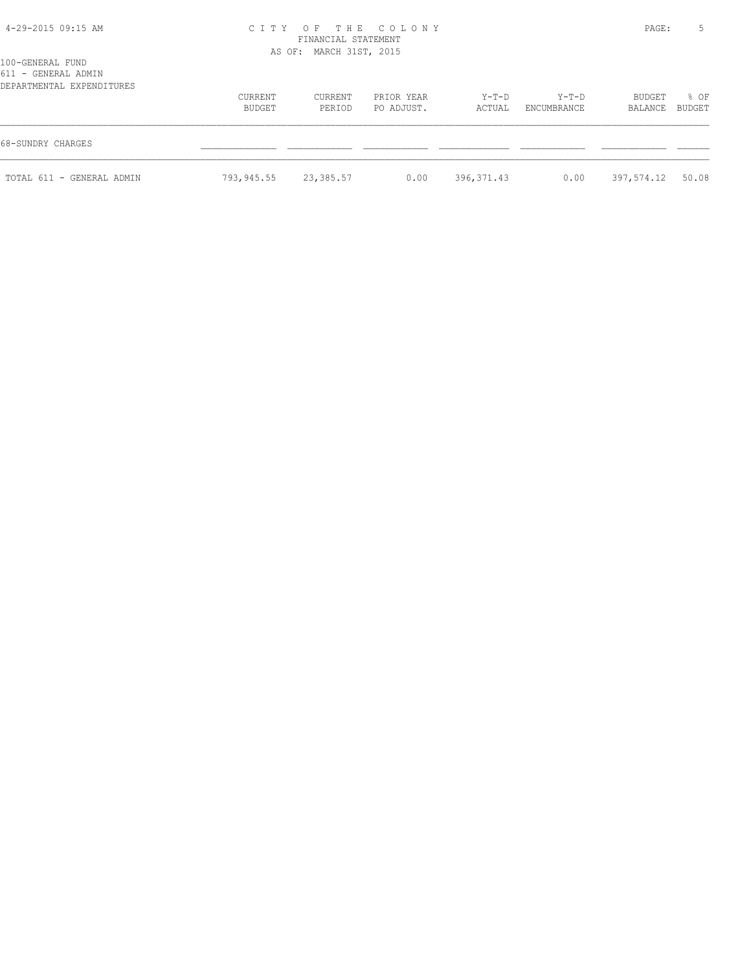#### 4-29-2015 09:15 AM C I T Y O F T H E C O L O N Y PAGE: 5 FINANCIAL STATEMENT AS OF: MARCH 31ST, 2015

| 100-GENERAL FUND          |  |
|---------------------------|--|
| 611 - GENERAL ADMIN       |  |
| DEPARTMENTAL EXPENDITURES |  |

| DEPARTMENTAL EXPENDITURES |                   |                   |                          |                 |                        |                   |                |
|---------------------------|-------------------|-------------------|--------------------------|-----------------|------------------------|-------------------|----------------|
|                           | CURRENT<br>BUDGET | CURRENT<br>PERIOD | PRIOR YEAR<br>PO ADJUST. | Y-T-D<br>ACTUAL | $Y-T-D$<br>ENCUMBRANCE | BUDGET<br>BALANCE | 8 OF<br>BUDGET |
| 68-SUNDRY CHARGES         |                   |                   |                          |                 |                        |                   |                |
| TOTAL 611 - GENERAL ADMIN | 793,945.55        | 23,385.57         | 0.00                     | 396,371.43      | 0.00                   | 397,574.12 50.08  |                |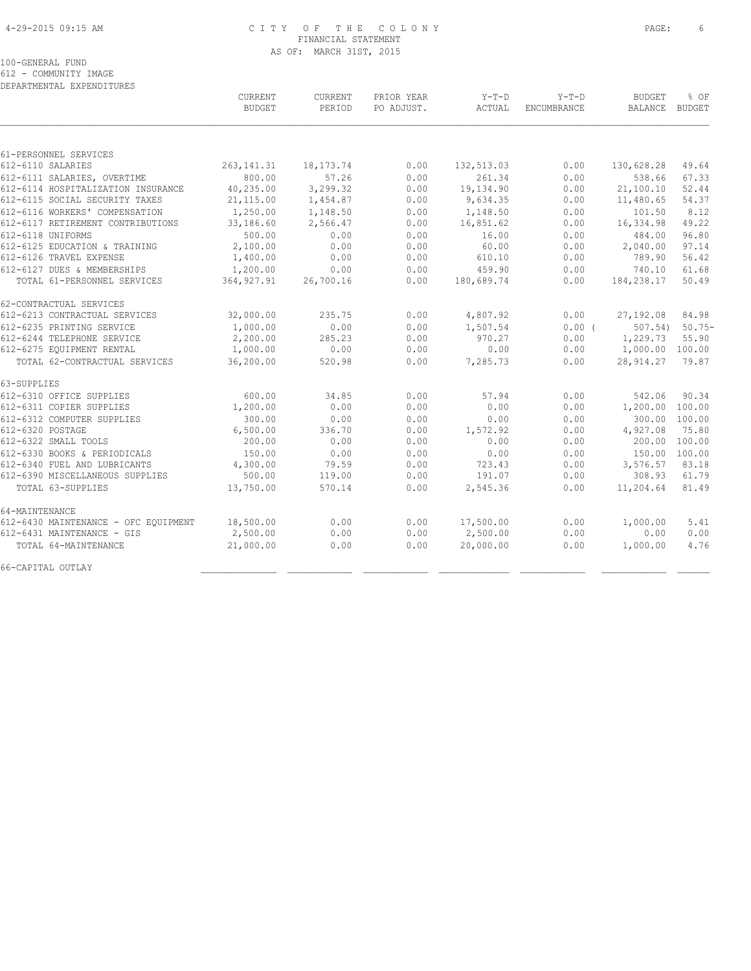### 4-29-2015 09:15 AM C I T Y O F T H E C O L O N Y PAGE: 6 FINANCIAL STATEMENT AS OF: MARCH 31ST, 2015

100-GENERAL FUND

612 - COMMUNITY IMAGE DEPARTMENTAL EXPENDITURES

 CURRENT CURRENT PRIOR YEAR Y-T-D Y-T-D BUDGET % OF BUDGET PERIOD PO ADJUST. ACTUAL ENCUMBRANCE BALANCE BUDGET  $\mathcal{L} = \{ \mathcal{L} = \{ \mathcal{L} = \{ \mathcal{L} = \{ \mathcal{L} = \{ \mathcal{L} = \{ \mathcal{L} = \{ \mathcal{L} = \{ \mathcal{L} = \{ \mathcal{L} = \{ \mathcal{L} = \{ \mathcal{L} = \{ \mathcal{L} = \{ \mathcal{L} = \{ \mathcal{L} = \{ \mathcal{L} = \{ \mathcal{L} = \{ \mathcal{L} = \{ \mathcal{L} = \{ \mathcal{L} = \{ \mathcal{L} = \{ \mathcal{L} = \{ \mathcal{L} = \{ \mathcal{L} = \{ \mathcal{$ 61-PERSONNEL SERVICES 612-6110 SALARIES 263,141.31 18,173.74 0.00 132,513.03 0.00 130,628.28 49.64 612-6111 SALARIES, OVERTIME 800.00 57.26 0.00 261.34 0.00 538.66 67.33 612-6114 HOSPITALIZATION INSURANCE 40,235.00 3,299.32 0.00 19,134.90 0.00 21,100.10 52.44 612-6115 SOCIAL SECURITY TAXES 21,115.00 1,454.87 0.00 9,634.35 0.00 11,480.65 54.37 612-6116 WORKERS' COMPENSATION 1,250.00 1,148.50 0.00 1,148.50 0.00 101.50 8.12 612-6117 RETIREMENT CONTRIBUTIONS 33,186.60 2,566.47 0.00 16,851.62 0.00 16,334.98 49.22 612-6118 UNIFORMS 500.00 0.00 0.00 16.00 0.00 484.00 96.80 612-6125 EDUCATION & TRAINING 2,100.00 0.00 0.00 60.00 0.00 2,040.00 97.14 612-6126 TRAVEL EXPENSE 1,400.00 0.00 0.00 610.10 0.00 789.90 56.42 612-6127 DUES & MEMBERSHIPS 1,200.00 0.00 0.00 459.90 0.00 740.10 61.68 TOTAL 61-PERSONNEL SERVICES 364,927.91 26,700.16 0.00 180,689.74 0.00 184,238.17 50.49 62-CONTRACTUAL SERVICES<br>612-6213 CONTRACTUAL SERVICES 612-6213 CONTRACTUAL SERVICES 32,000.00 235.75 0.00 4,807.92 0.00 27,192.08 84.98 612-6235 PRINTING SERVICE 1,000.00 0.00 0.00 1,507.54 0.00 ( 507.54) 50.75- 612-6244 TELEPHONE SERVICE 2,200.00 285.23 0.00 970.27 0.00 1,229.73 55.90 612-6275 EQUIPMENT RENTAL 1,000.00 0.00 0.00 0.00 0.00 1,000.00 100.00 TOTAL 62-CONTRACTUAL SERVICES 36,200.00 520.98 0.00 7,285.73 0.00 28,914.27 79.87 63-SUPPLIES 612-6310 OFFICE SUPPLIES 600.00 34.85 0.00 57.94 0.00 542.06 90.34 612-6311 COPIER SUPPLIES 1,200.00 0.00 0.00 0.00 0.00 1,200.00 100.00 612-6312 COMPUTER SUPPLIES 300.00 0.00 0.00 0.00 0.00 300.00 100.00 612-6320 POSTAGE 6,500.00 336.70 0.00 1,572.92 0.00 4,927.08 75.80 612-6322 SMALL TOOLS 200.00 0.00 0.00 0.00 0.00 200.00 100.00 612-6330 BOOKS & PERIODICALS 150.00 0.00 0.00 0.00 0.00 150.00 100.00 612-6340 FUEL AND LUBRICANTS 4,300.00 79.59 0.00 723.43 0.00 3,576.57 83.18 612-6390 MISCELLANEOUS SUPPLIES 500.00 119.00 0.00 191.07 0.00 308.93 61.79 TOTAL 63-SUPPLIES 13,750.00 570.14 0.00 2,545.36 0.00 11,204.64 81.49 64-MAINTENANCE 612-6430 MAINTENANCE - OFC EQUIPMENT 18,500.00 0.00 0.00 17,500.00 0.00 1,000.00 5.41 612-6431 MAINTENANCE - GIS 2,500.00 0.00 0.00 2,500.00 0.00 0.00 0.00 TOTAL 64-MAINTENANCE 21,000.00 0.00 0.00 20,000.00 0.00 1,000.00 4.76 66-CAPITAL OUTLAY \_\_\_\_\_\_\_\_\_\_\_\_\_\_ \_\_\_\_\_\_\_\_\_\_\_\_ \_\_\_\_\_\_\_\_\_\_\_\_ \_\_\_\_\_\_\_\_\_\_\_\_\_ \_\_\_\_\_\_\_\_\_\_\_\_ \_\_\_\_\_\_\_\_\_\_\_\_ \_\_\_\_\_\_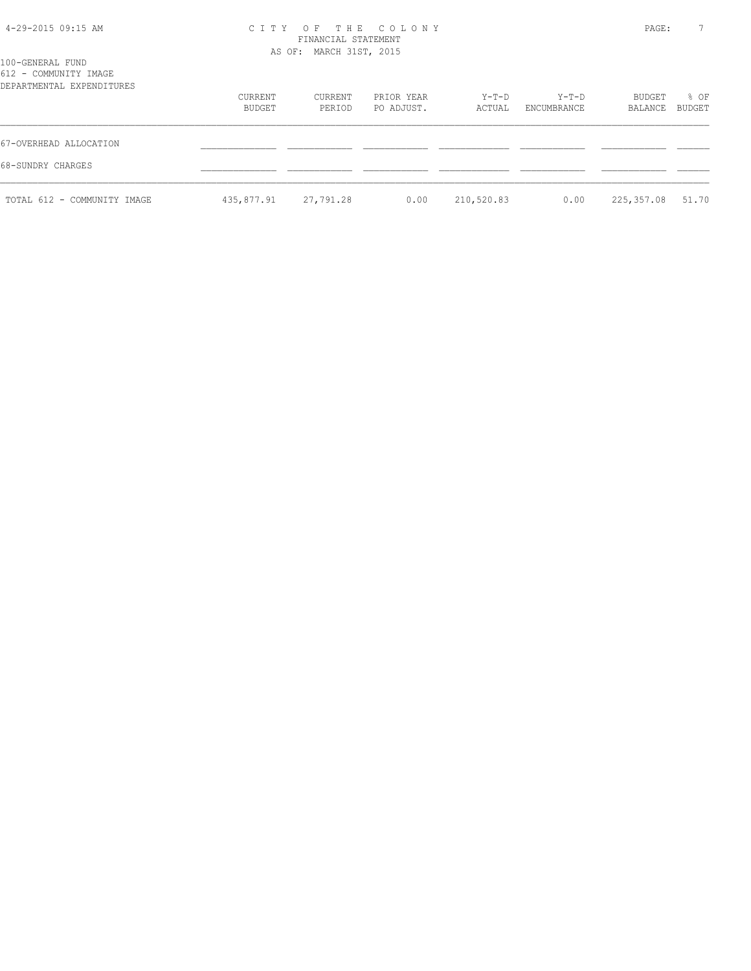| 4-29-2015 09:15 AM |  |  |
|--------------------|--|--|
|--------------------|--|--|

# 4-29-2015 09:15 AM C I T Y O F T H E C O L O N Y PAGE: 7 FINANCIAL STATEMENT AS OF: MARCH 31ST, 2015

| 100-GENERAL FUND<br>612 - COMMUNITY IMAGE<br>DEPARTMENTAL EXPENDITURES |                   |                   |                          |                 |                        |                   |                |
|------------------------------------------------------------------------|-------------------|-------------------|--------------------------|-----------------|------------------------|-------------------|----------------|
|                                                                        | CURRENT<br>BUDGET | CURRENT<br>PERIOD | PRIOR YEAR<br>PO ADJUST. | Y-T-D<br>ACTUAL | $Y-T-D$<br>ENCUMBRANCE | BUDGET<br>BALANCE | % OF<br>BUDGET |
| 67-OVERHEAD ALLOCATION                                                 |                   |                   |                          |                 |                        |                   |                |
| 68-SUNDRY CHARGES                                                      |                   |                   |                          |                 |                        |                   |                |
| TOTAL 612 - COMMUNITY IMAGE                                            | 435,877.91        | 27,791.28         | 0.00                     | 210,520.83      | 0.00                   | 225,357.08        | 51.70          |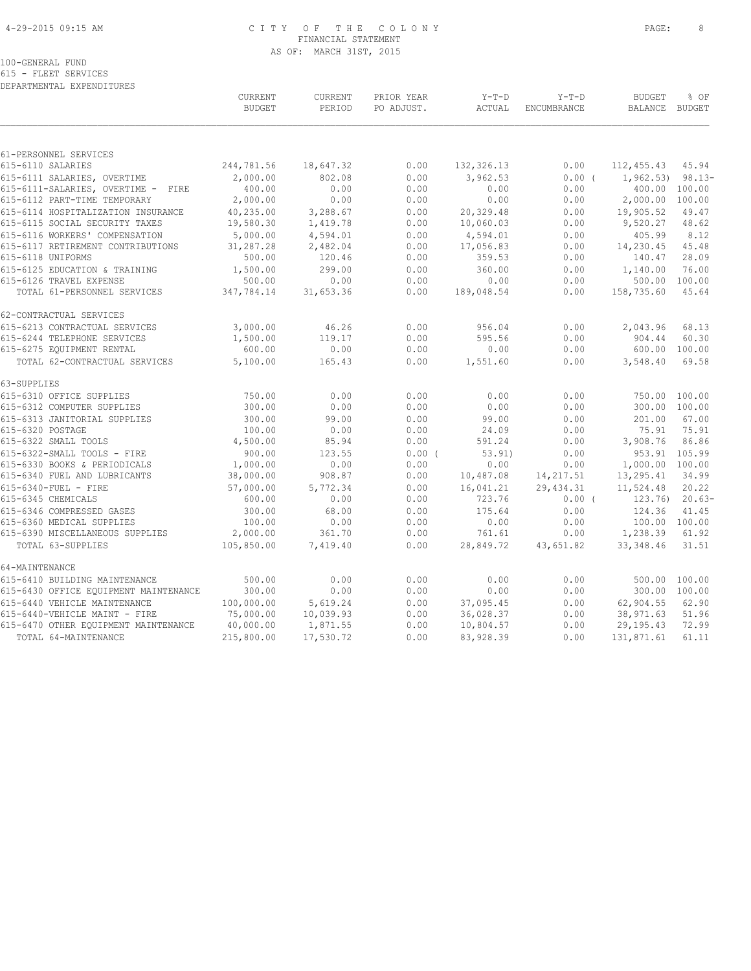# 4-29-2015 09:15 AM C I T Y O F T H E C O L O N Y PAGE: 8 FINANCIAL STATEMENT AS OF: MARCH 31ST, 2015

615 - FLEET SERVICES DEPARTMENTAL EXPENDITURES

|                                                                      | CURRENT<br><b>BUDGET</b> | <b>CURRENT</b><br>PERIOD | PRIOR YEAR<br>PO ADJUST. | $Y-T-D$<br>ACTUAL | $Y-T-D$<br>ENCUMBRANCE | <b>BUDGET</b><br><b>BALANCE</b> | % OF<br><b>BUDGET</b> |
|----------------------------------------------------------------------|--------------------------|--------------------------|--------------------------|-------------------|------------------------|---------------------------------|-----------------------|
|                                                                      |                          |                          |                          |                   |                        |                                 |                       |
| 61-PERSONNEL SERVICES                                                |                          |                          |                          |                   |                        |                                 |                       |
| 615-6110 SALARIES                                                    | 244,781.56               | 18,647.32                | 0.00                     | 132, 326.13       | 0.00                   | 112, 455.43                     | 45.94                 |
| 615-6111 SALARIES, OVERTIME                                          | 2,000.00                 | 802.08                   | 0.00                     | 3,962.53          | 0.00(                  | $1,962.53$ 98.13-               |                       |
| 615-6111-SALARIES, OVERTIME - FIRE                                   | 400.00                   | 0.00                     | 0.00                     | 0.00              | 0.00                   |                                 | 400.00 100.00         |
| 615-6112 PART-TIME TEMPORARY                                         | 2,000.00                 | 0.00                     | 0.00                     | 0.00              | 0.00                   | 2,000.00                        | 100.00                |
| 615-6114 HOSPITALIZATION INSURANCE<br>615-6115 SOCIAL SECURITY TAXES | 40,235.00                | 3,288.67                 | 0.00<br>0.00             | 20,329.48         | 0.00                   | 19,905.52                       | 49.47<br>48.62        |
|                                                                      | 19,580.30<br>5,000.00    | 1,419.78                 |                          | 10,060.03         | 0.00                   | 9,520.27                        |                       |
| 615-6116 WORKERS' COMPENSATION                                       |                          | 4,594.01                 | 0.00                     | 4,594.01          | 0.00                   | 405.99                          | 8.12<br>45.48         |
| 615-6117 RETIREMENT CONTRIBUTIONS<br>615-6118 UNIFORMS               | 31,287.28                | 2,482.04                 | 0.00                     | 17,056.83         | 0.00                   | 14,230.45                       | 28.09                 |
|                                                                      | 500.00                   | 120.46                   | 0.00                     | 359.53            | 0.00                   | 140.47                          | 76.00                 |
| 615-6125 EDUCATION & TRAINING<br>615-6126 TRAVEL EXPENSE             | 1,500.00<br>500.00       | 299.00<br>0.00           | 0.00<br>0.00             | 360.00<br>0.00    | 0.00<br>0.00           | 1,140.00<br>500.00              | 100.00                |
| TOTAL 61-PERSONNEL SERVICES                                          | 347,784.14               | 31,653.36                | 0.00                     | 189,048.54        | 0.00                   | 158,735.60                      | 45.64                 |
|                                                                      |                          |                          |                          |                   |                        |                                 |                       |
| 62-CONTRACTUAL SERVICES                                              |                          |                          |                          |                   |                        |                                 |                       |
| 615-6213 CONTRACTUAL SERVICES                                        | 3,000.00                 | 46.26                    | 0.00                     | 956.04            | 0.00                   | 2,043.96                        | 68.13                 |
| 615-6244 TELEPHONE SERVICES                                          | 1,500.00                 | 119.17                   | 0.00                     | 595.56            | 0.00                   | 904.44                          | 60.30                 |
| 615-6275 EQUIPMENT RENTAL                                            | 600.00                   | 0.00                     | 0.00                     | 0.00              | 0.00                   |                                 | 600.00 100.00         |
| TOTAL 62-CONTRACTUAL SERVICES                                        | 5,100.00                 | 165.43                   | 0.00                     | 1,551.60          | 0.00                   | 3,548.40                        | 69.58                 |
| 63-SUPPLIES                                                          |                          |                          |                          |                   |                        |                                 |                       |
| 615-6310 OFFICE SUPPLIES                                             | 750.00                   | 0.00                     | 0.00                     | 0.00              | 0.00                   | 750.00                          | 100.00                |
| 615-6312 COMPUTER SUPPLIES                                           | 300.00                   | 0.00                     | 0.00                     | 0.00              | 0.00                   | 300.00                          | 100.00                |
| 615-6313 JANITORIAL SUPPLIES                                         | 300.00                   | 99.00                    | 0.00                     | 99.00             | 0.00                   | 201.00                          | 67.00                 |
| 615-6320 POSTAGE                                                     | 100.00                   | 0.00                     | 0.00                     | 24.09             | 0.00                   | 75.91                           | 75.91                 |
| 615-6322 SMALL TOOLS                                                 | 4,500.00                 | 85.94                    | 0.00                     | 591.24            | 0.00                   | 3,908.76                        | 86.86                 |
| 615-6322-SMALL TOOLS - FIRE                                          | 900.00                   | 123.55                   | $0.00$ (                 | 53.91)            | 0.00                   |                                 | 953.91 105.99         |
| 615-6330 BOOKS & PERIODICALS                                         | 1,000.00                 | 0.00                     | 0.00                     | 0.00              | 0.00                   | 1,000.00 100.00                 |                       |
| 615-6340 FUEL AND LUBRICANTS                                         | 38,000.00                | 908.87                   | 0.00                     | 10,487.08         | 14, 217.51             | 13,295.41                       | 34.99                 |
| 615-6340-FUEL - FIRE                                                 | 57,000.00                | 5,772.34                 | 0.00                     | 16,041.21         | 29, 434.31             | 11,524.48                       | 20.22                 |
| 615-6345 CHEMICALS                                                   | 600.00                   | 0.00                     | 0.00                     | 723.76            | $0.00$ (               | 123.76)                         | $20.63-$              |
| 615-6346 COMPRESSED GASES                                            | 300.00                   | 68.00                    | 0.00                     | 175.64            | 0.00                   | 124.36                          | 41.45                 |
| 615-6360 MEDICAL SUPPLIES                                            | 100.00                   | 0.00                     | 0.00                     | 0.00              | 0.00                   | 100.00 100.00                   |                       |
| 615-6390 MISCELLANEOUS SUPPLIES                                      | 2,000.00                 | 361.70                   | 0.00                     | 761.61            | 0.00                   | 1,238.39                        | 61.92                 |
| TOTAL 63-SUPPLIES                                                    | 105,850.00               | 7,419.40                 | 0.00                     | 28,849.72         | 43,651.82              | 33, 348.46                      | 31.51                 |
| 64-MAINTENANCE                                                       |                          |                          |                          |                   |                        |                                 |                       |
| 615-6410 BUILDING MAINTENANCE                                        | 500.00                   | 0.00                     | 0.00                     | 0.00              | 0.00                   |                                 | 500.00 100.00         |
| 615-6430 OFFICE EQUIPMENT MAINTENANCE                                | 300.00                   | 0.00                     | 0.00                     | 0.00              | 0.00                   |                                 | 300.00 100.00         |
| 615-6440 VEHICLE MAINTENANCE                                         | 100,000.00               | 5,619.24                 | 0.00                     | 37,095.45         | 0.00                   | 62,904.55                       | 62.90                 |
| 615-6440-VEHICLE MAINT - FIRE                                        | 75,000.00                | 10,039.93                | 0.00                     | 36,028.37         | 0.00                   | 38,971.63                       | 51.96                 |
| 615-6470 OTHER EQUIPMENT MAINTENANCE                                 | 40,000.00                | 1,871.55                 | 0.00                     | 10,804.57         | 0.00                   | 29, 195. 43                     | 72.99                 |
| TOTAL 64-MAINTENANCE                                                 | 215,800.00               | 17,530.72                | 0.00                     | 83,928.39         | 0.00                   | 131,871.61                      | 61.11                 |
|                                                                      |                          |                          |                          |                   |                        |                                 |                       |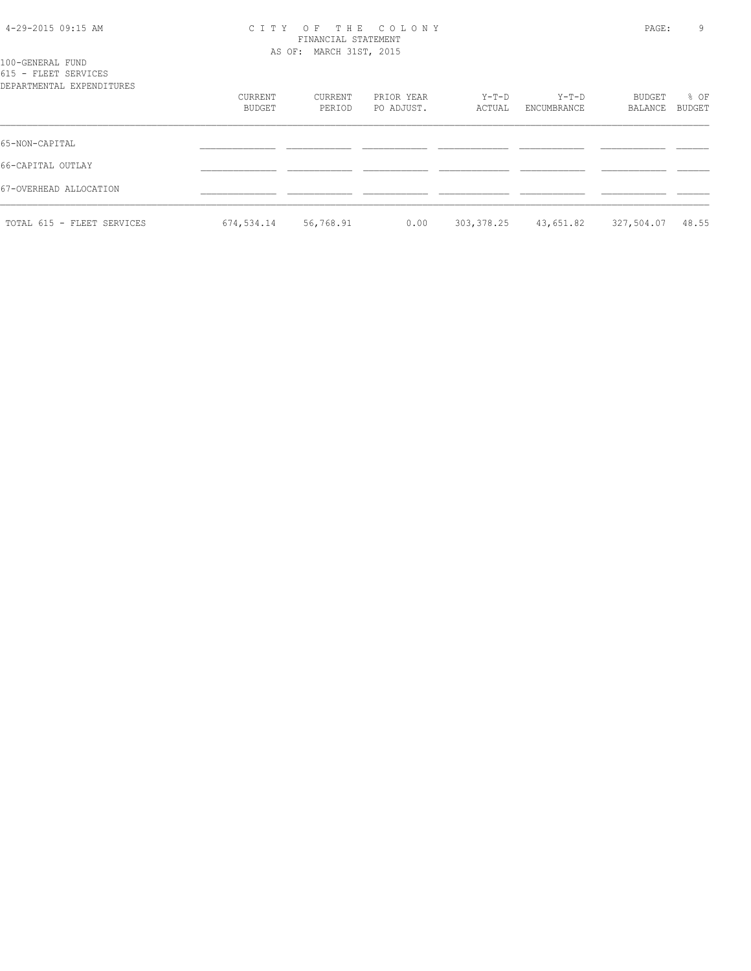#### 4-29-2015 09:15 AM C I T Y O F T H E C O L O N Y PAGE: 9 FINANCIAL STATEMENT AS OF: MARCH 31ST, 2015

| 100-GENERAL FUND     |                           |
|----------------------|---------------------------|
| 615 - FLEET SERVICES |                           |
|                      | DEPARTMENTAL EXPENDITURES |

| DEPARTMENTAL EXPENDITURES  |                   |                   |                          |                 |                      |                   |                |  |
|----------------------------|-------------------|-------------------|--------------------------|-----------------|----------------------|-------------------|----------------|--|
|                            | CURRENT<br>BUDGET | CURRENT<br>PERIOD | PRIOR YEAR<br>PO ADJUST. | Y-T-D<br>ACTUAL | Y-T-D<br>ENCUMBRANCE | BUDGET<br>BALANCE | % OF<br>BUDGET |  |
|                            |                   |                   |                          |                 |                      |                   |                |  |
| 65-NON-CAPITAL             |                   |                   |                          |                 |                      |                   |                |  |
| 66-CAPITAL OUTLAY          |                   |                   |                          |                 |                      |                   |                |  |
| 67-OVERHEAD ALLOCATION     |                   |                   |                          |                 |                      |                   |                |  |
| TOTAL 615 - FLEET SERVICES | 674,534.14        | 56,768.91         | 0.00                     | 303,378.25      | 43,651.82            | 327,504.07        | 48.55          |  |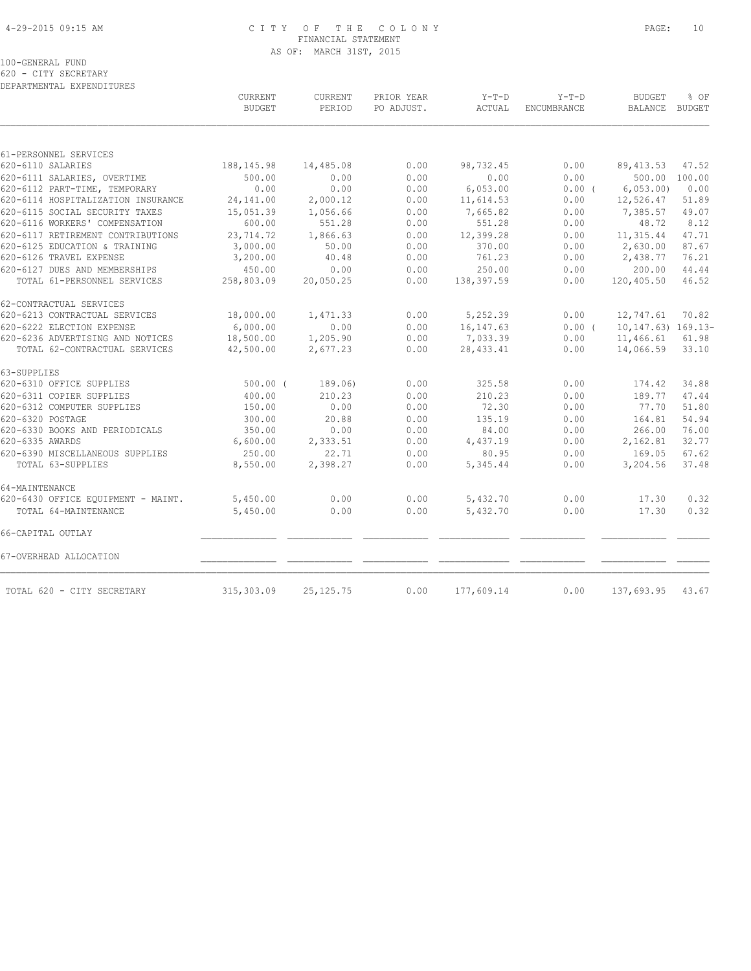# 4-29-2015 09:15 AM C I T Y O F T H E C O L O N Y PAGE: 10 FINANCIAL STATEMENT AS OF: MARCH 31ST, 2015

100-GENERAL FUND

620 - CITY SECRETARY DEPARTMENTAL EXPENDITURES

|                                    | CURRENT<br><b>BUDGET</b> | CURRENT<br>PERIOD | PRIOR YEAR<br>PO ADJUST. | $Y-T-D$<br>ACTUAL | $Y-T-D$<br>ENCUMBRANCE | <b>BUDGET</b><br>BALANCE BUDGET | % OF  |
|------------------------------------|--------------------------|-------------------|--------------------------|-------------------|------------------------|---------------------------------|-------|
|                                    |                          |                   |                          |                   |                        |                                 |       |
| 61-PERSONNEL SERVICES              |                          |                   |                          |                   |                        |                                 |       |
| 620-6110 SALARIES                  | 188, 145.98              | 14,485.08         | 0.00                     | 98,732.45         | 0.00                   | 89, 413.53                      | 47.52 |
| 620-6111 SALARIES, OVERTIME        | 500.00                   | 0.00              | 0.00                     | 0.00              | 0.00                   | 500.00 100.00                   |       |
| 620-6112 PART-TIME, TEMPORARY      | 0.00                     | 0.00              | 0.00                     | 6,053.00          | 0.00(                  | 6,053,00)                       | 0.00  |
| 620-6114 HOSPITALIZATION INSURANCE | 24, 141.00               | 2,000.12          | 0.00                     | 11,614.53         | 0.00                   | 12,526.47                       | 51.89 |
| 620-6115 SOCIAL SECURITY TAXES     | 15,051.39                | 1,056.66          | 0.00                     | 7,665.82          | 0.00                   | 7,385.57                        | 49.07 |
| 620-6116 WORKERS' COMPENSATION     | 600.00                   | 551.28            | 0.00                     | 551.28            | 0.00                   | 48.72                           | 8.12  |
| 620-6117 RETIREMENT CONTRIBUTIONS  | 23,714.72                | 1,866.63          | 0.00                     | 12,399.28         | 0.00                   | 11, 315.44                      | 47.71 |
| 620-6125 EDUCATION & TRAINING      | 3,000.00                 | 50.00             | 0.00                     | 370.00            | 0.00                   | 2,630.00                        | 87.67 |
| 620-6126 TRAVEL EXPENSE            | 3,200.00                 | 40.48             | 0.00                     | 761.23            | 0.00                   | 2,438.77                        | 76.21 |
| 620-6127 DUES AND MEMBERSHIPS      | 450.00                   | 0.00              | 0.00                     | 250.00            | 0.00                   | 200.00                          | 44.44 |
| TOTAL 61-PERSONNEL SERVICES        | 258,803.09               | 20,050.25         | 0.00                     | 138,397.59        | 0.00                   | 120,405.50                      | 46.52 |
| 62-CONTRACTUAL SERVICES            |                          |                   |                          |                   |                        |                                 |       |
| 620-6213 CONTRACTUAL SERVICES      | 18,000.00                | 1,471.33          | 0.00                     | 5,252.39          | 0.00                   | 12,747.61                       | 70.82 |
| 620-6222 ELECTION EXPENSE          | 6,000.00                 | 0.00              | 0.00                     | 16, 147.63        | 0.00(                  | $10, 147.63)$ $169.13-$         |       |
| 620-6236 ADVERTISING AND NOTICES   | 18,500.00                | 1,205.90          | 0.00                     | 7,033.39          | 0.00                   | 11,466.61                       | 61.98 |
| TOTAL 62-CONTRACTUAL SERVICES      | 42,500.00                | 2,677.23          | 0.00                     | 28, 433.41        | 0.00                   | 14,066.59                       | 33.10 |
| 63-SUPPLIES                        |                          |                   |                          |                   |                        |                                 |       |
| 620-6310 OFFICE SUPPLIES           | $500.00$ (               | 189.06)           | 0.00                     | 325.58            | 0.00                   | 174.42                          | 34.88 |
| 620-6311 COPIER SUPPLIES           | 400.00                   | 210.23            | 0.00                     | 210.23            | 0.00                   | 189.77                          | 47.44 |
| 620-6312 COMPUTER SUPPLIES         | 150.00                   | 0.00              | 0.00                     | 72.30             | 0.00                   | 77.70                           | 51.80 |
| 620-6320 POSTAGE                   | 300.00                   | 20.88             | 0.00                     | 135.19            | 0.00                   | 164.81                          | 54.94 |
| 620-6330 BOOKS AND PERIODICALS     | 350.00                   | 0.00              | 0.00                     | 84.00             | 0.00                   | 266.00                          | 76.00 |
| 620-6335 AWARDS                    | 6,600.00                 | 2,333.51          | 0.00                     | 4,437.19          | 0.00                   | 2,162.81                        | 32.77 |
| 620-6390 MISCELLANEOUS SUPPLIES    | 250.00                   | 22.71             | 0.00                     | 80.95             | 0.00                   | 169.05                          | 67.62 |
| TOTAL 63-SUPPLIES                  | 8,550.00                 | 2,398.27          | 0.00                     | 5,345.44          | 0.00                   | 3,204.56                        | 37.48 |
| 64-MAINTENANCE                     |                          |                   |                          |                   |                        |                                 |       |
| 620-6430 OFFICE EQUIPMENT - MAINT. | 5,450.00                 | 0.00              | 0.00                     | 5,432.70          | 0.00                   | 17.30                           | 0.32  |
| TOTAL 64-MAINTENANCE               | 5,450.00                 | 0.00              | 0.00                     | 5,432.70          | 0.00                   | 17.30                           | 0.32  |
| 66-CAPITAL OUTLAY                  |                          |                   |                          |                   |                        |                                 |       |
| 67-OVERHEAD ALLOCATION             |                          |                   |                          |                   |                        |                                 |       |
| TOTAL 620 - CITY SECRETARY         | 315,303.09               | 25, 125. 75       | 0.00                     | 177,609.14        | 0.00                   | 137,693.95                      | 43.67 |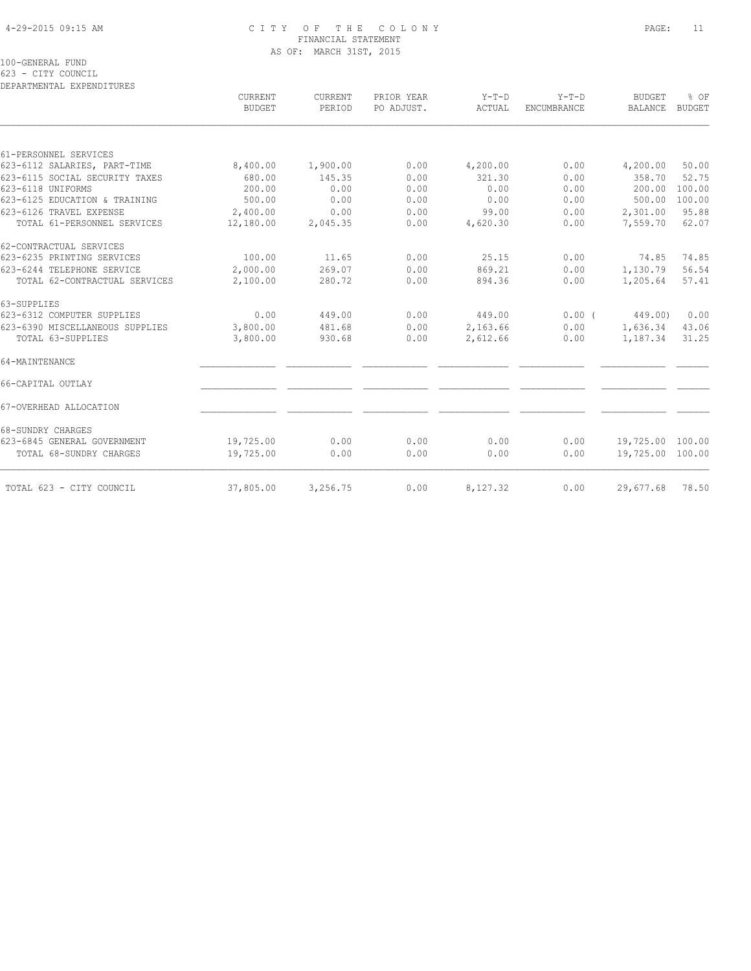# 4-29-2015 09:15 AM C I T Y O F T H E C O L O N Y PAGE: 11 FINANCIAL STATEMENT AS OF: MARCH 31ST, 2015

100-GENERAL FUND

623 - CITY COUNCIL

| CURRENT<br><b>BUDGET</b> | <b>CURRENT</b><br>PERIOD | PRIOR YEAR<br>PO ADJUST. | $Y-T-D$<br>ACTUAL | $Y-T-D$<br><b>ENCUMBRANCE</b> | <b>BUDGET</b><br><b>BALANCE</b> | % OF<br><b>BUDGET</b>                           |
|--------------------------|--------------------------|--------------------------|-------------------|-------------------------------|---------------------------------|-------------------------------------------------|
|                          |                          |                          |                   |                               |                                 |                                                 |
|                          |                          |                          |                   |                               |                                 |                                                 |
| 8,400.00                 | 1,900.00                 | 0.00                     | 4,200.00          | 0.00                          | 4,200.00                        | 50.00                                           |
| 680.00                   | 145.35                   | 0.00                     | 321.30            | 0.00                          | 358.70                          | 52.75                                           |
| 200.00                   | 0.00                     | 0.00                     | 0.00              | 0.00                          | 200.00                          | 100.00                                          |
| 500.00                   | 0.00                     | 0.00                     | 0.00              | 0.00                          | 500.00                          | 100.00                                          |
| 2,400.00                 | 0.00                     | 0.00                     | 99.00             | 0.00                          | 2,301.00                        | 95.88                                           |
| 12,180.00                | 2,045.35                 | 0.00                     | 4,620.30          | 0.00                          | 7,559.70                        | 62.07                                           |
|                          |                          |                          |                   |                               |                                 |                                                 |
| 100.00                   | 11.65                    | 0.00                     | 25.15             | 0.00                          | 74.85                           | 74.85                                           |
| 2,000.00                 | 269.07                   | 0.00                     | 869.21            | 0.00                          | 1,130.79                        | 56.54                                           |
| 2,100.00                 | 280.72                   | 0.00                     | 894.36            | 0.00                          | 1,205.64                        | 57.41                                           |
|                          |                          |                          |                   |                               |                                 |                                                 |
| 0.00                     | 449.00                   | 0.00                     | 449.00            | 0.00(                         |                                 | 0.00                                            |
| 3,800.00                 | 481.68                   | 0.00                     | 2,163.66          | 0.00                          | 1,636.34                        | 43.06                                           |
| 3,800.00                 | 930.68                   | 0.00                     | 2,612.66          | 0.00                          | 1,187.34                        | 31.25                                           |
|                          |                          |                          |                   |                               |                                 |                                                 |
|                          |                          |                          |                   |                               |                                 |                                                 |
|                          |                          |                          |                   |                               |                                 |                                                 |
|                          |                          |                          |                   |                               |                                 |                                                 |
| 19,725.00                | 0.00                     | 0.00                     | 0.00              | 0.00                          |                                 |                                                 |
| 19,725.00                | 0.00                     | 0.00                     | 0.00              | 0.00                          |                                 |                                                 |
| 37,805.00                | 3,256.75                 | 0.00                     | 8,127.32          | 0.00                          | 29,677.68                       | 78.50                                           |
|                          |                          |                          |                   |                               |                                 | 449.00)<br>19,725.00 100.00<br>19,725.00 100.00 |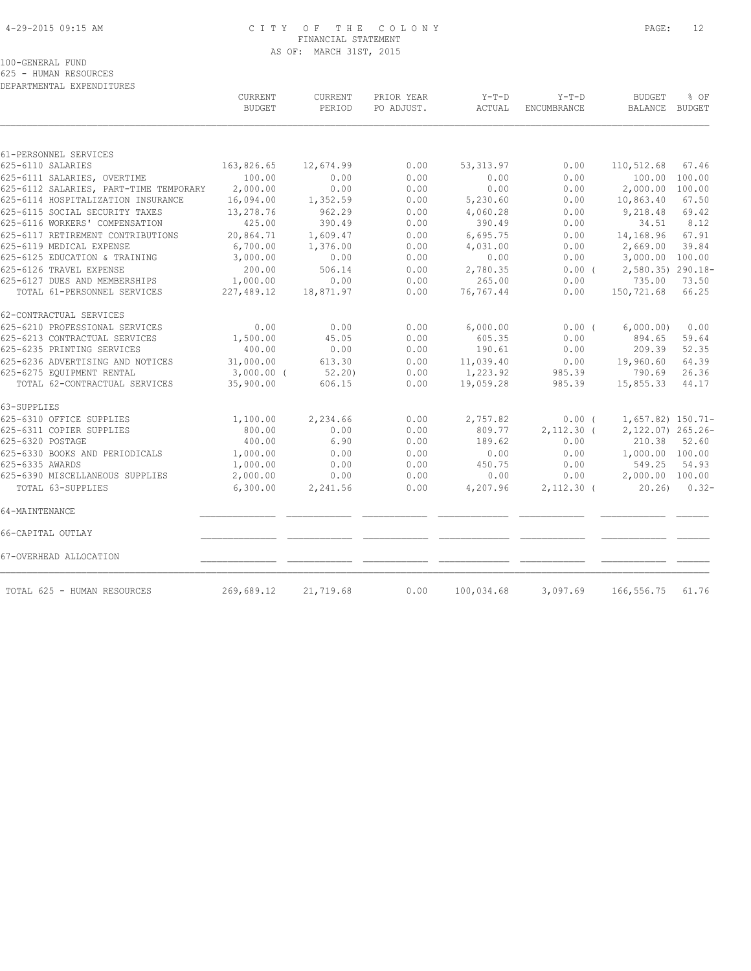# 4-29-2015 09:15 AM C I T Y O F T H E C O L O N Y PAGE: 12 FINANCIAL STATEMENT AS OF: MARCH 31ST, 2015

100-GENERAL FUND

625 - HUMAN RESOURCES

| DEPARTMENTAL EXPENDITURES              |                                 |                          |                          |                   |                        |                                 |          |
|----------------------------------------|---------------------------------|--------------------------|--------------------------|-------------------|------------------------|---------------------------------|----------|
|                                        | <b>CURRENT</b><br><b>BUDGET</b> | <b>CURRENT</b><br>PERIOD | PRIOR YEAR<br>PO ADJUST. | $Y-T-D$<br>ACTUAL | $Y-T-D$<br>ENCUMBRANCE | <b>BUDGET</b><br>BALANCE BUDGET | % OF     |
|                                        |                                 |                          |                          |                   |                        |                                 |          |
| 61-PERSONNEL SERVICES                  |                                 |                          |                          |                   |                        |                                 |          |
| 625-6110 SALARIES                      | 163,826.65                      | 12,674.99                | 0.00                     | 53, 313.97        | 0.00                   | 110,512.68                      | 67.46    |
| 625-6111 SALARIES, OVERTIME            | 100.00                          | 0.00                     | 0.00                     | 0.00              | 0.00                   | 100.00                          | 100.00   |
| 625-6112 SALARIES, PART-TIME TEMPORARY | 2,000.00                        | 0.00                     | 0.00                     | 0.00              | 0.00                   | 2,000.00                        | 100.00   |
| 625-6114 HOSPITALIZATION INSURANCE     | 16,094.00                       | 1,352.59                 | 0.00                     | 5,230.60          | 0.00                   | 10,863.40                       | 67.50    |
| 625-6115 SOCIAL SECURITY TAXES         | 13,278.76                       | 962.29                   | 0.00                     | 4,060.28          | 0.00                   | 9,218.48                        | 69.42    |
| 625-6116 WORKERS' COMPENSATION         | 425.00                          | 390.49                   | 0.00                     | 390.49            | 0.00                   | 34.51                           | 8.12     |
| 625-6117 RETIREMENT CONTRIBUTIONS      | 20,864.71                       | 1,609.47                 | 0.00                     | 6,695.75          | 0.00                   | 14,168.96                       | 67.91    |
| 625-6119 MEDICAL EXPENSE               | 6,700.00                        | 1,376.00                 | 0.00                     | 4,031.00          | 0.00                   | 2,669.00                        | 39.84    |
| 625-6125 EDUCATION & TRAINING          | 3,000.00                        | 0.00                     | 0.00                     | 0.00              | 0.00                   | 3,000.00 100.00                 |          |
| 625-6126 TRAVEL EXPENSE                | 200.00                          | 506.14                   | 0.00                     | 2,780.35          | 0.00(                  | 2,580.35) 290.18-               |          |
| 625-6127 DUES AND MEMBERSHIPS          | 1,000.00                        | 0.00                     | 0.00                     | 265.00            | 0.00                   | 735.00                          | 73.50    |
| TOTAL 61-PERSONNEL SERVICES            | 227,489.12                      | 18,871.97                | 0.00                     | 76,767.44         | 0.00                   | 150,721.68                      | 66.25    |
| 62-CONTRACTUAL SERVICES                |                                 |                          |                          |                   |                        |                                 |          |
| 625-6210 PROFESSIONAL SERVICES         | 0.00                            | 0.00                     | 0.00                     | 6,000.00          | 0.00(                  | 6,000.00)                       | 0.00     |
| 625-6213 CONTRACTUAL SERVICES          | 1,500.00                        | 45.05                    | 0.00                     | 605.35            | 0.00                   | 894.65                          | 59.64    |
| 625-6235 PRINTING SERVICES             | 400.00                          | 0.00                     | 0.00                     | 190.61            | 0.00                   | 209.39                          | 52.35    |
| 625-6236 ADVERTISING AND NOTICES       | 31,000.00                       | 613.30                   | 0.00                     | 11,039.40         | 0.00                   | 19,960.60                       | 64.39    |
| 625-6275 EQUIPMENT RENTAL              | $3,000.00$ (                    | 52, 20)                  | 0.00                     | 1,223.92          | 985.39                 | 790.69                          | 26.36    |
| TOTAL 62-CONTRACTUAL SERVICES          | 35,900.00                       | 606.15                   | 0.00                     | 19,059.28         | 985.39                 | 15,855.33                       | 44.17    |
| 63-SUPPLIES                            |                                 |                          |                          |                   |                        |                                 |          |
| 625-6310 OFFICE SUPPLIES               | 1,100.00                        | 2,234.66                 | 0.00                     | 2,757.82          | $0.00$ (               | $1,657.82$ ) $150.71-$          |          |
| 625-6311 COPIER SUPPLIES               | 800.00                          | 0.00                     | 0.00                     | 809.77            | $2,112.30$ (           | 2,122.07) 265.26-               |          |
| 625-6320 POSTAGE                       | 400.00                          | 6.90                     | 0.00                     | 189.62            | 0.00                   | 210.38                          | 52.60    |
| 625-6330 BOOKS AND PERIODICALS         | 1,000.00                        | 0.00                     | 0.00                     | 0.00              | 0.00                   | 1,000.00 100.00                 |          |
| 625-6335 AWARDS                        | 1,000.00                        | 0.00                     | 0.00                     | 450.75            | 0.00                   | 549.25                          | 54.93    |
| 625-6390 MISCELLANEOUS SUPPLIES        | 2,000.00                        | 0.00                     | 0.00                     | 0.00              | 0.00                   | 2,000.00 100.00                 |          |
| TOTAL 63-SUPPLIES                      | 6,300.00                        | 2,241.56                 | 0.00                     | 4,207.96          | $2,112.30$ (           | 20.26                           | $0.32 -$ |
| 64-MAINTENANCE                         |                                 |                          |                          |                   |                        |                                 |          |
| 66-CAPITAL OUTLAY                      |                                 |                          |                          |                   |                        |                                 |          |
| 67-OVERHEAD ALLOCATION                 |                                 |                          |                          |                   |                        |                                 |          |
| TOTAL 625 - HUMAN RESOURCES            | 269,689.12                      | 21,719.68                | 0.00                     | 100,034.68        | 3,097.69               | 166,556.75                      | 61.76    |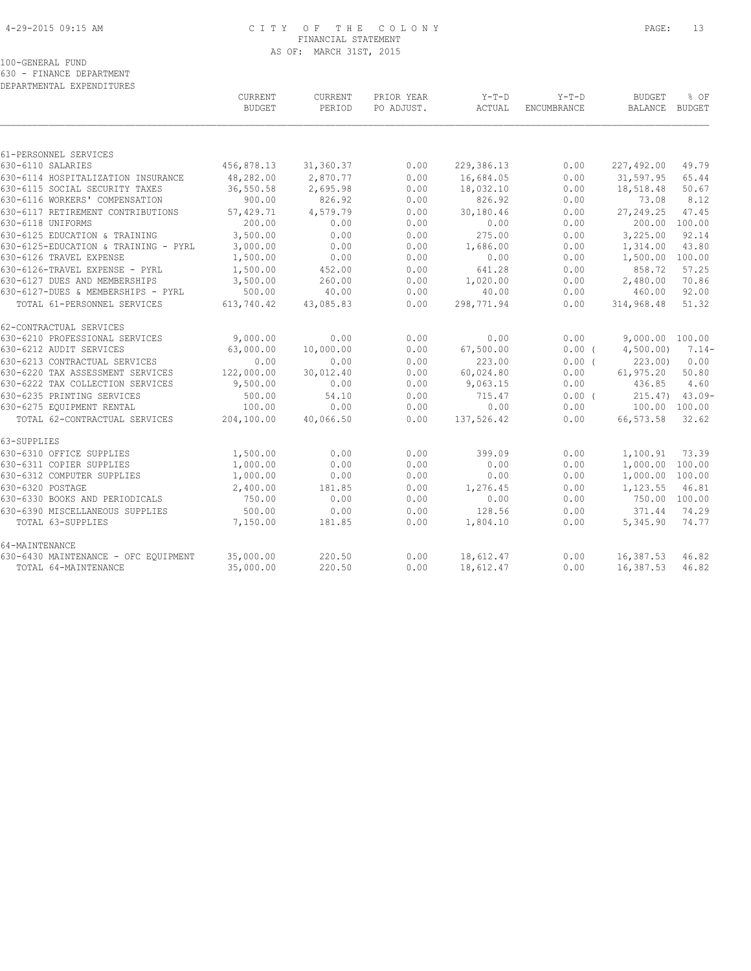# 4-29-2015 09:15 AM C I T Y O F T H E C O L O N Y PAGE: 13 FINANCIAL STATEMENT AS OF: MARCH 31ST, 2015

100-GENERAL FUND

630 - FINANCE DEPARTMENT

| DEPARTMENTAL EXPENDITURES            |               |           |            |            |                    |                 |          |
|--------------------------------------|---------------|-----------|------------|------------|--------------------|-----------------|----------|
|                                      | CURRENT       | CURRENT   | PRIOR YEAR | $Y-T-D$    | $Y-T-D$            | <b>BUDGET</b>   | % OF     |
|                                      | <b>BUDGET</b> | PERIOD    | PO ADJUST. | ACTUAL     | <b>ENCUMBRANCE</b> | <b>BALANCE</b>  | BUDGET   |
|                                      |               |           |            |            |                    |                 |          |
| 61-PERSONNEL SERVICES                |               |           |            |            |                    |                 |          |
| 630-6110 SALARIES                    | 456,878.13    | 31,360.37 | 0.00       | 229,386.13 | 0.00               | 227,492.00      | 49.79    |
| 630-6114 HOSPITALIZATION INSURANCE   | 48,282.00     | 2,870.77  | 0.00       | 16,684.05  | 0.00               | 31,597.95       | 65.44    |
| 630-6115 SOCIAL SECURITY TAXES       | 36,550.58     | 2,695.98  | 0.00       | 18,032.10  | 0.00               | 18,518.48       | 50.67    |
| 630-6116 WORKERS' COMPENSATION       | 900.00        | 826.92    | 0.00       | 826.92     | 0.00               | 73.08           | 8.12     |
| 630-6117 RETIREMENT CONTRIBUTIONS    | 57,429.71     | 4,579.79  | 0.00       | 30,180.46  | 0.00               | 27,249.25       | 47.45    |
| 630-6118 UNIFORMS                    | 200.00        | 0.00      | 0.00       | 0.00       | 0.00               | 200.00          | 100.00   |
| 630-6125 EDUCATION & TRAINING        | 3,500.00      | 0.00      | 0.00       | 275.00     | 0.00               | 3,225.00        | 92.14    |
| 630-6125-EDUCATION & TRAINING - PYRL | 3,000.00      | 0.00      | 0.00       | 1,686.00   | 0.00               | 1,314.00        | 43.80    |
| 630-6126 TRAVEL EXPENSE              | 1,500.00      | 0.00      | 0.00       | 0.00       | 0.00               | 1,500.00        | 100.00   |
| 630-6126-TRAVEL EXPENSE - PYRL       | 1,500.00      | 452.00    | 0.00       | 641.28     | 0.00               | 858.72          | 57.25    |
| 630-6127 DUES AND MEMBERSHIPS        | 3,500.00      | 260.00    | 0.00       | 1,020.00   | 0.00               | 2,480.00        | 70.86    |
| 630-6127-DUES & MEMBERSHIPS - PYRL   | 500.00        | 40.00     | 0.00       | 40.00      | 0.00               | 460.00          | 92.00    |
| TOTAL 61-PERSONNEL SERVICES          | 613,740.42    | 43,085.83 | 0.00       | 298,771.94 | 0.00               | 314,968.48      | 51.32    |
| 62-CONTRACTUAL SERVICES              |               |           |            |            |                    |                 |          |
| 630-6210 PROFESSIONAL SERVICES       | 9,000.00      | 0.00      | 0.00       | 0.00       | 0.00               | 9,000.00 100.00 |          |
| 630-6212 AUDIT SERVICES              | 63,000.00     | 10,000.00 | 0.00       | 67,500.00  | 0.00(              | 4,500.00)       | $7.14-$  |
| 630-6213 CONTRACTUAL SERVICES        | 0.00          | 0.00      | 0.00       | 223.00     | 0.00(              | 223.00          | 0.00     |
| 630-6220 TAX ASSESSMENT SERVICES     | 122,000.00    | 30,012.40 | 0.00       | 60,024.80  | 0.00               | 61, 975.20      | 50.80    |
| 630-6222 TAX COLLECTION SERVICES     | 9,500.00      | 0.00      | 0.00       | 9,063.15   | 0.00               | 436.85          | 4.60     |
| 630-6235 PRINTING SERVICES           | 500.00        | 54.10     | 0.00       | 715.47     | 0.00(              | 215.47          | $43.09-$ |
| 630-6275 EQUIPMENT RENTAL            | 100.00        | 0.00      | 0.00       | 0.00       | 0.00               | 100.00 100.00   |          |
| TOTAL 62-CONTRACTUAL SERVICES        | 204,100.00    | 40,066.50 | 0.00       | 137,526.42 | 0.00               | 66,573.58       | 32.62    |
| 63-SUPPLIES                          |               |           |            |            |                    |                 |          |
| 630-6310 OFFICE SUPPLIES             | 1,500.00      | 0.00      | 0.00       | 399.09     | 0.00               | 1,100.91        | 73.39    |
| 630-6311 COPIER SUPPLIES             | 1,000.00      | 0.00      | 0.00       | 0.00       | 0.00               | 1,000.00        | 100.00   |
| 630-6312 COMPUTER SUPPLIES           | 1,000.00      | 0.00      | 0.00       | 0.00       | 0.00               | 1,000.00        | 100.00   |
| 630-6320 POSTAGE                     | 2,400.00      | 181.85    | 0.00       | 1,276.45   | 0.00               | 1,123.55        | 46.81    |
| 630-6330 BOOKS AND PERIODICALS       | 750.00        | 0.00      | 0.00       | 0.00       | 0.00               | 750.00 100.00   |          |
| 630-6390 MISCELLANEOUS SUPPLIES      | 500.00        | 0.00      | 0.00       | 128.56     | 0.00               | 371.44          | 74.29    |
| TOTAL 63-SUPPLIES                    | 7,150.00      | 181.85    | 0.00       | 1,804.10   | 0.00               | 5,345.90        | 74.77    |
| 64-MAINTENANCE                       |               |           |            |            |                    |                 |          |
| 630-6430 MAINTENANCE - OFC EQUIPMENT | 35,000.00     | 220.50    | 0.00       | 18,612.47  | 0.00               | 16,387.53       | 46.82    |
| TOTAL 64-MAINTENANCE                 | 35,000.00     | 220.50    | 0.00       | 18,612.47  | 0.00               | 16,387.53       | 46.82    |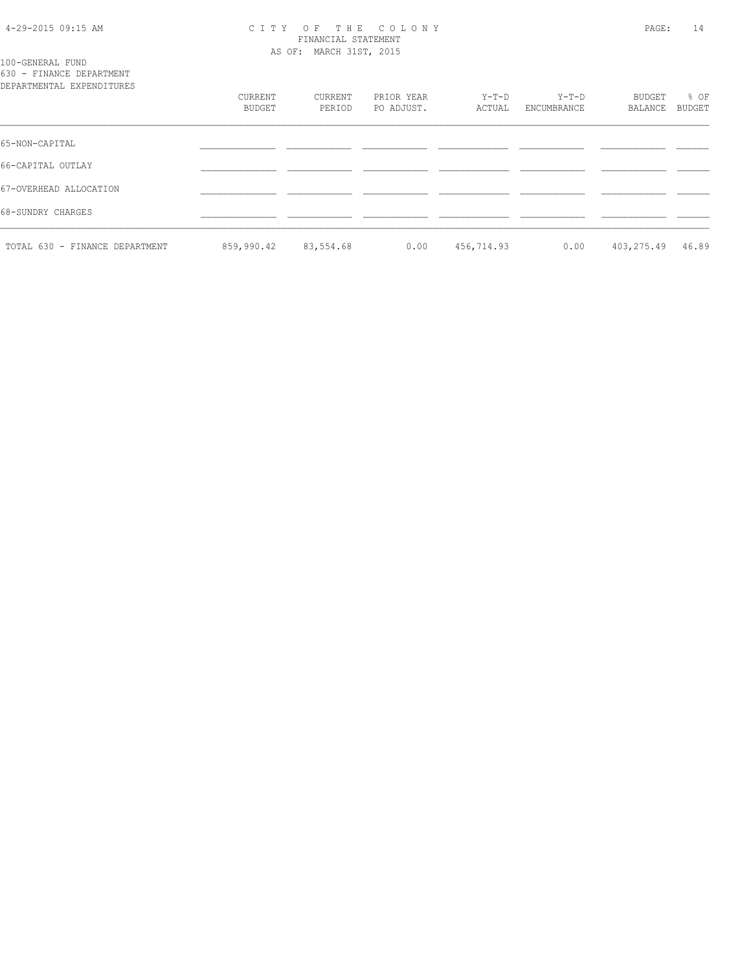#### 4-29-2015 09:15 AM C I T Y O F T H E C O L O N Y PAGE: 14 FINANCIAL STATEMENT AS OF: MARCH 31ST, 2015

100-GENERAL FUND 630 - FINANCE DEPARTMENT

| DEPARTMENTAL EXPENDITURES      |                   |                   |                          |                 |                        |                   |                       |
|--------------------------------|-------------------|-------------------|--------------------------|-----------------|------------------------|-------------------|-----------------------|
|                                | CURRENT<br>BUDGET | CURRENT<br>PERIOD | PRIOR YEAR<br>PO ADJUST. | Y-T-D<br>ACTUAL | $Y-T-D$<br>ENCUMBRANCE | BUDGET<br>BALANCE | % OF<br><b>BUDGET</b> |
| 65-NON-CAPITAL                 |                   |                   |                          |                 |                        |                   |                       |
| 66-CAPITAL OUTLAY              |                   |                   |                          |                 |                        |                   |                       |
| 67-OVERHEAD ALLOCATION         |                   |                   |                          |                 |                        |                   |                       |
| 68-SUNDRY CHARGES              |                   |                   |                          |                 |                        |                   |                       |
| TOTAL 630 - FINANCE DEPARTMENT | 859,990.42        | 83,554.68         | 0.00                     | 456,714.93      | 0.00                   | 403,275.49        | 46.89                 |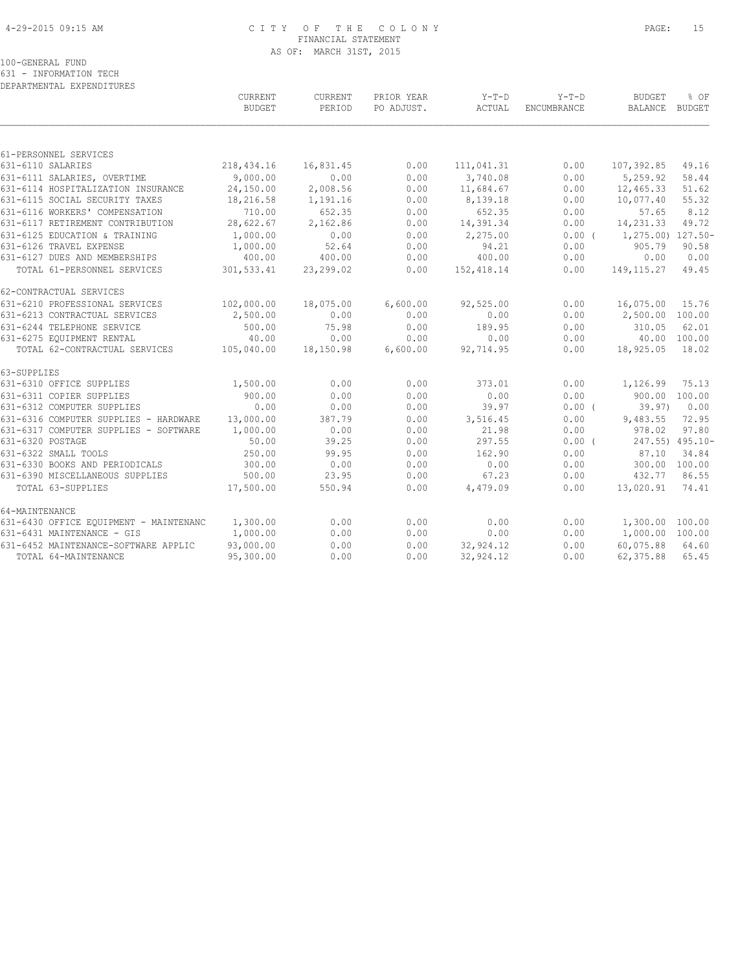# 4-29-2015 09:15 AM C I T Y O F T H E C O L O N Y PAGE: 15 FINANCIAL STATEMENT AS OF: MARCH 31ST, 2015

100-GENERAL FUND

631 - INFORMATION TECH

| DEPARTMENTAL EXPENDITURES              |                                 |                   |                          |            |             |                   |                       |
|----------------------------------------|---------------------------------|-------------------|--------------------------|------------|-------------|-------------------|-----------------------|
|                                        | <b>CURRENT</b><br><b>BUDGET</b> | CURRENT<br>PERIOD | PRIOR YEAR<br>PO ADJUST. | $Y-T-D$    | $Y-T-D$     | <b>BUDGET</b>     | % OF<br><b>BUDGET</b> |
|                                        |                                 |                   |                          | ACTUAL     | ENCUMBRANCE | BALANCE           |                       |
|                                        |                                 |                   |                          |            |             |                   |                       |
| 61-PERSONNEL SERVICES                  |                                 |                   |                          |            |             |                   |                       |
| 631-6110 SALARIES                      | 218, 434.16                     | 16,831.45         | 0.00                     | 111,041.31 | 0.00        | 107,392.85        | 49.16                 |
| 631-6111 SALARIES, OVERTIME            | 9,000.00                        | 0.00              | 0.00                     | 3,740.08   | 0.00        | 5,259.92          | 58.44                 |
| 631-6114 HOSPITALIZATION INSURANCE     | 24,150.00                       | 2,008.56          | 0.00                     | 11,684.67  | 0.00        | 12,465.33         | 51.62                 |
| 631-6115 SOCIAL SECURITY TAXES         | 18,216.58                       | 1,191.16          | 0.00                     | 8,139.18   | 0.00        | 10,077.40         | 55.32                 |
| 631-6116 WORKERS' COMPENSATION         | 710.00                          | 652.35            | 0.00                     | 652.35     | 0.00        | 57.65             | 8.12                  |
| 631-6117 RETIREMENT CONTRIBUTION       | 28,622.67                       | 2,162.86          | 0.00                     | 14,391.34  | 0.00        | 14,231.33         | 49.72                 |
| 631-6125 EDUCATION & TRAINING          | 1,000.00                        | 0.00              | 0.00                     | 2,275.00   | 0.00(       | 1,275.00) 127.50- |                       |
| 631-6126 TRAVEL EXPENSE                | 1,000.00                        | 52.64             | 0.00                     | 94.21      | 0.00        | 905.79            | 90.58                 |
| 631-6127 DUES AND MEMBERSHIPS          | 400.00                          | 400.00            | 0.00                     | 400.00     | 0.00        | 0.00              | 0.00                  |
| TOTAL 61-PERSONNEL SERVICES            | 301,533.41                      | 23,299.02         | 0.00                     | 152,418.14 | 0.00        | 149, 115.27       | 49.45                 |
| 62-CONTRACTUAL SERVICES                |                                 |                   |                          |            |             |                   |                       |
| 631-6210 PROFESSIONAL SERVICES         | 102,000.00                      | 18,075.00         | 6,600.00                 | 92,525.00  | 0.00        | 16,075.00         | 15.76                 |
| 631-6213 CONTRACTUAL SERVICES          | 2,500.00                        | 0.00              | 0.00                     | 0.00       | 0.00        | 2,500.00 100.00   |                       |
| 631-6244 TELEPHONE SERVICE             | 500.00                          | 75.98             | 0.00                     | 189.95     | 0.00        | 310.05            | 62.01                 |
| 631-6275 EQUIPMENT RENTAL              | 40.00                           | 0.00              | 0.00                     | 0.00       | 0.00        |                   | 40.00 100.00          |
| TOTAL 62-CONTRACTUAL SERVICES          | 105,040.00                      | 18,150.98         | 6,600.00                 | 92,714.95  | 0.00        | 18,925.05         | 18.02                 |
| 63-SUPPLIES                            |                                 |                   |                          |            |             |                   |                       |
| 631-6310 OFFICE SUPPLIES               | 1,500.00                        | 0.00              | 0.00                     | 373.01     | 0.00        | 1,126.99          | 75.13                 |
| 631-6311 COPIER SUPPLIES               | 900.00                          | 0.00              | 0.00                     | 0.00       | 0.00        | 900.00            | 100.00                |
| 631-6312 COMPUTER SUPPLIES             | 0.00                            | 0.00              | 0.00                     | 39.97      | $0.00$ (    | 39.97)            | 0.00                  |
| 631-6316 COMPUTER SUPPLIES - HARDWARE  | 13,000.00                       | 387.79            | 0.00                     | 3,516.45   | 0.00        | 9,483.55          | 72.95                 |
| 631-6317 COMPUTER SUPPLIES - SOFTWARE  | 1,000.00                        | 0.00              | 0.00                     | 21.98      | 0.00        | 978.02            | 97.80                 |
| 631-6320 POSTAGE                       | 50.00                           | 39.25             | 0.00                     | 297.55     | $0.00$ (    |                   | 247.55) 495.10-       |
| 631-6322 SMALL TOOLS                   | 250.00                          | 99.95             | 0.00                     | 162.90     | 0.00        | 87.10             | 34.84                 |
| 631-6330 BOOKS AND PERIODICALS         | 300.00                          | 0.00              | 0.00                     | 0.00       | 0.00        | 300.00 100.00     |                       |
| 631-6390 MISCELLANEOUS SUPPLIES        | 500.00                          | 23.95             | 0.00                     | 67.23      | 0.00        | 432.77            | 86.55                 |
| TOTAL 63-SUPPLIES                      | 17,500.00                       | 550.94            | 0.00                     | 4,479.09   | 0.00        | 13,020.91         | 74.41                 |
| 64-MAINTENANCE                         |                                 |                   |                          |            |             |                   |                       |
| 631-6430 OFFICE EQUIPMENT - MAINTENANC | 1,300.00                        | 0.00              | 0.00                     | 0.00       | 0.00        | 1,300.00          | 100.00                |
| 631-6431 MAINTENANCE - GIS             | 1,000.00                        | 0.00              | 0.00                     | 0.00       | 0.00        | 1,000.00 100.00   |                       |
| 631-6452 MAINTENANCE-SOFTWARE APPLIC   | 93,000.00                       | 0.00              | 0.00                     | 32, 924.12 | 0.00        | 60,075.88         | 64.60                 |
| TOTAL 64-MAINTENANCE                   | 95,300.00                       | 0.00              | 0.00                     | 32,924.12  | 0.00        | 62,375.88         | 65.45                 |
|                                        |                                 |                   |                          |            |             |                   |                       |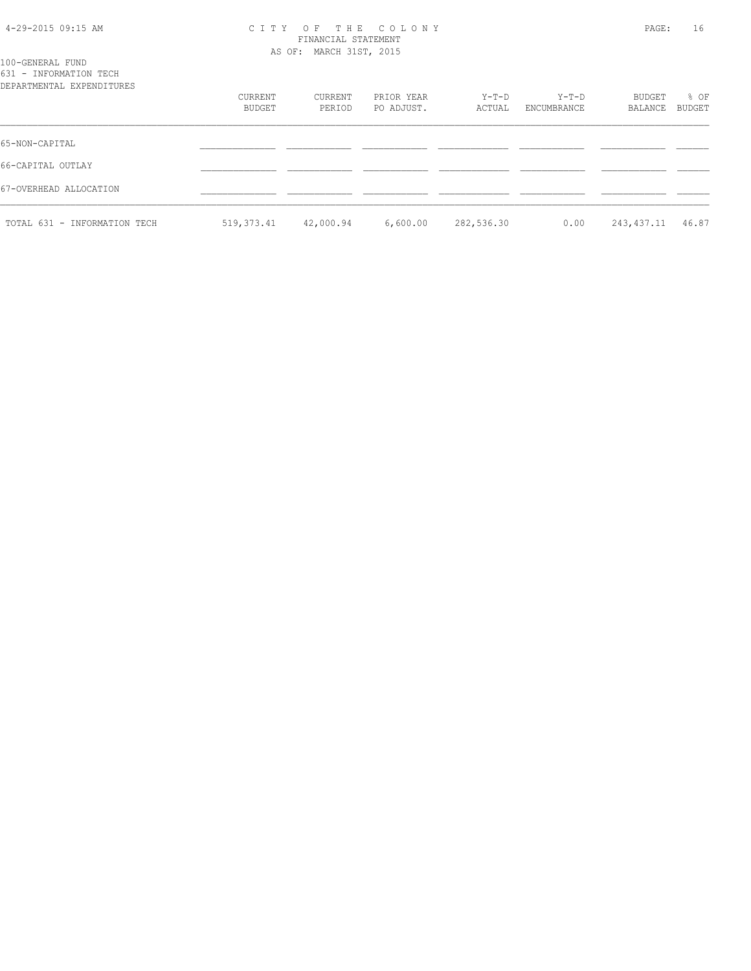# 4-29-2015 09:15 AM C I T Y O F T H E C O L O N Y PAGE: 16 FINANCIAL STATEMENT

|                                                                         |                   | AS OF: MARCH 31ST, 2015 |                          |                 |                      |                   |                |
|-------------------------------------------------------------------------|-------------------|-------------------------|--------------------------|-----------------|----------------------|-------------------|----------------|
| 100-GENERAL FUND<br>631 - INFORMATION TECH<br>DEPARTMENTAL EXPENDITURES |                   |                         |                          |                 |                      |                   |                |
|                                                                         | CURRENT<br>BUDGET | CURRENT<br>PERIOD       | PRIOR YEAR<br>PO ADJUST. | Y-T-D<br>ACTUAL | Y-T-D<br>ENCUMBRANCE | BUDGET<br>BALANCE | % OF<br>BUDGET |
| 65-NON-CAPITAL                                                          |                   |                         |                          |                 |                      |                   |                |
| 66-CAPITAL OUTLAY                                                       |                   |                         |                          |                 |                      |                   |                |
| 67-OVERHEAD ALLOCATION                                                  |                   |                         |                          |                 |                      |                   |                |
| TOTAL 631 - INFORMATION TECH                                            | 519,373.41        | 42,000.94               | 6,600.00                 | 282,536.30      | 0.00                 | 243,437.11        | 46.87          |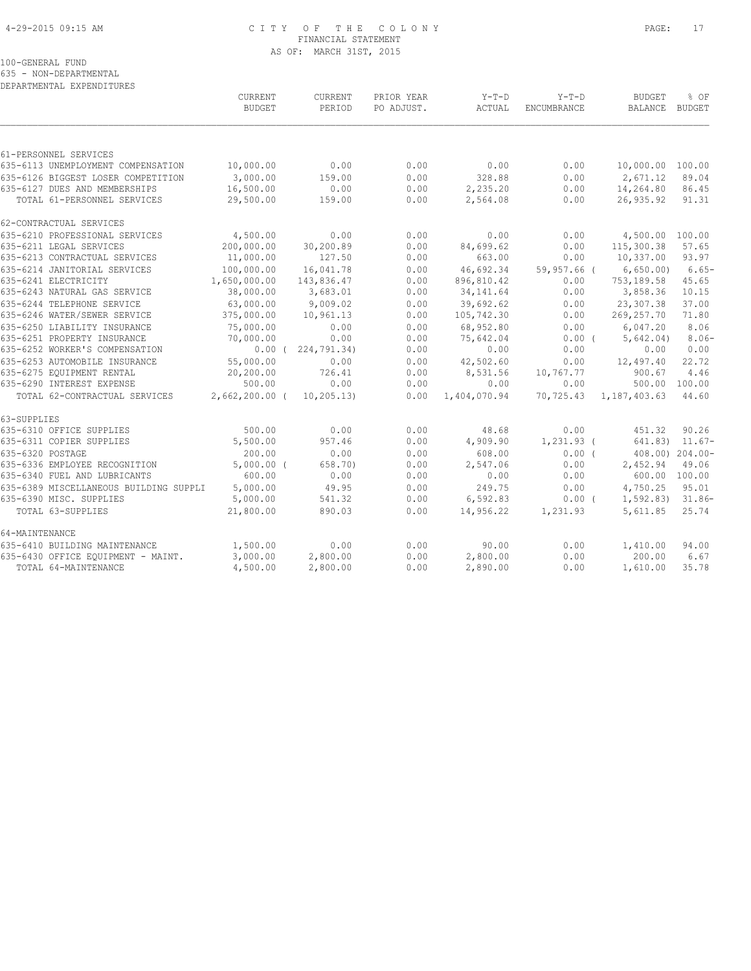# 4-29-2015 09:15 AM C I T Y O F T H E C O L O N Y PAGE: 17 FINANCIAL STATEMENT AS OF: MARCH 31ST, 2015

100-GENERAL FUND

635 - NON-DEPARTMENTAL

| DEPARTMENTAL EXPENDITURES              |                  |                         |            | $Y-T-D$      | $Y-T-D$      |                        | % OF                  |
|----------------------------------------|------------------|-------------------------|------------|--------------|--------------|------------------------|-----------------------|
|                                        | CURRENT          | CURRENT                 | PRIOR YEAR |              |              | <b>BUDGET</b>          |                       |
|                                        | <b>BUDGET</b>    | PERIOD                  | PO ADJUST. | ACTUAL       | ENCUMBRANCE  | BALANCE                | BUDGET                |
|                                        |                  |                         |            |              |              |                        |                       |
| 61-PERSONNEL SERVICES                  |                  |                         |            |              |              |                        |                       |
| 635-6113 UNEMPLOYMENT COMPENSATION     | 10,000.00        | 0.00                    | 0.00       | 0.00         | 0.00         | 10,000.00 100.00       |                       |
| 635-6126 BIGGEST LOSER COMPETITION     | 3,000.00         | 159.00                  | 0.00       | 328.88       | 0.00         | 2,671.12               | 89.04                 |
| 635-6127 DUES AND MEMBERSHIPS          | 16,500.00        | 0.00                    | 0.00       | 2,235.20     | 0.00         | 14,264.80              | 86.45                 |
| TOTAL 61-PERSONNEL SERVICES            | 29,500.00        | 159.00                  | 0.00       | 2,564.08     | 0.00         | 26,935.92              | 91.31                 |
| 62-CONTRACTUAL SERVICES                |                  |                         |            |              |              |                        |                       |
| 635-6210 PROFESSIONAL SERVICES         | 4,500.00         | 0.00                    | 0.00       | 0.00         | 0.00         | 4,500.00 100.00        |                       |
| 635-6211 LEGAL SERVICES                | 200,000.00       | 30,200.89               | 0.00       | 84,699.62    | 0.00         | 115,300.38             | 57.65                 |
| 635-6213 CONTRACTUAL SERVICES          | 11,000.00        | 127.50                  | 0.00       | 663.00       | 0.00         | 10,337.00              | 93.97                 |
| 635-6214 JANITORIAL SERVICES           | 100,000.00       | 16,041.78               | 0.00       | 46,692.34    | 59,957.66 (  | 6,650.00               | $6.65-$               |
| 635-6241 ELECTRICITY                   | 1,650,000.00     | 143,836.47              | 0.00       | 896,810.42   | 0.00         | 753,189.58             | 45.65                 |
| 635-6243 NATURAL GAS SERVICE           | 38,000.00        | 3,683.01                | 0.00       | 34, 141.64   | 0.00         | 3,858.36               | 10.15                 |
| 635-6244 TELEPHONE SERVICE             | 63,000.00        | 9,009.02                | 0.00       | 39,692.62    | 0.00         | 23,307.38              | 37.00                 |
| 635-6246 WATER/SEWER SERVICE           | 375,000.00       | 10,961.13               | 0.00       | 105,742.30   | 0.00         | 269,257.70             | 71.80                 |
| 635-6250 LIABILITY INSURANCE           | 75,000.00        | 0.00                    | 0.00       | 68,952.80    | 0.00         | 6,047.20               | 8.06                  |
| 635-6251 PROPERTY INSURANCE            | 70,000.00        | 0.00                    | 0.00       | 75,642.04    | $0.00$ (     | 5,642.04)              | $8.06-$               |
| 635-6252 WORKER'S COMPENSATION         |                  | $0.00$ ( $224,791.34$ ) | 0.00       | 0.00         | 0.00         | 0.00                   | 0.00                  |
| 635-6253 AUTOMOBILE INSURANCE          | 55,000.00        | 0.00                    | 0.00       | 42,502.60    | 0.00         | 12,497.40              | 22.72                 |
| 635-6275 EOUIPMENT RENTAL              | 20,200.00        | 726.41                  | 0.00       | 8,531.56     | 10,767.77    | 900.67                 | 4.46                  |
| 635-6290 INTEREST EXPENSE              | 500.00           | 0.00                    | 0.00       | 0.00         | 0.00         | 500.00 100.00          |                       |
| TOTAL 62-CONTRACTUAL SERVICES          | $2,662,200.00$ ( | 10, 205, 13)            | 0.00       | 1,404,070.94 |              | 70,725.43 1,187,403.63 | 44.60                 |
| 63-SUPPLIES                            |                  |                         |            |              |              |                        |                       |
| 635-6310 OFFICE SUPPLIES               | 500.00           | 0.00                    | 0.00       | 48.68        | 0.00         | 451.32                 | 90.26                 |
| 635-6311 COPIER SUPPLIES               | 5,500.00         | 957.46                  | 0.00       | 4,909.90     | $1,231.93$ ( |                        | $641.83$ $11.67-$     |
| 635-6320 POSTAGE                       | 200.00           | 0.00                    | 0.00       | 608.00       | 0.00(        |                        | $408.00$ ) $204.00$ - |
| 635-6336 EMPLOYEE RECOGNITION          | $5,000.00$ (     | 658.70)                 | 0.00       | 2,547.06     | 0.00         | 2,452.94               | 49.06                 |
| 635-6340 FUEL AND LUBRICANTS           | 600.00           | 0.00                    | 0.00       | 0.00         | 0.00         | 600.00 100.00          |                       |
| 635-6389 MISCELLANEOUS BUILDING SUPPLI | 5,000.00         | 49.95                   | 0.00       | 249.75       | 0.00         | 4,750.25               | 95.01                 |
| 635-6390 MISC. SUPPLIES                | 5,000.00         | 541.32                  | 0.00       | 6,592.83     | $0.00$ (     | 1,592.83) 31.86-       |                       |
| TOTAL 63-SUPPLIES                      | 21,800.00        | 890.03                  | 0.00       | 14,956.22    | 1,231.93     | 5,611.85               | 25.74                 |
| 64-MAINTENANCE                         |                  |                         |            |              |              |                        |                       |
| 635-6410 BUILDING MAINTENANCE          | 1,500.00         | 0.00                    | 0.00       | 90.00        | 0.00         | 1,410.00               | 94.00                 |
| 635-6430 OFFICE EQUIPMENT - MAINT.     | 3,000.00         | 2,800.00                | 0.00       | 2,800.00     | 0.00         | 200.00                 | 6.67                  |
| TOTAL 64-MAINTENANCE                   | 4,500.00         | 2,800.00                | 0.00       | 2,890.00     | 0.00         | 1,610.00               | 35.78                 |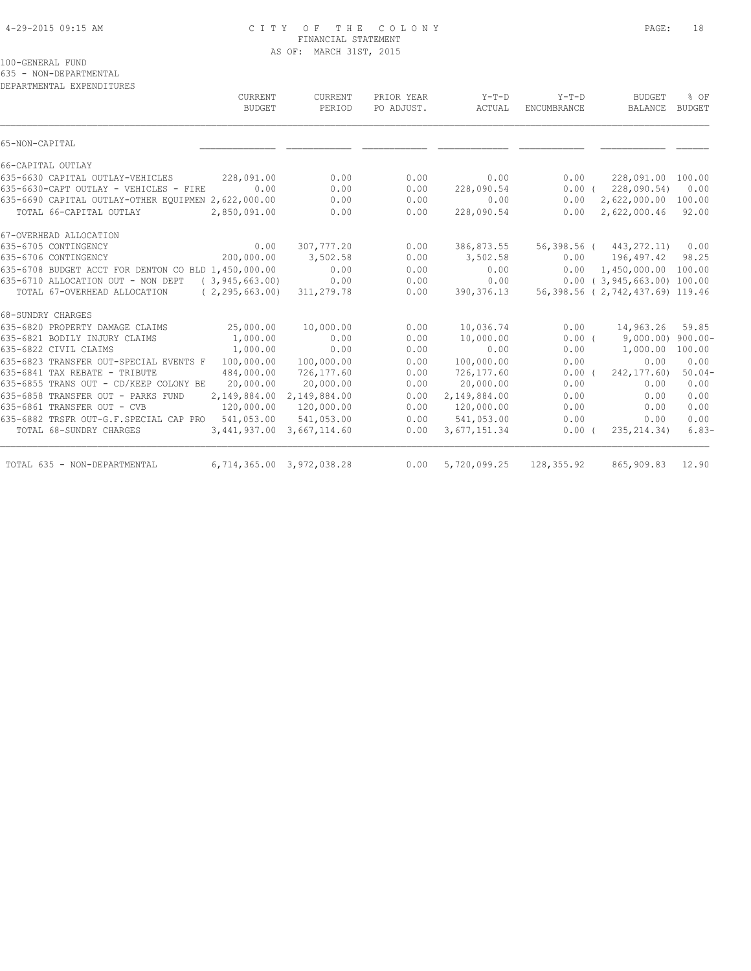# 4-29-2015 09:15 AM C I T Y O F T H E C O L O N Y PAGE: 18 FINANCIAL STATEMENT AS OF: MARCH 31ST, 2015

100-GENERAL FUND

635 - NON-DEPARTMENTAL

DEPARTMENTAL EXPENDITURES

| <b>CURRENT</b><br><b>BUDGET</b>                           | CURRENT<br>PERIOD | PRIOR YEAR<br>PO ADJUST. | $Y-T-D$<br>ACTUAL | $Y-T-D$<br>ENCUMBRANCE | <b>BUDGET</b><br><b>BALANCE</b>  | % OF<br><b>BUDGET</b> |
|-----------------------------------------------------------|-------------------|--------------------------|-------------------|------------------------|----------------------------------|-----------------------|
| 65-NON-CAPITAL                                            |                   |                          |                   |                        |                                  |                       |
| 66-CAPITAL OUTLAY                                         |                   |                          |                   |                        |                                  |                       |
| 635-6630 CAPITAL OUTLAY-VEHICLES<br>228,091.00            | 0.00              | 0.00                     | 0.00              | 0.00                   | 228,091.00 100.00                |                       |
| 0.00<br>635-6630-CAPT OUTLAY - VEHICLES - FIRE            | 0.00              | 0.00                     | 228,090.54        |                        | $0.00$ ( 228,090.54)             | 0.00                  |
| 635-6690 CAPITAL OUTLAY-OTHER EQUIPMEN 2,622,000.00       | 0.00              | 0.00                     | 0.00              | 0.00                   | 2,622,000.00 100.00              |                       |
| TOTAL 66-CAPITAL OUTLAY<br>2,850,091.00                   | 0.00              | 0.00                     | 228,090.54        | 0.00                   | 2,622,000.46                     | 92.00                 |
| 67-OVERHEAD ALLOCATION                                    |                   |                          |                   |                        |                                  |                       |
| 635-6705 CONTINGENCY<br>0.00                              | 307,777.20        | 0.00                     | 386,873.55        |                        | 56,398.56 ( 443,272.11)          | 0.00                  |
| 200,000.00<br>635-6706 CONTINGENCY                        | 3,502.58          | 0.00                     | 3,502.58          | 0.00                   | 196,497.42                       | 98.25                 |
| 635-6708 BUDGET ACCT FOR DENTON CO BLD 1,450,000.00       | 0.00              | 0.00                     | 0.00              | 0.00                   | 1,450,000.00 100.00              |                       |
| 635-6710 ALLOCATION OUT - NON DEPT<br>(3, 945, 663, 00)   | 0.00              | 0.00                     | 0.00              |                        | $0.00$ ( 3,945,663.00) 100.00    |                       |
| TOTAL 67-OVERHEAD ALLOCATION<br>(2, 295, 663, 00)         | 311,279.78        | 0.00                     | 390, 376.13       |                        | 56,398.56 ( 2,742,437.69) 119.46 |                       |
| 68-SUNDRY CHARGES                                         |                   |                          |                   |                        |                                  |                       |
| 25,000.00<br>635-6820 PROPERTY DAMAGE CLAIMS              | 10,000.00         | 0.00                     | 10,036.74         | 0.00                   | 14,963.26                        | 59.85                 |
| 635-6821 BODILY INJURY CLAIMS<br>1,000.00                 | 0.00              | 0.00                     | 10,000.00         | $0.00$ (               | $9,000.00)$ 900.00-              |                       |
| 635-6822 CIVIL CLAIMS<br>1,000.00                         | 0.00              | 0.00                     | 0.00              | 0.00                   | 1,000.00                         | 100.00                |
| 100,000.00<br>635-6823 TRANSFER OUT-SPECIAL EVENTS F      | 100,000.00        | 0.00                     | 100,000.00        | 0.00                   | 0.00                             | 0.00                  |
| 484,000.00<br>635-6841 TAX REBATE - TRIBUTE               | 726,177.60        | 0.00                     | 726,177.60        | $0.00$ (               | 242, 177.60)                     | $50.04-$              |
| 635-6855 TRANS OUT - CD/KEEP COLONY BE<br>20,000.00       | 20,000.00         | 0.00                     | 20,000.00         | 0.00                   | 0.00                             | 0.00                  |
| 635-6858 TRANSFER OUT - PARKS FUND<br>2,149,884.00        | 2,149,884.00      | 0.00                     | 2,149,884.00      | 0.00                   | 0.00                             | 0.00                  |
| 635-6861 TRANSFER OUT - CVB<br>120,000.00                 | 120,000.00        | 0.00                     | 120,000.00        | 0.00                   | 0.00                             | 0.00                  |
| 541,053.00<br>635-6882 TRSFR OUT-G.F.SPECIAL CAP PRO      | 541,053.00        | 0.00                     | 541,053.00        | 0.00                   | 0.00                             | 0.00                  |
| TOTAL 68-SUNDRY CHARGES<br>3,441,937.00                   | 3,667,114.60      | 0.00                     | 3,677,151.34      | 0.00(                  | 235, 214.34)                     | $6.83-$               |
| TOTAL 635 - NON-DEPARTMENTAL<br>6,714,365.00 3,972,038.28 |                   | 0.00                     | 5,720,099.25      | 128,355.92             | 865,909.83                       | 12.90                 |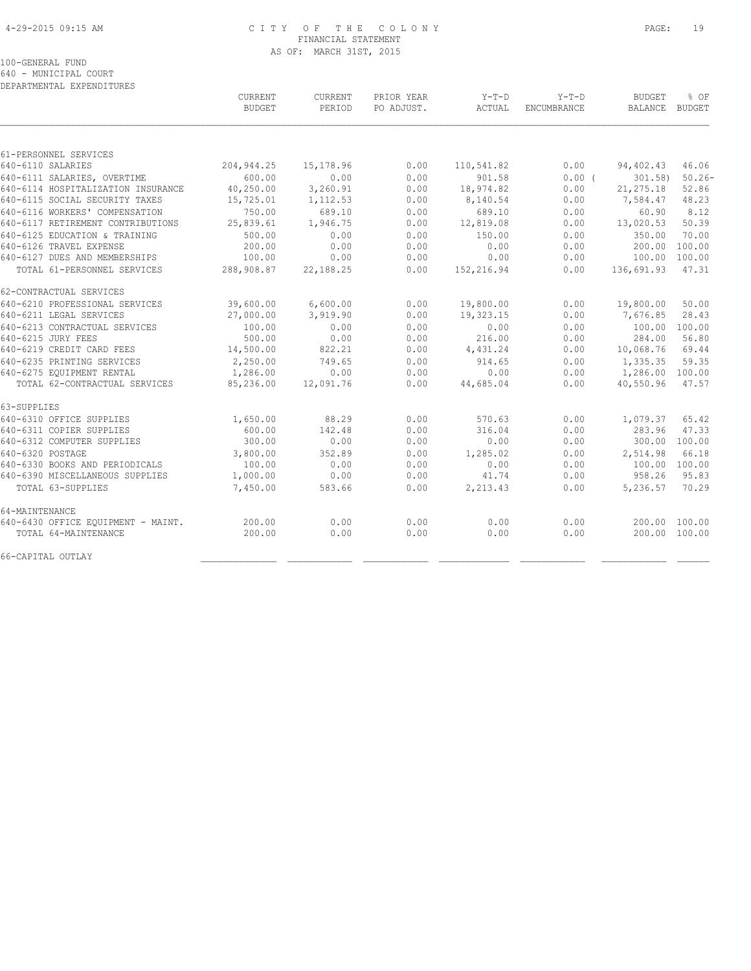# 4-29-2015 09:15 AM C I T Y O F T H E C O L O N Y PAGE: 19 FINANCIAL STATEMENT AS OF: MARCH 31ST, 2015

100-GENERAL FUND

640 - MUNICIPAL COURT DEPARTMENTAL EXPENDITURES

|                                    | CURRENT<br><b>BUDGET</b> | CURRENT<br>PERIOD | PRIOR YEAR<br>PO ADJUST. | Y-T-D<br>ACTUAL | $Y-T-D$<br>ENCUMBRANCE | <b>BUDGET</b><br>BALANCE | % OF<br>BUDGET |
|------------------------------------|--------------------------|-------------------|--------------------------|-----------------|------------------------|--------------------------|----------------|
|                                    |                          |                   |                          |                 |                        |                          |                |
| 61-PERSONNEL SERVICES              |                          |                   |                          |                 |                        |                          |                |
| 640-6110 SALARIES                  | 204, 944.25              | 15,178.96         | 0.00                     | 110,541.82      | 0.00                   | 94,402.43                | 46.06          |
| 640-6111 SALARIES, OVERTIME        | 600.00                   | 0.00              | 0.00                     | 901.58          | $0.00$ (               | $301.58$ )               | $50.26 -$      |
| 640-6114 HOSPITALIZATION INSURANCE | 40,250.00                | 3,260.91          | 0.00                     | 18,974.82       | 0.00                   | 21, 275.18               | 52.86          |
| 640-6115 SOCIAL SECURITY TAXES     | 15,725.01                | 1,112.53          | 0.00                     | 8,140.54        | 0.00                   | 7,584.47                 | 48.23          |
| 640-6116 WORKERS' COMPENSATION     | 750.00                   | 689.10            | 0.00                     | 689.10          | 0.00                   | 60.90                    | 8.12           |
| 640-6117 RETIREMENT CONTRIBUTIONS  | 25,839.61                | 1,946.75          | 0.00                     | 12,819.08       | 0.00                   | 13,020.53                | 50.39          |
| 640-6125 EDUCATION & TRAINING      | 500.00                   | 0.00              | 0.00                     | 150.00          | 0.00                   | 350.00                   | 70.00          |
| 640-6126 TRAVEL EXPENSE            | 200.00                   | 0.00              | 0.00                     | 0.00            | 0.00                   | 200.00                   | 100.00         |
| 640-6127 DUES AND MEMBERSHIPS      | 100.00                   | 0.00              | 0.00                     | 0.00            | 0.00                   | 100.00 100.00            |                |
| TOTAL 61-PERSONNEL SERVICES        | 288,908.87               | 22,188.25         | 0.00                     | 152,216.94      | 0.00                   | 136,691.93               | 47.31          |
| 62-CONTRACTUAL SERVICES            |                          |                   |                          |                 |                        |                          |                |
| 640-6210 PROFESSIONAL SERVICES     | 39,600.00                | 6,600.00          | 0.00                     | 19,800.00       | 0.00                   | 19,800.00                | 50.00          |
| 640-6211 LEGAL SERVICES            | 27,000.00                | 3,919.90          | 0.00                     | 19,323.15       | 0.00                   | 7,676.85                 | 28.43          |
| 640-6213 CONTRACTUAL SERVICES      | 100.00                   | 0.00              | 0.00                     | 0.00            | 0.00                   | 100.00 100.00            |                |
| 640-6215 JURY FEES                 | 500.00                   | 0.00              | 0.00                     | 216.00          | 0.00                   | 284.00                   | 56.80          |
| 640-6219 CREDIT CARD FEES          | 14,500.00                | 822.21            | 0.00                     | 4,431.24        | 0.00                   | 10,068.76                | 69.44          |
| 640-6235 PRINTING SERVICES         | 2,250.00                 | 749.65            | 0.00                     | 914.65          | 0.00                   | 1,335.35                 | 59.35          |
| 640-6275 EQUIPMENT RENTAL          | 1,286.00                 | 0.00              | 0.00                     | 0.00            | 0.00                   | 1,286.00 100.00          |                |
| TOTAL 62-CONTRACTUAL SERVICES      | 85,236.00                | 12,091.76         | 0.00                     | 44,685.04       | 0.00                   | 40,550.96                | 47.57          |
| 63-SUPPLIES                        |                          |                   |                          |                 |                        |                          |                |
| 640-6310 OFFICE SUPPLIES           | 1,650.00                 | 88.29             | 0.00                     | 570.63          | 0.00                   | 1,079.37                 | 65.42          |
| 640-6311 COPIER SUPPLIES           | 600.00                   | 142.48            | 0.00                     | 316.04          | 0.00                   | 283.96                   | 47.33          |
| 640-6312 COMPUTER SUPPLIES         | 300.00                   | 0.00              | 0.00                     | 0.00            | 0.00                   | 300.00 100.00            |                |
| 640-6320 POSTAGE                   | 3,800.00                 | 352.89            | 0.00                     | 1,285.02        | 0.00                   | 2,514.98                 | 66.18          |
| 640-6330 BOOKS AND PERIODICALS     | 100.00                   | 0.00              | 0.00                     | 0.00            | 0.00                   | 100.00 100.00            |                |
| 640-6390 MISCELLANEOUS SUPPLIES    | 1,000.00                 | 0.00              | 0.00                     | 41.74           | 0.00                   | 958.26                   | 95.83          |
| TOTAL 63-SUPPLIES                  | 7,450.00                 | 583.66            | 0.00                     | 2,213.43        | 0.00                   | 5,236.57                 | 70.29          |
| 64-MAINTENANCE                     |                          |                   |                          |                 |                        |                          |                |
| 640-6430 OFFICE EQUIPMENT - MAINT. | 200.00                   | 0.00              | 0.00                     | 0.00            | 0.00                   | 200.00 100.00            |                |
| TOTAL 64-MAINTENANCE               | 200.00                   | 0.00              | 0.00                     | 0.00            | 0.00                   | 200.00 100.00            |                |
| 66-CAPITAL OUTLAY                  |                          |                   |                          |                 |                        |                          |                |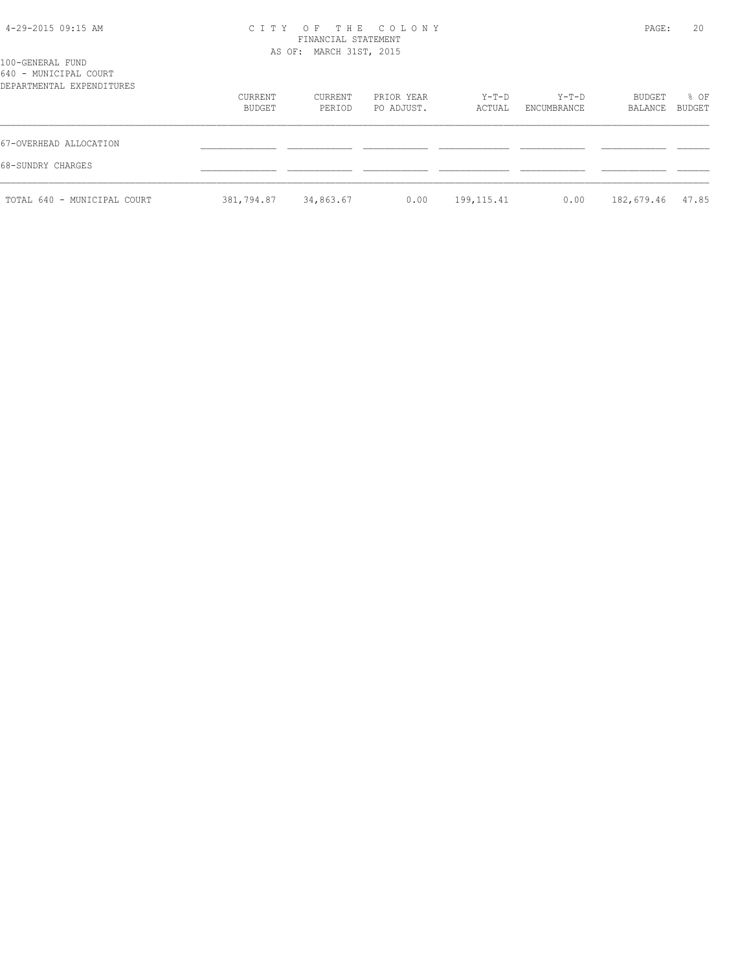| 4-29-2015 09:15 AM |  |  |
|--------------------|--|--|
|--------------------|--|--|

# 4-29-2015 09:15 AM C I T Y O F T H E C O L O N Y PAGE: 20 FINANCIAL STATEMENT AS OF: MARCH 31ST, 2015

| 100-GENERAL FUND<br>640 - MUNICIPAL COURT<br>DEPARTMENTAL EXPENDITURES |                   |                   |                          |                 |                      |                   |                       |
|------------------------------------------------------------------------|-------------------|-------------------|--------------------------|-----------------|----------------------|-------------------|-----------------------|
|                                                                        | CURRENT<br>BUDGET | CURRENT<br>PERIOD | PRIOR YEAR<br>PO ADJUST. | Y-T-D<br>ACTUAL | Y-T-D<br>ENCUMBRANCE | BUDGET<br>BALANCE | % OF<br><b>BUDGET</b> |
| 67-OVERHEAD ALLOCATION                                                 |                   |                   |                          |                 |                      |                   |                       |
| 68-SUNDRY CHARGES                                                      |                   |                   |                          |                 |                      |                   |                       |
| TOTAL 640 - MUNICIPAL COURT                                            | 381,794.87        | 34,863.67         | 0.00                     | 199, 115.41     | 0.00                 | 182,679.46        | 47.85                 |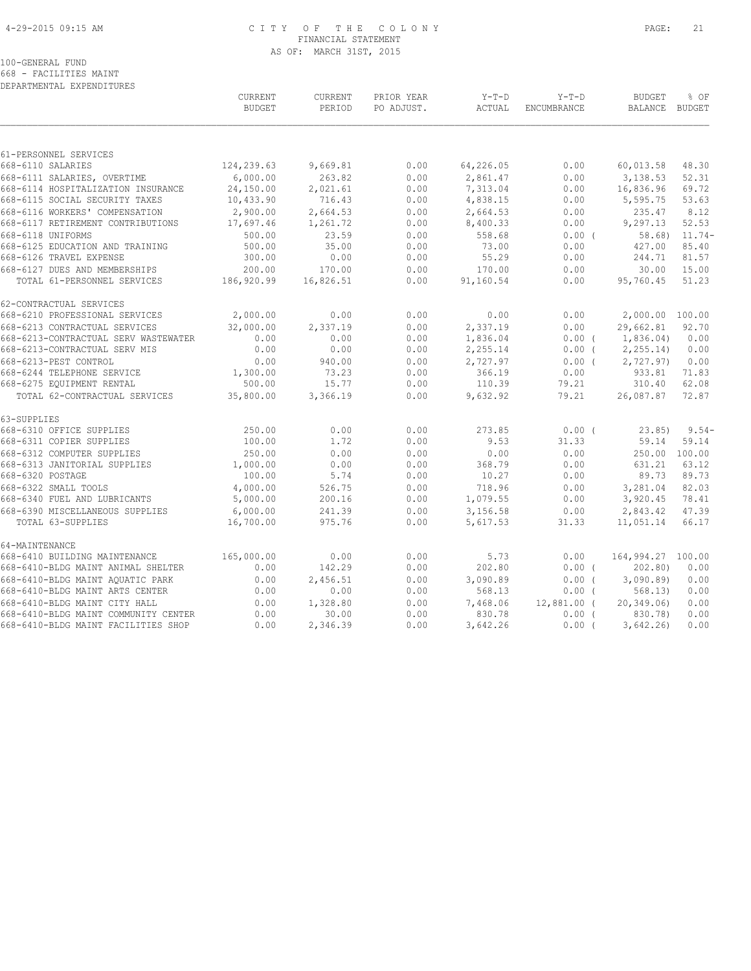# 4-29-2015 09:15 AM C I T Y O F T H E C O L O N Y PAGE: 21 FINANCIAL STATEMENT AS OF: MARCH 31ST, 2015

100-GENERAL FUND

668 - FACILITIES MAINT DEPARTMENTAL EXPENDITURES

|                                                      | CURRENT<br><b>BUDGET</b> | CURRENT<br>PERIOD  | PRIOR YEAR<br>PO ADJUST. | $Y-T-D$<br>ACTUAL  | $Y-T-D$<br>ENCUMBRANCE | <b>BUDGET</b><br>BALANCE BUDGET | % OF             |
|------------------------------------------------------|--------------------------|--------------------|--------------------------|--------------------|------------------------|---------------------------------|------------------|
|                                                      |                          |                    |                          |                    |                        |                                 |                  |
| 61-PERSONNEL SERVICES<br>668-6110 SALARIES           | 124,239.63               |                    | 0.00                     | 64,226.05          |                        |                                 | 48.30            |
| 668-6111 SALARIES, OVERTIME                          | 6,000.00                 | 9,669.81<br>263.82 | 0.00                     | 2,861.47           | 0.00<br>0.00           | 60,013.58<br>3,138.53           | 52.31            |
| 668-6114 HOSPITALIZATION INSURANCE                   | 24,150.00                | 2,021.61           | 0.00                     | 7,313.04           | 0.00                   | 16,836.96                       | 69.72            |
| 668-6115 SOCIAL SECURITY TAXES                       | 10,433.90                | 716.43             | 0.00                     | 4,838.15           | 0.00                   | 5,595.75                        | 53.63            |
| 668-6116 WORKERS' COMPENSATION                       | 2,900.00                 | 2,664.53           | 0.00                     | 2,664.53           | 0.00                   | 235.47                          | 8.12             |
| 668-6117 RETIREMENT CONTRIBUTIONS                    | 17,697.46                | 1,261.72           | 0.00                     | 8,400.33           | 0.00                   | 9,297.13                        | 52.53            |
| 668-6118 UNIFORMS                                    | 500.00                   | 23.59              | 0.00                     | 558.68             | 0.00(                  |                                 | $58.68$ $11.74-$ |
| 668-6125 EDUCATION AND TRAINING                      | 500.00                   | 35.00              | 0.00                     | 73.00              | 0.00                   | 427.00                          | 85.40            |
| 668-6126 TRAVEL EXPENSE                              | 300.00                   | 0.00               | 0.00                     | 55.29              | 0.00                   | 244.71                          | 81.57            |
| 668-6127 DUES AND MEMBERSHIPS                        | 200.00                   | 170.00             | 0.00                     | 170.00             | 0.00                   | 30.00                           | 15.00            |
| TOTAL 61-PERSONNEL SERVICES                          | 186,920.99               | 16,826.51          | 0.00                     | 91,160.54          | 0.00                   | 95,760.45                       | 51.23            |
| 62-CONTRACTUAL SERVICES                              |                          |                    |                          |                    |                        |                                 |                  |
| 668-6210 PROFESSIONAL SERVICES                       | 2,000.00                 | 0.00               | 0.00                     | 0.00               | 0.00                   | 2,000.00 100.00                 |                  |
| 668-6213 CONTRACTUAL SERVICES                        | 32,000.00                | 2,337.19           | 0.00                     | 2,337.19           | 0.00                   | 29,662.81                       | 92.70            |
| 668-6213-CONTRACTUAL SERV WASTEWATER                 | 0.00                     | 0.00               | 0.00                     | 1,836.04           | $0.00$ (               | 1,836.04)                       | 0.00             |
| 668-6213-CONTRACTUAL SERV MIS                        | 0.00                     | 0.00               | 0.00                     | 2,255.14           | $0.00$ (               | 2, 255.14                       | 0.00             |
| 668-6213-PEST CONTROL                                | 0.00                     | 940.00             | 0.00                     | 2,727.97           | $0.00$ (               | 2,727.97)                       | 0.00             |
| 668-6244 TELEPHONE SERVICE                           | 1,300.00                 | 73.23              | 0.00                     | 366.19             | 0.00                   | 933.81                          | 71.83            |
| 668-6275 EQUIPMENT RENTAL                            | 500.00                   | 15.77              | 0.00                     | 110.39             | 79.21                  | 310.40                          | 62.08            |
| TOTAL 62-CONTRACTUAL SERVICES                        | 35,800.00                | 3,366.19           | 0.00                     | 9,632.92           | 79.21                  | 26,087.87                       | 72.87            |
| 63-SUPPLIES                                          |                          |                    |                          |                    |                        |                                 |                  |
| 668-6310 OFFICE SUPPLIES                             | 250.00                   | 0.00               | 0.00                     | 273.85             | 0.00(                  | 23.85                           | $9.54-$          |
| 668-6311 COPIER SUPPLIES                             | 100.00                   | 1.72               | 0.00                     | 9.53               | 31.33                  | 59.14                           | 59.14            |
| 668-6312 COMPUTER SUPPLIES                           | 250.00                   | 0.00               | 0.00                     | 0.00               | 0.00                   | 250.00 100.00                   |                  |
| 668-6313 JANITORIAL SUPPLIES                         | 1,000.00                 | 0.00               | 0.00                     | 368.79             | 0.00                   | 631.21                          | 63.12            |
| 668-6320 POSTAGE                                     | 100.00                   | 5.74               | 0.00                     | 10.27              | 0.00                   | 89.73                           | 89.73            |
| 668-6322 SMALL TOOLS<br>668-6340 FUEL AND LUBRICANTS | 4,000.00<br>5,000.00     | 526.75<br>200.16   | 0.00<br>0.00             | 718.96<br>1,079.55 | 0.00<br>0.00           | 3,281.04<br>3,920.45            | 82.03<br>78.41   |
| 668-6390 MISCELLANEOUS SUPPLIES                      | 6,000.00                 | 241.39             | 0.00                     | 3,156.58           | 0.00                   | 2,843.42                        | 47.39            |
| TOTAL 63-SUPPLIES                                    | 16,700.00                | 975.76             | 0.00                     | 5,617.53           | 31.33                  | 11,051.14                       | 66.17            |
| 64-MAINTENANCE                                       |                          |                    |                          |                    |                        |                                 |                  |
| 668-6410 BUILDING MAINTENANCE                        | 165,000.00               | 0.00               | 0.00                     | 5.73               | 0.00                   | 164,994.27 100.00               |                  |
| 668-6410-BLDG MAINT ANIMAL SHELTER                   | 0.00                     | 142.29             | 0.00                     | 202.80             | $0.00$ (               | 202,80                          | 0.00             |
| 668-6410-BLDG MAINT AOUATIC PARK                     | 0.00                     | 2,456.51           | 0.00                     | 3,090.89           | $0.00$ (               | 3,090.89                        | 0.00             |
| 668-6410-BLDG MAINT ARTS CENTER                      | 0.00                     | 0.00               | 0.00                     | 568.13             | $0.00$ (               | 568.13)                         | 0.00             |
| 668-6410-BLDG MAINT CITY HALL                        | 0.00                     | 1,328.80           | 0.00                     | 7,468.06           | 12,881.00 (            | 20, 349.06                      | 0.00             |
| 668-6410-BLDG MAINT COMMUNITY CENTER                 | 0.00                     | 30.00              | 0.00                     | 830.78             | 0.00(                  | 830.78)                         | 0.00             |
| 668-6410-BLDG MAINT FACILITIES SHOP                  | 0.00                     | 2,346.39           | 0.00                     | 3,642.26           | $0.00$ (               | 3,642.26                        | 0.00             |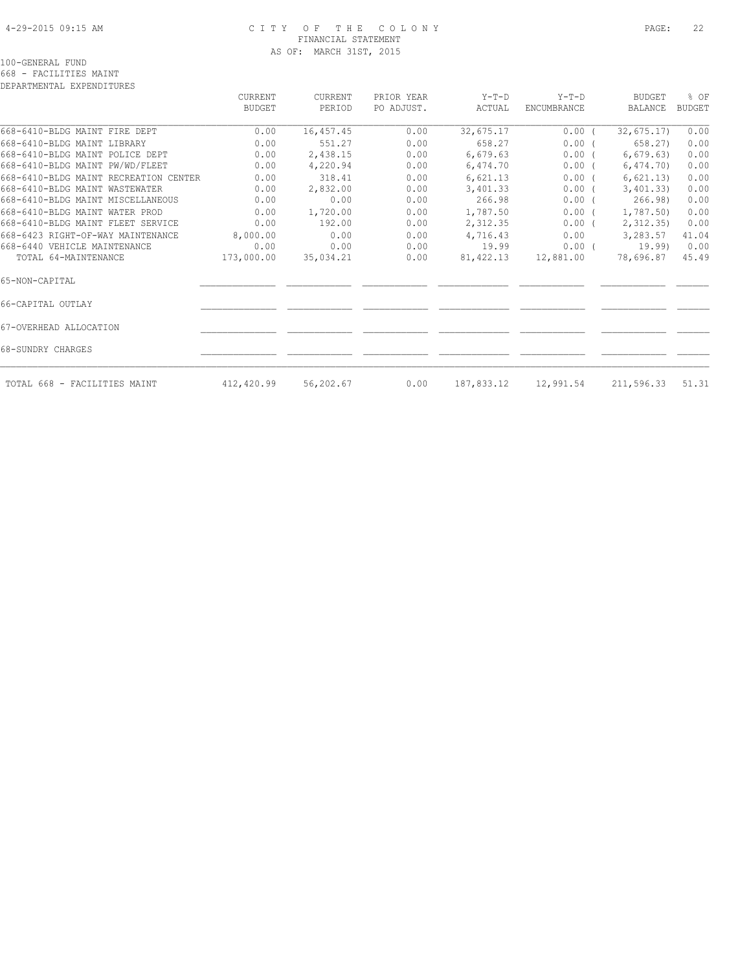# 4-29-2015 09:15 AM C I T Y O F T H E C O L O N Y PAGE: 22 FINANCIAL STATEMENT AS OF: MARCH 31ST, 2015

100-GENERAL FUND

668 - FACILITIES MAINT DEPARTMENTAL EXPENDITURES

|                                       | CURRENT    | CURRENT   | PRIOR YEAR | $Y-T-D$    | $Y-T-D$     | <b>BUDGET</b> | % OF          |
|---------------------------------------|------------|-----------|------------|------------|-------------|---------------|---------------|
|                                       | BUDGET     | PERIOD    | PO ADJUST. | ACTUAL     | ENCUMBRANCE | BALANCE       | <b>BUDGET</b> |
| 668-6410-BLDG MAINT FIRE DEPT         | 0.00       | 16,457.45 | 0.00       | 32,675.17  | $0.00$ (    | 32,675.17     | 0.00          |
| 668-6410-BLDG MAINT LIBRARY           | 0.00       | 551.27    | 0.00       | 658.27     | $0.00$ (    | 658.27)       | 0.00          |
| 668-6410-BLDG MAINT POLICE DEPT       | 0.00       | 2,438.15  | 0.00       | 6,679.63   | $0.00$ (    | 6,679.63)     | 0.00          |
| 668-6410-BLDG MAINT PW/WD/FLEET       | 0.00       | 4,220.94  | 0.00       | 6,474.70   | $0.00$ (    | 6,474.70      | 0.00          |
| 668-6410-BLDG MAINT RECREATION CENTER | 0.00       | 318.41    | 0.00       | 6,621.13   | 0.00(       | 6,621.13)     | 0.00          |
| 668-6410-BLDG MAINT WASTEWATER        | 0.00       | 2,832.00  | 0.00       | 3,401.33   | $0.00$ (    | 3,401.33)     | 0.00          |
| 668-6410-BLDG MAINT MISCELLANEOUS     | 0.00       | 0.00      | 0.00       | 266.98     | $0.00$ (    | 266.98        | 0.00          |
| 668-6410-BLDG MAINT WATER PROD        | 0.00       | 1,720.00  | 0.00       | 1,787.50   | $0.00$ (    | 1,787.50      | 0.00          |
| 668-6410-BLDG MAINT FLEET SERVICE     | 0.00       | 192.00    | 0.00       | 2,312.35   | $0.00$ (    | 2,312.35)     | 0.00          |
| 668-6423 RIGHT-OF-WAY MAINTENANCE     | 8,000.00   | 0.00      | 0.00       | 4,716.43   | 0.00        | 3,283.57      | 41.04         |
| 668-6440 VEHICLE MAINTENANCE          | 0.00       | 0.00      | 0.00       | 19.99      | 0.00(       | 19.99)        | 0.00          |
| TOTAL 64-MAINTENANCE                  | 173,000.00 | 35,034.21 | 0.00       | 81,422.13  | 12,881.00   | 78,696.87     | 45.49         |
| 65-NON-CAPITAL                        |            |           |            |            |             |               |               |
| 66-CAPITAL OUTLAY                     |            |           |            |            |             |               |               |
| 67-OVERHEAD ALLOCATION                |            |           |            |            |             |               |               |
| 68-SUNDRY CHARGES                     |            |           |            |            |             |               |               |
| TOTAL 668 - FACILITIES MAINT          | 412,420.99 | 56,202.67 | 0.00       | 187,833.12 | 12,991.54   | 211,596.33    | 51.31         |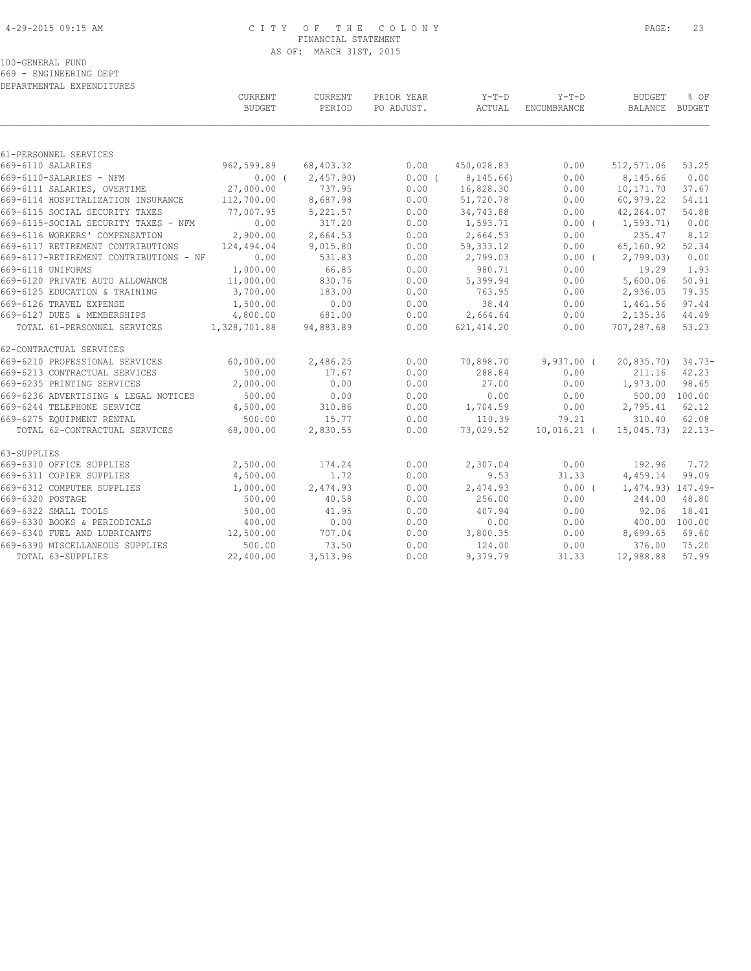# 4-29-2015 09:15 AM C I T Y O F T H E C O L O N Y PAGE: 23 FINANCIAL STATEMENT AS OF: MARCH 31ST, 2015

100-GENERAL FUND

669 - ENGINEERING DEPT

| DEPARTMENTAL EXPENDITURES              |                |           |            |             |               |                    |          |
|----------------------------------------|----------------|-----------|------------|-------------|---------------|--------------------|----------|
|                                        | <b>CURRENT</b> | CURRENT   | PRIOR YEAR | Y-T-D       | $Y-T-D$       | <b>BUDGET</b>      | % OF     |
|                                        | <b>BUDGET</b>  | PERIOD    | PO ADJUST. | ACTUAL      | ENCUMBRANCE   | BALANCE BUDGET     |          |
|                                        |                |           |            |             |               |                    |          |
| 61-PERSONNEL SERVICES                  |                |           |            |             |               |                    |          |
| 669-6110 SALARIES                      | 962,599.89     | 68,403.32 | 0.00       | 450,028.83  | 0.00          | 512,571.06         | 53.25    |
| 669-6110-SALARIES - NFM                | 0.00(          | 2,457.90  | $0.00$ (   | 8,145.66)   | 0.00          | 8,145.66           | 0.00     |
| 669-6111 SALARIES, OVERTIME            | 27,000.00      | 737.95    | 0.00       | 16,828.30   | 0.00          | 10,171.70          | 37.67    |
| 669-6114 HOSPITALIZATION INSURANCE     | 112,700.00     | 8,687.98  | 0.00       | 51,720.78   | 0.00          | 60,979.22          | 54.11    |
| 669-6115 SOCIAL SECURITY TAXES         | 77,007.95      | 5,221.57  | 0.00       | 34,743.88   | 0.00          | 42,264.07          | 54.88    |
| 669-6115-SOCIAL SECURITY TAXES - NFM   | 0.00           | 317.20    | 0.00       | 1,593.71    | $0.00$ (      | 1,593.71)          | 0.00     |
| 669-6116 WORKERS' COMPENSATION         | 2,900.00       | 2,664.53  | 0.00       | 2,664.53    | 0.00          | 235.47             | 8.12     |
| 669-6117 RETIREMENT CONTRIBUTIONS      | 124,494.04     | 9,015.80  | 0.00       | 59, 333.12  | 0.00          | 65,160.92          | 52.34    |
| 669-6117-RETIREMENT CONTRIBUTIONS - NF | 0.00           | 531.83    | 0.00       | 2,799.03    | 0.00(         | 2,799.03           | 0.00     |
| 669-6118 UNIFORMS                      | 1,000.00       | 66.85     | 0.00       | 980.71      | 0.00          | 19.29              | 1.93     |
| 669-6120 PRIVATE AUTO ALLOWANCE        | 11,000.00      | 830.76    | 0.00       | 5,399.94    | 0.00          | 5,600.06           | 50.91    |
| 669-6125 EDUCATION & TRAINING          | 3,700.00       | 183.00    | 0.00       | 763.95      | 0.00          | 2,936.05           | 79.35    |
| 669-6126 TRAVEL EXPENSE                | 1,500.00       | 0.00      | 0.00       | 38.44       | 0.00          | 1,461.56           | 97.44    |
| 669-6127 DUES & MEMBERSHIPS            | 4,800.00       | 681.00    | 0.00       | 2,664.64    | 0.00          | 2,135.36           | 44.49    |
| TOTAL 61-PERSONNEL SERVICES            | 1,328,701.88   | 94,883.89 | 0.00       | 621, 414.20 | 0.00          | 707,287.68         | 53.23    |
| 62-CONTRACTUAL SERVICES                |                |           |            |             |               |                    |          |
| 669-6210 PROFESSIONAL SERVICES         | 60,000.00      | 2,486.25  | 0.00       | 70,898.70   | $9,937.00$ (  | 20,835.70) 34.73-  |          |
| 669-6213 CONTRACTUAL SERVICES          | 500.00         | 17.67     | 0.00       | 288.84      | 0.00          | 211.16             | 42.23    |
| 669-6235 PRINTING SERVICES             | 2,000.00       | 0.00      | 0.00       | 27.00       | 0.00          | 1,973.00           | 98.65    |
| 669-6236 ADVERTISING & LEGAL NOTICES   | 500.00         | 0.00      | 0.00       | 0.00        | 0.00          | 500.00 100.00      |          |
| 669-6244 TELEPHONE SERVICE             | 4,500.00       | 310.86    | 0.00       | 1,704.59    | 0.00          | 2,795.41           | 62.12    |
| 669-6275 EOUIPMENT RENTAL              | 500.00         | 15.77     | 0.00       | 110.39      | 79.21         | 310.40             | 62.08    |
| TOTAL 62-CONTRACTUAL SERVICES          | 68,000.00      | 2,830.55  | 0.00       | 73,029.52   | $10,016.21$ ( | 15,045.73)         | $22.13-$ |
| 63-SUPPLIES                            |                |           |            |             |               |                    |          |
| 669-6310 OFFICE SUPPLIES               | 2,500.00       | 174.24    | 0.00       | 2,307.04    | 0.00          | 192.96             | 7.72     |
| 669-6311 COPIER SUPPLIES               | 4,500.00       | 1.72      | 0.00       | 9.53        | 31.33         | 4,459.14           | 99.09    |
| 669-6312 COMPUTER SUPPLIES             | 1,000.00       | 2,474.93  | 0.00       | 2,474.93    | $0.00$ (      | 1, 474.93) 147.49- |          |
| 669-6320 POSTAGE                       | 500.00         | 40.58     | 0.00       | 256.00      | 0.00          | 244.00             | 48.80    |
| 669-6322 SMALL TOOLS                   | 500.00         | 41.95     | 0.00       | 407.94      | 0.00          | 92.06              | 18.41    |
| 669-6330 BOOKS & PERIODICALS           | 400.00         | 0.00      | 0.00       | 0.00        | 0.00          | 400.00 100.00      |          |
| 669-6340 FUEL AND LUBRICANTS           | 12,500.00      | 707.04    | 0.00       | 3,800.35    | 0.00          | 8,699.65           | 69.60    |
| 669-6390 MISCELLANEOUS SUPPLIES        | 500.00         | 73.50     | 0.00       | 124.00      | 0.00          | 376.00             | 75.20    |
| TOTAL 63-SUPPLIES                      | 22,400.00      | 3,513.96  | 0.00       | 9,379.79    | 31.33         | 12,988.88          | 57.99    |
|                                        |                |           |            |             |               |                    |          |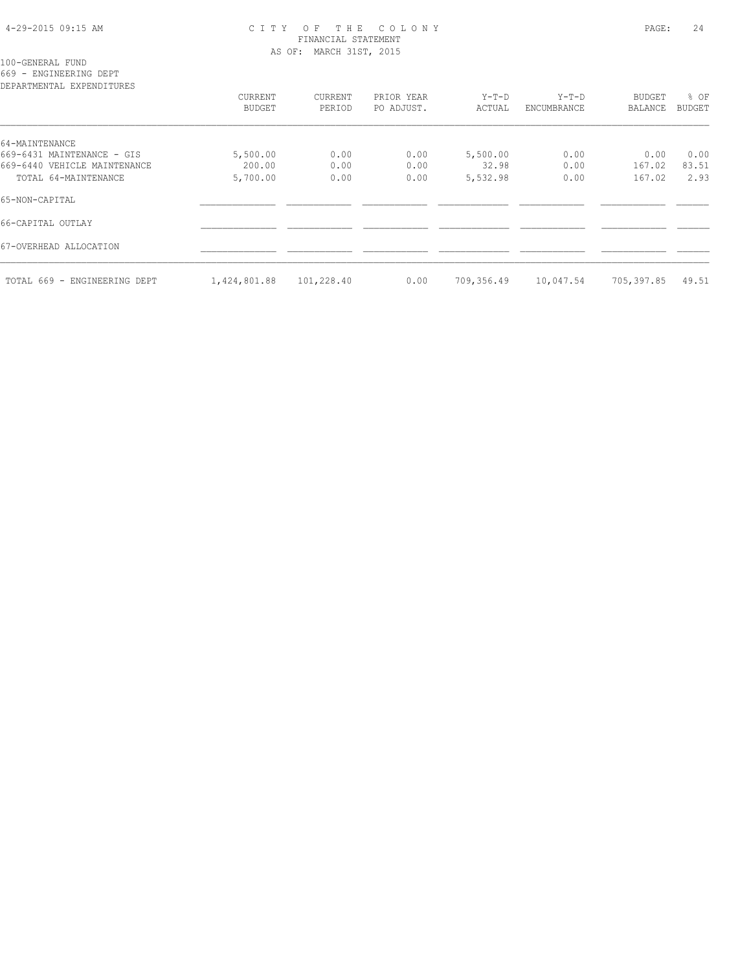# 4-29-2015 09:15 AM C I T Y O F T H E C O L O N Y PAGE: 24 FINANCIAL STATEMENT AS OF: MARCH 31ST, 2015

100-GENERAL FUND

669 - ENGINEERING DEPT

| DEPARTMENTAL EXPENDITURES    |               |            |            |            |             |               |               |
|------------------------------|---------------|------------|------------|------------|-------------|---------------|---------------|
|                              | CURRENT       | CURRENT    | PRIOR YEAR | $Y-T-D$    | $Y-T-D$     | <b>BUDGET</b> | % OF          |
|                              | <b>BUDGET</b> | PERIOD     | PO ADJUST. | ACTUAL     | ENCUMBRANCE | BALANCE       | <b>BUDGET</b> |
| 64-MAINTENANCE               |               |            |            |            |             |               |               |
| 669-6431 MAINTENANCE - GIS   | 5,500.00      | 0.00       | 0.00       | 5,500.00   | 0.00        | 0.00          | 0.00          |
| 669-6440 VEHICLE MAINTENANCE | 200.00        | 0.00       | 0.00       | 32.98      | 0.00        | 167.02        | 83.51         |
| TOTAL 64-MAINTENANCE         | 5,700.00      | 0.00       | 0.00       | 5,532.98   | 0.00        | 167.02        | 2.93          |
| 65-NON-CAPITAL               |               |            |            |            |             |               |               |
| 66-CAPITAL OUTLAY            |               |            |            |            |             |               |               |
| 67-OVERHEAD ALLOCATION       |               |            |            |            |             |               |               |
| TOTAL 669 - ENGINEERING DEPT | 1,424,801.88  | 101,228.40 | 0.00       | 709,356.49 | 10,047.54   | 705,397.85    | 49.51         |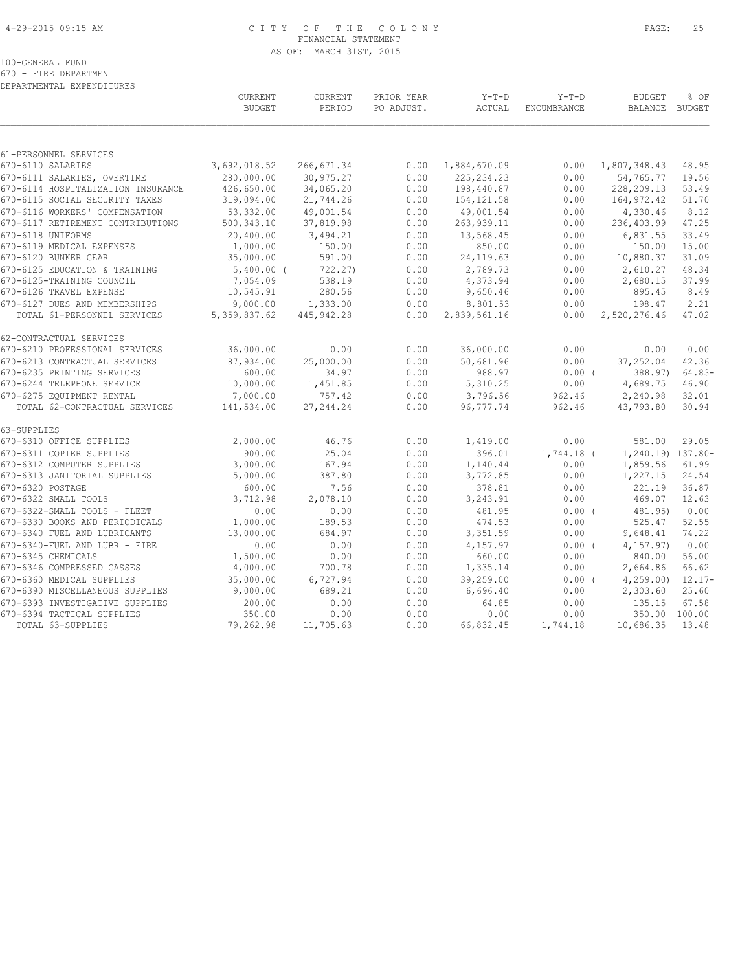# 4-29-2015 09:15 AM C I T Y O F T H E C O L O N Y PAGE: 25 FINANCIAL STATEMENT AS OF: MARCH 31ST, 2015

100-GENERAL FUND

670 - FIRE DEPARTMENT

| DEPARTMENTAL EXPENDITURES          |                                 |                   |                          |                   |                               |                                 |               |
|------------------------------------|---------------------------------|-------------------|--------------------------|-------------------|-------------------------------|---------------------------------|---------------|
|                                    | <b>CURRENT</b><br><b>BUDGET</b> | CURRENT<br>PERIOD | PRIOR YEAR<br>PO ADJUST. | $Y-T-D$<br>ACTUAL | $Y-T-D$<br><b>ENCUMBRANCE</b> | <b>BUDGET</b><br>BALANCE BUDGET | % OF          |
|                                    |                                 |                   |                          |                   |                               |                                 |               |
| 61-PERSONNEL SERVICES              |                                 |                   |                          |                   |                               |                                 |               |
| 670-6110 SALARIES                  | 3,692,018.52                    | 266, 671.34       | 0.00                     | 1,884,670.09      | 0.00                          | 1,807,348.43                    | 48.95         |
| 670-6111 SALARIES, OVERTIME        | 280,000.00                      | 30,975.27         | 0.00                     | 225, 234.23       | 0.00                          | 54,765.77                       | 19.56         |
| 670-6114 HOSPITALIZATION INSURANCE | 426,650.00                      | 34,065.20         | 0.00                     | 198,440.87        | 0.00                          | 228,209.13                      | 53.49         |
| 670-6115 SOCIAL SECURITY TAXES     | 319,094.00                      | 21,744.26         | 0.00                     | 154, 121.58       | 0.00                          | 164,972.42                      | 51.70         |
| 670-6116 WORKERS' COMPENSATION     | 53,332.00                       | 49,001.54         | 0.00                     | 49,001.54         | 0.00                          | 4,330.46                        | 8.12          |
| 670-6117 RETIREMENT CONTRIBUTIONS  | 500, 343.10                     | 37,819.98         | 0.00                     | 263, 939.11       | 0.00                          | 236,403.99                      | 47.25         |
| 670-6118 UNIFORMS                  | 20,400.00                       | 3,494.21          | 0.00                     | 13,568.45         | 0.00                          | 6,831.55                        | 33.49         |
| 670-6119 MEDICAL EXPENSES          | 1,000.00                        | 150.00            | 0.00                     | 850.00            | 0.00                          | 150.00                          | 15.00         |
| 670-6120 BUNKER GEAR               | 35,000.00                       | 591.00            | 0.00                     | 24, 119.63        | 0.00                          | 10,880.37                       | 31.09         |
| 670-6125 EDUCATION & TRAINING      | $5,400.00$ (                    | 722.27)           | 0.00                     | 2,789.73          | 0.00                          | 2,610.27                        | 48.34         |
| 670-6125-TRAINING COUNCIL          | 7,054.09                        | 538.19            | 0.00                     | 4,373.94          | 0.00                          | 2,680.15                        | 37.99         |
| 670-6126 TRAVEL EXPENSE            | 10,545.91                       | 280.56            | 0.00                     | 9,650.46          | 0.00                          | 895.45                          | 8.49          |
| 670-6127 DUES AND MEMBERSHIPS      | 9,000.00                        | 1,333.00          | 0.00                     | 8,801.53          | 0.00                          | 198.47                          | 2.21          |
| TOTAL 61-PERSONNEL SERVICES        | 5, 359, 837.62                  | 445, 942.28       | 0.00                     | 2,839,561.16      | 0.00                          | 2,520,276.46                    | 47.02         |
| 62-CONTRACTUAL SERVICES            |                                 |                   |                          |                   |                               |                                 |               |
| 670-6210 PROFESSIONAL SERVICES     | 36,000.00                       | 0.00              | 0.00                     | 36,000.00         | 0.00                          | 0.00                            | 0.00          |
| 670-6213 CONTRACTUAL SERVICES      | 87,934.00                       | 25,000.00         | 0.00                     | 50,681.96         | 0.00                          | 37,252.04                       | 42.36         |
| 670-6235 PRINTING SERVICES         | 600.00                          | 34.97             | 0.00                     | 988.97            | 0.00(                         | 388.97)                         | $64.83-$      |
| 670-6244 TELEPHONE SERVICE         | 10,000.00                       | 1,451.85          | 0.00                     | 5,310.25          | 0.00                          | 4,689.75                        | 46.90         |
| 670-6275 EQUIPMENT RENTAL          | 7,000.00                        | 757.42            | 0.00                     | 3,796.56          | 962.46                        | 2,240.98                        | 32.01         |
| TOTAL 62-CONTRACTUAL SERVICES      | 141,534.00                      | 27, 244.24        | 0.00                     | 96,777.74         | 962.46                        | 43,793.80                       | 30.94         |
| 63-SUPPLIES                        |                                 |                   |                          |                   |                               |                                 |               |
| 670-6310 OFFICE SUPPLIES           | 2,000.00                        | 46.76             | 0.00                     | 1,419.00          | 0.00                          | 581.00                          | 29.05         |
| 670-6311 COPIER SUPPLIES           | 900.00                          | 25.04             | 0.00                     | 396.01            | 1,744.18 (                    | 1,240.19) 137.80-               |               |
| 670-6312 COMPUTER SUPPLIES         | 3,000.00                        | 167.94            | 0.00                     | 1,140.44          | 0.00                          | 1,859.56                        | 61.99         |
| 670-6313 JANITORIAL SUPPLIES       | 5,000.00                        | 387.80            | 0.00                     | 3,772.85          | 0.00                          | 1,227.15                        | 24.54         |
| 670-6320 POSTAGE                   | 600.00                          | 7.56              | 0.00                     | 378.81            | 0.00                          | 221.19                          | 36.87         |
| 670-6322 SMALL TOOLS               | 3,712.98                        | 2,078.10          | 0.00                     | 3,243.91          | 0.00                          | 469.07                          | 12.63         |
| 670-6322-SMALL TOOLS - FLEET       | 0.00                            | 0.00              | 0.00                     | 481.95            | 0.00(                         | 481.95)                         | 0.00          |
| 670-6330 BOOKS AND PERIODICALS     | 1,000.00                        | 189.53            | 0.00                     | 474.53            | 0.00                          | 525.47                          | 52.55         |
| 670-6340 FUEL AND LUBRICANTS       | 13,000.00                       | 684.97            | 0.00                     | 3,351.59          | 0.00                          | 9,648.41                        | 74.22         |
| 670-6340-FUEL AND LUBR - FIRE      | 0.00                            | 0.00              | 0.00                     | 4,157.97          | 0.00(                         | 4, 157, 97)                     | 0.00          |
| 670-6345 CHEMICALS                 | 1,500.00                        | 0.00              | 0.00                     | 660.00            | 0.00                          | 840.00                          | 56.00         |
| 670-6346 COMPRESSED GASSES         | 4,000.00                        | 700.78            | 0.00                     | 1,335.14          | 0.00                          | 2,664.86                        | 66.62         |
| 670-6360 MEDICAL SUPPLIES          | 35,000.00                       | 6,727.94          | 0.00                     | 39,259.00         | $0.00$ (                      | 4,259.00                        | $12.17-$      |
| 670-6390 MISCELLANEOUS SUPPLIES    | 9,000.00                        | 689.21            | 0.00                     | 6,696.40          | 0.00                          | 2,303.60                        | 25.60         |
| 670-6393 INVESTIGATIVE SUPPLIES    | 200.00                          | 0.00              | 0.00                     | 64.85             | 0.00                          | 135.15                          | 67.58         |
| 670-6394 TACTICAL SUPPLIES         | 350.00                          | 0.00              | 0.00                     | 0.00              | 0.00                          |                                 | 350.00 100.00 |
| TOTAL 63-SUPPLIES                  | 79,262.98                       | 11,705.63         | 0.00                     | 66,832.45         | 1,744.18                      | 10,686.35                       | 13.48         |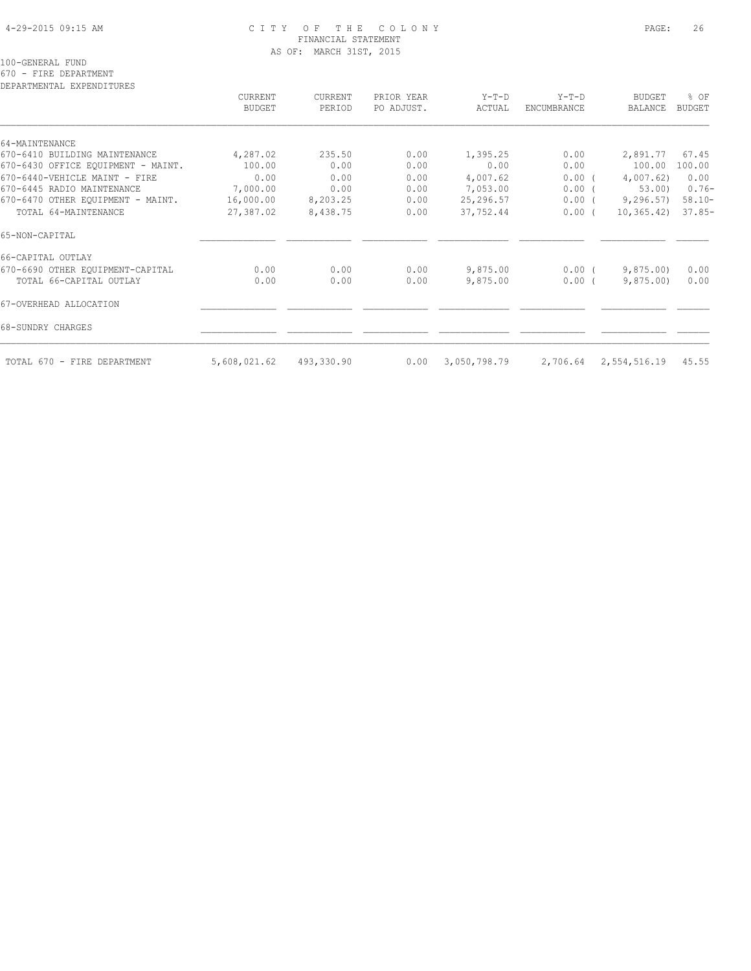# 4-29-2015 09:15 AM C I T Y O F T H E C O L O N Y PAGE: 26 FINANCIAL STATEMENT AS OF: MARCH 31ST, 2015

100-GENERAL FUND

670 - FIRE DEPARTMENT

DEPARTMENTAL EXPENDITURES

| DEPARTMENTAL EXPENDITURES          | CURRENT<br><b>BUDGET</b> | CURRENT<br>PERIOD | PRIOR YEAR<br>PO ADJUST. | $Y-T-D$<br>ACTUAL | $Y-T-D$<br>ENCUMBRANCE | <b>BUDGET</b><br>BALANCE | % OF<br><b>BUDGET</b> |
|------------------------------------|--------------------------|-------------------|--------------------------|-------------------|------------------------|--------------------------|-----------------------|
| 64-MAINTENANCE                     |                          |                   |                          |                   |                        |                          |                       |
| 670-6410 BUILDING MAINTENANCE      | 4,287.02                 | 235.50            | 0.00                     | 1,395.25          | 0.00                   | 2,891.77                 | 67.45                 |
| 670-6430 OFFICE EQUIPMENT - MAINT. | 100.00                   | 0.00              | 0.00                     | 0.00              | 0.00                   | 100.00                   | 100.00                |
| 670-6440-VEHICLE MAINT - FIRE      | 0.00                     | 0.00              | 0.00                     | 4,007.62          | $0.00$ (               | 4,007.62                 | 0.00                  |
| 670-6445 RADIO MAINTENANCE         | 7,000.00                 | 0.00              | 0.00                     | 7,053.00          | 0.00(                  | 53.00                    | $0.76 -$              |
| 670-6470 OTHER EOUIPMENT - MAINT.  | 16,000.00                | 8,203.25          | 0.00                     | 25,296.57         | $0.00$ (               | 9, 296.57                | $58.10 -$             |
| TOTAL 64-MAINTENANCE               | 27,387.02                | 8,438.75          | 0.00                     | 37,752.44         | 0.00(                  | 10, 365, 42)             | $37.85-$              |
| 65-NON-CAPITAL                     |                          |                   |                          |                   |                        |                          |                       |
| 66-CAPITAL OUTLAY                  |                          |                   |                          |                   |                        |                          |                       |
| 670-6690 OTHER EQUIPMENT-CAPITAL   | 0.00                     | 0.00              | 0.00                     | 9,875.00          | $0.00$ (               | 9,875.00                 | 0.00                  |
| TOTAL 66-CAPITAL OUTLAY            | 0.00                     | 0.00              | 0.00                     | 9,875.00          | $0.00$ (               | 9,875.00                 | 0.00                  |
| 67-OVERHEAD ALLOCATION             |                          |                   |                          |                   |                        |                          |                       |
| 68-SUNDRY CHARGES                  |                          |                   |                          |                   |                        |                          |                       |
| TOTAL 670 - FIRE DEPARTMENT        | 5,608,021.62             | 493,330.90        | 0.00                     | 3,050,798.79      | 2,706.64               | 2,554,516.19             | 45.55                 |
|                                    |                          |                   |                          |                   |                        |                          |                       |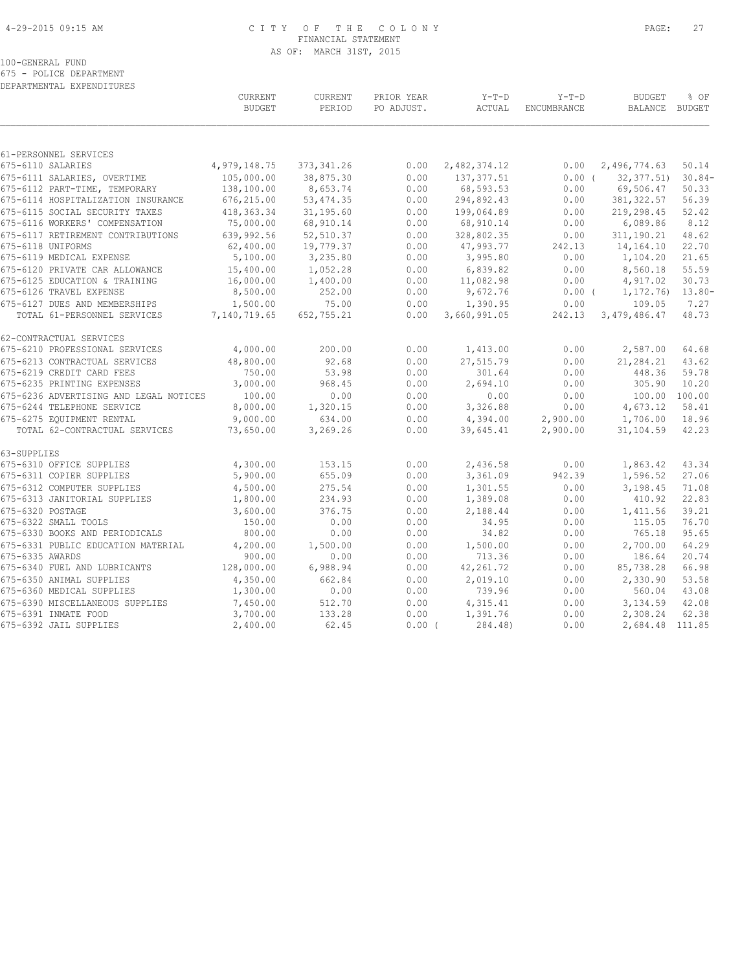# 4-29-2015 09:15 AM C I T Y O F T H E C O L O N Y PAGE: 27 FINANCIAL STATEMENT AS OF: MARCH 31ST, 2015

100-GENERAL FUND

675 - POLICE DEPARTMENT

| DEPARTMENTAL EXPENDITURES                                  |                          |                   |                          |                   |                        |                                 |                       |
|------------------------------------------------------------|--------------------------|-------------------|--------------------------|-------------------|------------------------|---------------------------------|-----------------------|
|                                                            | CURRENT<br><b>BUDGET</b> | CURRENT<br>PERIOD | PRIOR YEAR<br>PO ADJUST. | $Y-T-D$<br>ACTUAL | $Y-T-D$<br>ENCUMBRANCE | <b>BUDGET</b><br><b>BALANCE</b> | % OF<br><b>BUDGET</b> |
|                                                            |                          |                   |                          |                   |                        |                                 |                       |
| 61-PERSONNEL SERVICES<br>675-6110 SALARIES                 | 4,979,148.75             | 373, 341.26       | 0.00                     | 2,482,374.12      | 0.00                   | 2,496,774.63                    | 50.14                 |
| 675-6111 SALARIES, OVERTIME                                | 105,000.00               | 38,875.30         | 0.00                     | 137, 377.51       | 0.00(                  | 32, 377.51                      | $30.84-$              |
| 675-6112 PART-TIME, TEMPORARY                              | 138,100.00               | 8,653.74          | 0.00                     | 68,593.53         | 0.00                   | 69,506.47                       | 50.33                 |
| 675-6114 HOSPITALIZATION INSURANCE                         | 676,215.00               | 53, 474.35        | 0.00                     | 294,892.43        | 0.00                   | 381, 322.57                     | 56.39                 |
| 675-6115 SOCIAL SECURITY TAXES                             | 418, 363. 34             | 31,195.60         | 0.00                     | 199,064.89        | 0.00                   | 219,298.45                      | 52.42                 |
| 675-6116 WORKERS' COMPENSATION                             | 75,000.00                | 68,910.14         | 0.00                     | 68,910.14         | 0.00                   | 6,089.86                        | 8.12                  |
| 675-6117 RETIREMENT CONTRIBUTIONS                          | 639,992.56               | 52,510.37         | 0.00                     | 328,802.35        | 0.00                   | 311,190.21                      | 48.62                 |
| 675-6118 UNIFORMS                                          | 62,400.00                | 19,779.37         | 0.00                     | 47,993.77         | 242.13                 | 14,164.10                       | 22.70                 |
| 675-6119 MEDICAL EXPENSE                                   | 5,100.00                 | 3,235.80          | 0.00                     | 3,995.80          | 0.00                   | 1,104.20                        | 21.65                 |
| 675-6120 PRIVATE CAR ALLOWANCE                             | 15,400.00                | 1,052.28          | 0.00                     | 6,839.82          | 0.00                   | 8,560.18                        | 55.59                 |
| 675-6125 EDUCATION & TRAINING                              | 16,000.00                | 1,400.00          | 0.00                     | 11,082.98         | 0.00                   | 4,917.02                        | 30.73                 |
| 675-6126 TRAVEL EXPENSE                                    | 8,500.00                 | 252.00            | 0.00                     | 9,672.76          | 0.00(                  | 1,172.76)                       | $13.80 -$             |
| 675-6127 DUES AND MEMBERSHIPS                              | 1,500.00                 | 75.00             | 0.00                     | 1,390.95          | 0.00                   | 109.05                          | 7.27                  |
| TOTAL 61-PERSONNEL SERVICES                                | 7,140,719.65             | 652,755.21        | 0.00                     | 3,660,991.05      | 242.13                 | 3,479,486.47                    | 48.73                 |
| 62-CONTRACTUAL SERVICES                                    |                          |                   |                          |                   |                        |                                 |                       |
| 675-6210 PROFESSIONAL SERVICES                             | 4,000.00                 | 200.00            | 0.00                     | 1,413.00          | 0.00                   | 2,587.00                        | 64.68                 |
| 675-6213 CONTRACTUAL SERVICES                              | 48,800.00                | 92.68             | 0.00                     | 27,515.79         | 0.00                   | 21,284.21                       | 43.62                 |
| 675-6219 CREDIT CARD FEES                                  | 750.00                   | 53.98             | 0.00                     | 301.64            | 0.00                   | 448.36                          | 59.78                 |
| 675-6235 PRINTING EXPENSES                                 | 3,000.00                 | 968.45            | 0.00                     | 2,694.10          | 0.00                   | 305.90                          | 10.20                 |
| 675-6236 ADVERTISING AND LEGAL NOTICES                     | 100.00                   | 0.00              | 0.00                     | 0.00              | 0.00                   | 100.00 100.00                   |                       |
| 675-6244 TELEPHONE SERVICE                                 | 8,000.00                 | 1,320.15          | 0.00                     | 3,326.88          | 0.00                   | 4,673.12                        | 58.41                 |
| 675-6275 EQUIPMENT RENTAL<br>TOTAL 62-CONTRACTUAL SERVICES | 9,000.00                 | 634.00            | 0.00<br>0.00             | 4,394.00          | 2,900.00               | 1,706.00                        | 18.96<br>42.23        |
|                                                            | 73,650.00                | 3,269.26          |                          | 39,645.41         | 2,900.00               | 31,104.59                       |                       |
| 63-SUPPLIES<br>675-6310 OFFICE SUPPLIES                    | 4,300.00                 | 153.15            | 0.00                     | 2,436.58          | 0.00                   | 1,863.42                        | 43.34                 |
| 675-6311 COPIER SUPPLIES                                   | 5,900.00                 | 655.09            | 0.00                     | 3,361.09          | 942.39                 | 1,596.52                        | 27.06                 |
| 675-6312 COMPUTER SUPPLIES                                 | 4,500.00                 | 275.54            | 0.00                     | 1,301.55          | 0.00                   | 3,198.45                        | 71.08                 |
| 675-6313 JANITORIAL SUPPLIES                               | 1,800.00                 | 234.93            | 0.00                     | 1,389.08          | 0.00                   | 410.92                          | 22.83                 |
| 675-6320 POSTAGE                                           | 3,600.00                 | 376.75            | 0.00                     | 2,188.44          | 0.00                   | 1,411.56                        | 39.21                 |
| 675-6322 SMALL TOOLS                                       | 150.00                   | 0.00              | 0.00                     | 34.95             | 0.00                   | 115.05                          | 76.70                 |
| 675-6330 BOOKS AND PERIODICALS                             | 800.00                   | 0.00              | 0.00                     | 34.82             | 0.00                   | 765.18                          | 95.65                 |
| 675-6331 PUBLIC EDUCATION MATERIAL                         | 4,200.00                 | 1,500.00          | 0.00                     | 1,500.00          | 0.00                   | 2,700.00                        | 64.29                 |
| 675-6335 AWARDS                                            | 900.00                   | 0.00              | 0.00                     | 713.36            | 0.00                   | 186.64                          | 20.74                 |
| 675-6340 FUEL AND LUBRICANTS                               | 128,000.00               | 6,988.94          | 0.00                     | 42, 261.72        | 0.00                   | 85,738.28                       | 66.98                 |
| 675-6350 ANIMAL SUPPLIES                                   | 4,350.00                 | 662.84            | 0.00                     | 2,019.10          | 0.00                   | 2,330.90                        | 53.58                 |
| 675-6360 MEDICAL SUPPLIES                                  | 1,300.00                 | 0.00              | 0.00                     | 739.96            | 0.00                   | 560.04                          | 43.08                 |
| 675-6390 MISCELLANEOUS SUPPLIES                            | 7,450.00                 | 512.70            | 0.00                     | 4,315.41          | 0.00                   | 3,134.59                        | 42.08                 |
| 675-6391 INMATE FOOD                                       | 3,700.00                 | 133.28            | 0.00                     | 1,391.76          | 0.00                   | 2,308.24                        | 62.38                 |
| 675-6392 JAIL SUPPLIES                                     | 2,400.00                 | 62.45             | 0.00(                    | 284.48)           | 0.00                   | 2,684.48 111.85                 |                       |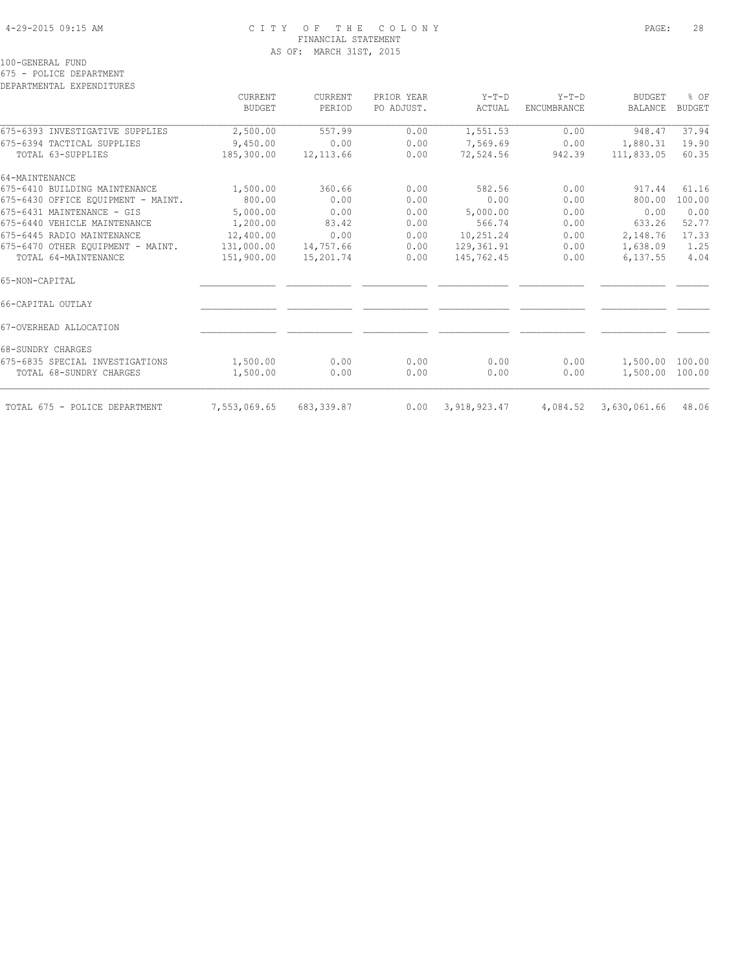# 4-29-2015 09:15 AM C I T Y O F T H E C O L O N Y PAGE: 28 FINANCIAL STATEMENT AS OF: MARCH 31ST, 2015

100-GENERAL FUND

675 - POLICE DEPARTMENT

DEPARTMENTAL EXPENDITURES

|                                    | CURRENT<br><b>BUDGET</b> | <b>CURRENT</b><br>PERIOD | PRIOR YEAR<br>PO ADJUST. | $Y-T-D$<br>ACTUAL | $Y-T-D$<br><b>ENCUMBRANCE</b> | <b>BUDGET</b><br><b>BALANCE</b> | % OF<br><b>BUDGET</b> |
|------------------------------------|--------------------------|--------------------------|--------------------------|-------------------|-------------------------------|---------------------------------|-----------------------|
|                                    |                          |                          |                          |                   |                               |                                 |                       |
| 675-6393 INVESTIGATIVE SUPPLIES    | 2,500.00                 | 557.99                   | 0.00                     | 1,551.53          | 0.00                          | 948.47                          | 37.94                 |
| 675-6394 TACTICAL SUPPLIES         | 9,450.00                 | 0.00                     | 0.00                     | 7,569.69          | 0.00                          | 1,880.31                        | 19.90                 |
| TOTAL 63-SUPPLIES                  | 185,300.00               | 12, 113.66               | 0.00                     | 72,524.56         | 942.39                        | 111,833.05                      | 60.35                 |
| 64-MAINTENANCE                     |                          |                          |                          |                   |                               |                                 |                       |
| 675-6410 BUILDING MAINTENANCE      | 1,500.00                 | 360.66                   | 0.00                     | 582.56            | 0.00                          | 917.44                          | 61.16                 |
| 675-6430 OFFICE EQUIPMENT - MAINT. | 800.00                   | 0.00                     | 0.00                     | 0.00              | 0.00                          | 800.00                          | 100.00                |
| 675-6431 MAINTENANCE - GIS         | 5,000.00                 | 0.00                     | 0.00                     | 5,000.00          | 0.00                          | 0.00                            | 0.00                  |
| 675-6440 VEHICLE MAINTENANCE       | 1,200.00                 | 83.42                    | 0.00                     | 566.74            | 0.00                          | 633.26                          | 52.77                 |
| 675-6445 RADIO MAINTENANCE         | 12,400.00                | 0.00                     | 0.00                     | 10,251.24         | 0.00                          | 2,148.76                        | 17.33                 |
| 675-6470 OTHER EOUIPMENT - MAINT.  | 131,000.00               | 14,757.66                | 0.00                     | 129,361.91        | 0.00                          | 1,638.09                        | 1.25                  |
| TOTAL 64-MAINTENANCE               | 151,900.00               | 15,201.74                | 0.00                     | 145,762.45        | 0.00                          | 6,137.55                        | 4.04                  |
| 65-NON-CAPITAL                     |                          |                          |                          |                   |                               |                                 |                       |
| 66-CAPITAL OUTLAY                  |                          |                          |                          |                   |                               |                                 |                       |
| 67-OVERHEAD ALLOCATION             |                          |                          |                          |                   |                               |                                 |                       |
| 68-SUNDRY CHARGES                  |                          |                          |                          |                   |                               |                                 |                       |
| 675-6835 SPECIAL INVESTIGATIONS    | 1,500.00                 | 0.00                     | 0.00                     | 0.00              | 0.00                          | 1,500.00 100.00                 |                       |
| TOTAL 68-SUNDRY CHARGES            | 1,500.00                 | 0.00                     | 0.00                     | 0.00              | 0.00                          | 1,500.00 100.00                 |                       |
| TOTAL 675 - POLICE DEPARTMENT      | 7,553,069.65             | 683, 339.87              | 0.00                     | 3,918,923.47      | 4,084.52                      | 3,630,061.66                    | 48.06                 |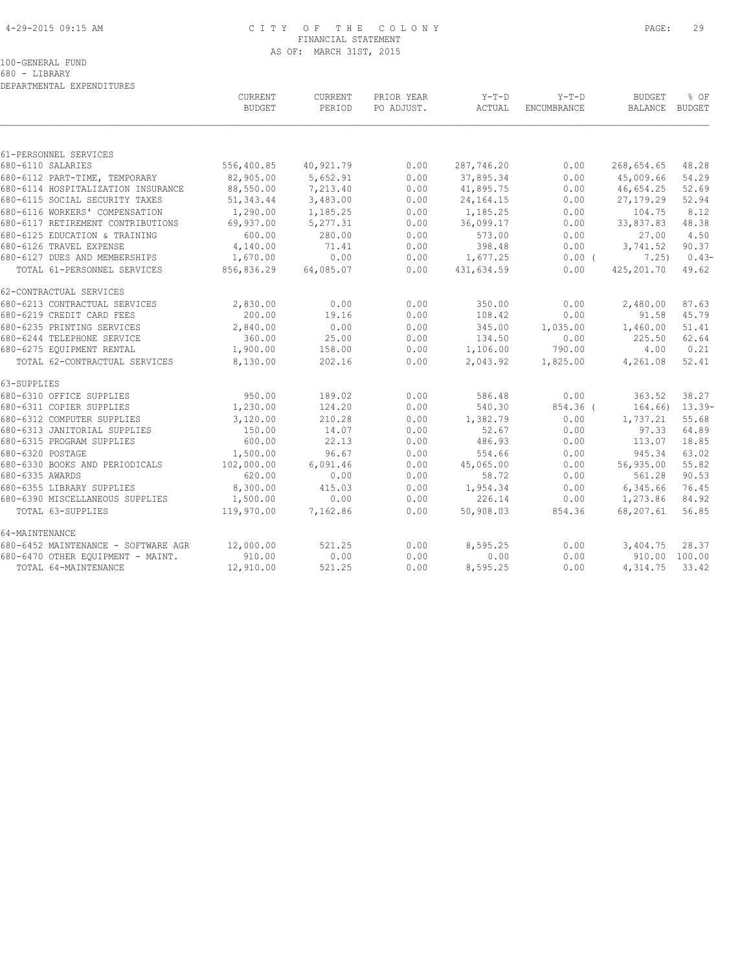# 4-29-2015 09:15 AM C I T Y O F T H E C O L O N Y PAGE: 29 FINANCIAL STATEMENT AS OF: MARCH 31ST, 2015

100-GENERAL FUND

680 - LIBRARY DEPARTMENTAL EXPENDITURES

|                                     | CURRENT<br><b>BUDGET</b> | CURRENT<br>PERIOD | PRIOR YEAR<br>PO ADJUST. | $Y-T-D$<br>ACTUAL | $Y-T-D$<br><b>ENCUMBRANCE</b> | <b>BUDGET</b><br>BALANCE BUDGET | % OF               |
|-------------------------------------|--------------------------|-------------------|--------------------------|-------------------|-------------------------------|---------------------------------|--------------------|
|                                     |                          |                   |                          |                   |                               |                                 |                    |
| 61-PERSONNEL SERVICES               |                          |                   |                          |                   |                               |                                 |                    |
| 680-6110 SALARIES                   | 556,400.85               | 40,921.79         | 0.00                     | 287,746.20        | 0.00                          | 268,654.65                      | 48.28              |
| 680-6112 PART-TIME, TEMPORARY       | 82,905.00                | 5,652.91          | 0.00                     | 37,895.34         | 0.00                          | 45,009.66                       | 54.29              |
| 680-6114 HOSPITALIZATION INSURANCE  | 88,550.00                | 7,213.40          | 0.00                     | 41,895.75         | 0.00                          | 46,654.25                       | 52.69              |
| 680-6115 SOCIAL SECURITY TAXES      | 51, 343.44               | 3,483.00          | 0.00                     | 24, 164. 15       | 0.00                          | 27,179.29                       | 52.94              |
| 680-6116 WORKERS' COMPENSATION      | 1,290.00                 | 1,185.25          | 0.00                     | 1,185.25          | 0.00                          | 104.75                          | 8.12               |
| 680-6117 RETIREMENT CONTRIBUTIONS   | 69,937.00                | 5,277.31          | 0.00                     | 36,099.17         | 0.00                          | 33,837.83                       | 48.38              |
| 680-6125 EDUCATION & TRAINING       | 600.00                   | 280.00            | 0.00                     | 573.00            | 0.00                          | 27.00                           | 4.50               |
| 680-6126 TRAVEL EXPENSE             | 4,140.00                 | 71.41             | 0.00                     | 398.48            | 0.00                          | 3,741.52                        | 90.37              |
| 680-6127 DUES AND MEMBERSHIPS       | 1,670.00                 | 0.00              | 0.00                     | 1,677.25          | 0.00(                         | 7,25)                           | $0.43-$            |
| TOTAL 61-PERSONNEL SERVICES         | 856,836.29               | 64,085.07         | 0.00                     | 431,634.59        | 0.00                          | 425,201.70                      | 49.62              |
| 62-CONTRACTUAL SERVICES             |                          |                   |                          |                   |                               |                                 |                    |
| 680-6213 CONTRACTUAL SERVICES       | 2,830.00                 | 0.00              | 0.00                     | 350.00            | 0.00                          | 2,480.00                        | 87.63              |
| 680-6219 CREDIT CARD FEES           | 200.00                   | 19.16             | 0.00                     | 108.42            | 0.00                          | 91.58                           | 45.79              |
| 680-6235 PRINTING SERVICES          | 2,840.00                 | 0.00              | 0.00                     | 345.00            | 1,035.00                      | 1,460.00                        | 51.41              |
| 680-6244 TELEPHONE SERVICE          | 360.00                   | 25.00             | 0.00                     | 134.50            | 0.00                          | 225.50                          | 62.64              |
| 680-6275 EQUIPMENT RENTAL           | 1,900.00                 | 158.00            | 0.00                     | 1,106.00          | 790.00                        | 4.00                            | 0.21               |
| TOTAL 62-CONTRACTUAL SERVICES       | 8,130.00                 | 202.16            | 0.00                     | 2,043.92          | 1,825.00                      | 4,261.08                        | 52.41              |
| 63-SUPPLIES                         |                          |                   |                          |                   |                               |                                 |                    |
| 680-6310 OFFICE SUPPLIES            | 950.00                   | 189.02            | 0.00                     | 586.48            | 0.00                          | 363.52                          | 38.27              |
| 680-6311 COPIER SUPPLIES            | 1,230.00                 | 124.20            | 0.00                     | 540.30            | 854.36 (                      |                                 | $164.66$ $13.39$ - |
| 680-6312 COMPUTER SUPPLIES          | 3,120.00                 | 210.28            | 0.00                     | 1,382.79          | 0.00                          | 1,737.21                        | 55.68              |
| 680-6313 JANITORIAL SUPPLIES        | 150.00                   | 14.07             | 0.00                     | 52.67             | 0.00                          | 97.33                           | 64.89              |
| 680-6315 PROGRAM SUPPLIES           | 600.00                   | 22.13             | 0.00                     | 486.93            | 0.00                          | 113.07                          | 18.85              |
| 680-6320 POSTAGE                    | 1,500.00                 | 96.67             | 0.00                     | 554.66            | 0.00                          | 945.34                          | 63.02              |
| 680-6330 BOOKS AND PERIODICALS      | 102,000.00               | 6,091.46          | 0.00                     | 45,065.00         | 0.00                          | 56,935.00                       | 55.82              |
| 680-6335 AWARDS                     | 620.00                   | 0.00              | 0.00                     | 58.72             | 0.00                          | 561.28                          | 90.53              |
| 680-6355 LIBRARY SUPPLIES           | 8,300.00                 | 415.03            | 0.00                     | 1,954.34          | 0.00                          | 6,345.66                        | 76.45              |
| 680-6390 MISCELLANEOUS SUPPLIES     | 1,500.00                 | 0.00              | 0.00                     | 226.14            | 0.00                          | 1,273.86                        | 84.92              |
| TOTAL 63-SUPPLIES                   | 119,970.00               | 7,162.86          | 0.00                     | 50,908.03         | 854.36                        | 68,207.61                       | 56.85              |
| 64-MAINTENANCE                      |                          |                   |                          |                   |                               |                                 |                    |
| 680-6452 MAINTENANCE - SOFTWARE AGR | 12,000.00                | 521.25            | 0.00                     | 8,595.25          | 0.00                          | 3,404.75                        | 28.37              |
| 680-6470 OTHER EQUIPMENT - MAINT.   | 910.00                   | 0.00              | 0.00                     | 0.00              | 0.00                          |                                 | 910.00 100.00      |
| TOTAL 64-MAINTENANCE                | 12,910.00                | 521.25            | 0.00                     | 8,595.25          | 0.00                          | 4, 314. 75 33. 42               |                    |
|                                     |                          |                   |                          |                   |                               |                                 |                    |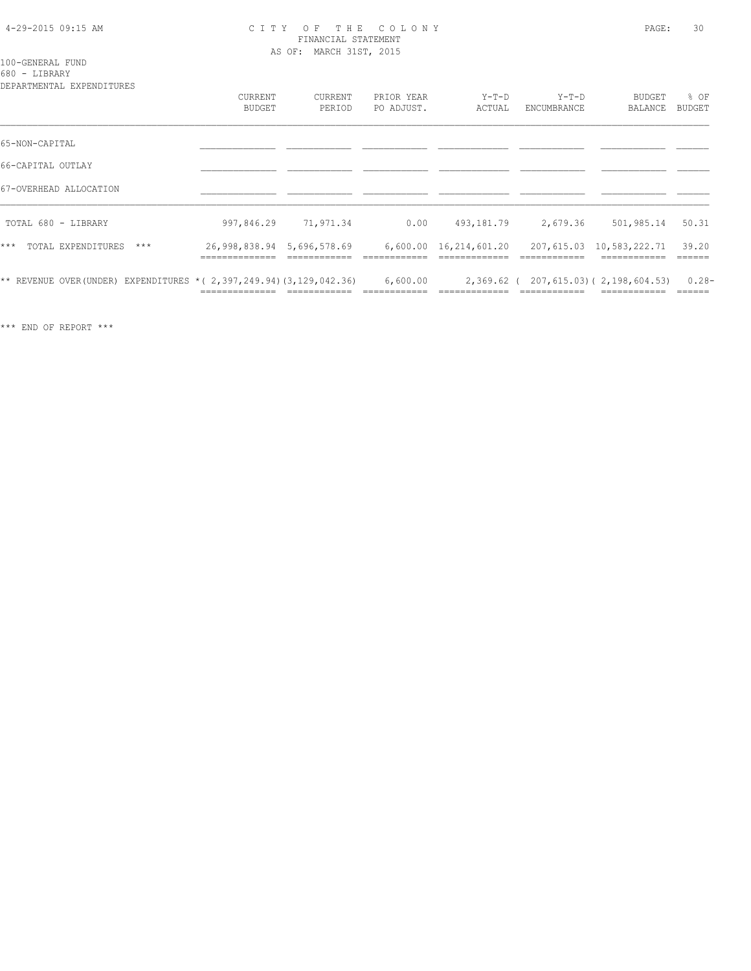#### 4-29-2015 09:15 AM C I T Y O F T H E C O L O N Y PAGE: 30 FINANCIAL STATEMENT AS OF: MARCH 31ST, 2015

100-GENERAL FUND 680 - LIBRARY

| DEPARTMENTAL EXPENDITURES                                                 |                                 |                          |                          |                        |                        |                                        |                |
|---------------------------------------------------------------------------|---------------------------------|--------------------------|--------------------------|------------------------|------------------------|----------------------------------------|----------------|
|                                                                           | <b>CURRENT</b><br><b>BUDGET</b> | <b>CURRENT</b><br>PERIOD | PRIOR YEAR<br>PO ADJUST. | $Y-T-D$<br>ACTUAL      | $Y-T-D$<br>ENCUMBRANCE | <b>BUDGET</b><br>BALANCE               | % OF<br>BUDGET |
|                                                                           |                                 |                          |                          |                        |                        |                                        |                |
| 65-NON-CAPITAL                                                            |                                 |                          |                          |                        |                        |                                        |                |
| 66-CAPITAL OUTLAY                                                         |                                 |                          |                          |                        |                        |                                        |                |
| 67-OVERHEAD ALLOCATION                                                    |                                 |                          |                          |                        |                        |                                        |                |
| TOTAL 680 - LIBRARY                                                       | 997,846.29                      | 71,971.34                | 0.00                     | 493,181.79             | 2,679.36               | 501,985.14                             | 50.31          |
| $***$<br>TOTAL EXPENDITURES<br>$***$                                      | 26,998,838.94 5,696,578.69      |                          |                          | 6,600.00 16,214,601.20 |                        | 207,615.03 10,583,222.71               | 39.20          |
| ** REVENUE OVER (UNDER) EXPENDITURES * ( 2, 397, 249.94) (3, 129, 042.36) |                                 |                          | 6,600.00                 |                        |                        | 2,369.62 ( 207,615.03) ( 2,198,604.53) | $0.28 -$       |

\*\*\* END OF REPORT \*\*\*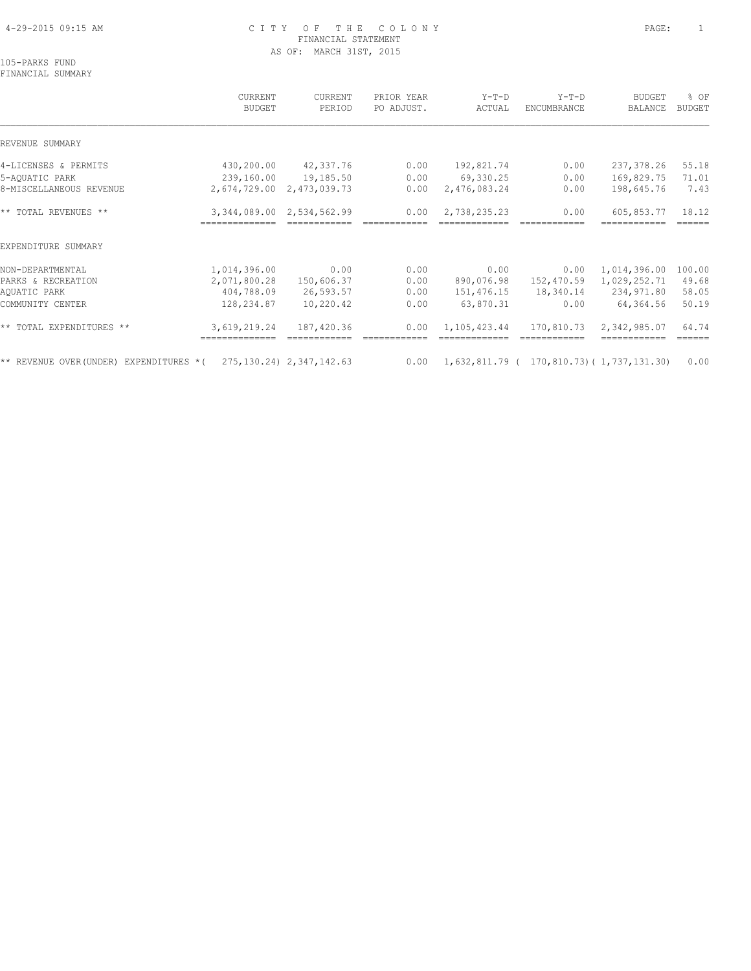# 4-29-2015 09:15 AM C I T Y O F T H E C O L O N Y PAGE: 1 FINANCIAL STATEMENT AS OF: MARCH 31ST, 2015

105-PARKS FUND FINANCIAL SUMMARY

 CURRENT CURRENT PRIOR YEAR Y-T-D Y-T-D BUDGET % OF BUDGET PERIOD PO ADJUST. ACTUAL ENCUMBRANCE BALANCE BUDGET  $\mathcal{L} = \{ \mathcal{L} = \{ \mathcal{L} = \{ \mathcal{L} = \{ \mathcal{L} = \{ \mathcal{L} = \{ \mathcal{L} = \{ \mathcal{L} = \{ \mathcal{L} = \{ \mathcal{L} = \{ \mathcal{L} = \{ \mathcal{L} = \{ \mathcal{L} = \{ \mathcal{L} = \{ \mathcal{L} = \{ \mathcal{L} = \{ \mathcal{L} = \{ \mathcal{L} = \{ \mathcal{L} = \{ \mathcal{L} = \{ \mathcal{L} = \{ \mathcal{L} = \{ \mathcal{L} = \{ \mathcal{L} = \{ \mathcal{$ REVENUE SUMMARY 4-LICENSES & PERMITS 430,200.00 42,337.76 0.00 192,821.74 0.00 237,378.26 55.18 5-AQUATIC PARK 239,160.00 19,185.50 0.00 69,330.25 0.00 169,829.75 71.01 8-MISCELLANEOUS REVENUE 2,674,729.00 2,473,039.73 0.00 2,476,083.24 0.00 198,645.76 7.43 \*\* TOTAL REVENUES \*\* 3,344,089.00 2,534,562.99 0.00 2,738,235.23 0.00 605,853.77 18.12 ============== ============ ============ ============= ============ ============ ====== EXPENDITURE SUMMARY NON-DEPARTMENTAL 1,014,396.00 0.00 0.00 0.00 0.00 1,014,396.00 100.00 PARKS & RECREATION 2,071,800.28 150,606.37 0.00 890,076.98 152,470.59 1,029,252.71 49.68 AQUATIC PARK 404,788.09 26,593.57 0.00 151,476.15 18,340.14 234,971.80 58.05 COMMUNITY CENTER 128,234.87 10,220.42 0.00 63,870.31 0.00 64,364.56 50.19 \*\* TOTAL EXPENDITURES \*\* 3,619,219.24 187,420.36 0.00 1,105,423.44 170,810.73 2,342,985.07 64.74 ============== ============ ============ ============= ============ ============ ====== \*\* REVENUE OVER(UNDER) EXPENDITURES \*( 275,130.24) 2,347,142.63 0.00 1,632,811.79 ( 170,810.73)( 1,737,131.30) 0.00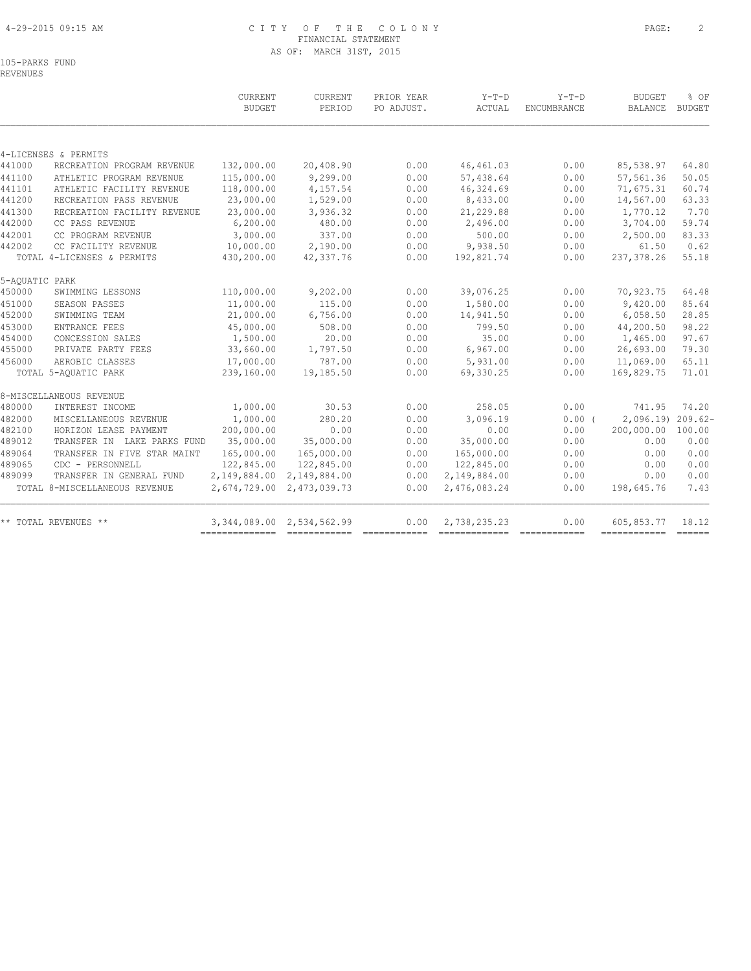# 4-29-2015 09:15 AM C I T Y O F T H E C O L O N Y PAGE: 2 FINANCIAL STATEMENT AS OF: MARCH 31ST, 2015

105-PARKS FUND REVENUES

|                |                               | CURRENT<br><b>BUDGET</b> | CURRENT<br>PERIOD | PRIOR YEAR<br>PO ADJUST. | $Y-T-D$<br>ACTUAL | $Y-T-D$<br>ENCUMBRANCE | <b>BUDGET</b><br><b>BALANCE</b> | % OF<br><b>BUDGET</b> |
|----------------|-------------------------------|--------------------------|-------------------|--------------------------|-------------------|------------------------|---------------------------------|-----------------------|
|                |                               |                          |                   |                          |                   |                        |                                 |                       |
|                | 4-LICENSES & PERMITS          |                          |                   |                          |                   |                        |                                 |                       |
| 441000         | RECREATION PROGRAM REVENUE    | 132,000.00               | 20,408.90         | 0.00                     | 46, 461.03        | 0.00                   | 85,538.97                       | 64.80                 |
| 441100         | ATHLETIC PROGRAM REVENUE      | 115,000.00               | 9,299.00          | 0.00                     | 57,438.64         | 0.00                   | 57,561.36                       | 50.05                 |
| 441101         | ATHLETIC FACILITY REVENUE     | 118,000.00               | 4,157.54          | 0.00                     | 46,324.69         | 0.00                   | 71,675.31                       | 60.74                 |
| 441200         | RECREATION PASS REVENUE       | 23,000.00                | 1,529.00          | 0.00                     | 8,433.00          | 0.00                   | 14,567.00                       | 63.33                 |
| 441300         | RECREATION FACILITY REVENUE   | 23,000.00                | 3,936.32          | 0.00                     | 21,229.88         | 0.00                   | 1,770.12                        | 7.70                  |
| 442000         | CC PASS REVENUE               | 6, 200.00                | 480.00            | 0.00                     | 2,496.00          | 0.00                   | 3,704.00                        | 59.74                 |
| 442001         | CC PROGRAM REVENUE            | 3,000.00                 | 337.00            | 0.00                     | 500.00            | 0.00                   | 2,500.00                        | 83.33                 |
| 442002         | CC FACILITY REVENUE           | 10,000.00                | 2,190.00          | 0.00                     | 9,938.50          | 0.00                   | 61.50                           | 0.62                  |
|                | TOTAL 4-LICENSES & PERMITS    | 430,200.00               | 42, 337.76        | 0.00                     | 192,821.74        | 0.00                   | 237,378.26                      | 55.18                 |
| 5-AQUATIC PARK |                               |                          |                   |                          |                   |                        |                                 |                       |
| 450000         | SWIMMING LESSONS              | 110,000.00               | 9,202.00          | 0.00                     | 39,076.25         | 0.00                   | 70,923.75                       | 64.48                 |
| 451000         | SEASON PASSES                 | 11,000.00                | 115.00            | 0.00                     | 1,580.00          | 0.00                   | 9,420.00                        | 85.64                 |
| 452000         | SWIMMING TEAM                 | 21,000.00                | 6,756.00          | 0.00                     | 14,941.50         | 0.00                   | 6,058.50                        | 28.85                 |
| 453000         | ENTRANCE FEES                 | 45,000.00                | 508.00            | 0.00                     | 799.50            | 0.00                   | 44,200.50                       | 98.22                 |
| 454000         | CONCESSION SALES              | 1,500.00                 | 20.00             | 0.00                     | 35.00             | 0.00                   | 1,465.00                        | 97.67                 |
| 455000         | PRIVATE PARTY FEES            | 33,660.00                | 1,797.50          | 0.00                     | 6,967.00          | 0.00                   | 26,693.00                       | 79.30                 |
| 456000         | AEROBIC CLASSES               | 17,000.00                | 787.00            | 0.00                     | 5,931.00          | 0.00                   | 11,069.00                       | 65.11                 |
|                | TOTAL 5-AQUATIC PARK          | 239,160.00               | 19,185.50         | 0.00                     | 69,330.25         | 0.00                   | 169,829.75                      | 71.01                 |
|                | 8-MISCELLANEOUS REVENUE       |                          |                   |                          |                   |                        |                                 |                       |
| 480000         | INTEREST INCOME               | 1,000.00                 | 30.53             | 0.00                     | 258.05            | 0.00                   | 741.95                          | 74.20                 |
| 482000         | MISCELLANEOUS REVENUE         | 1,000.00                 | 280.20            | 0.00                     | 3,096.19          | $0.00$ $($             | 2,096.19                        | $209.62-$             |
| 482100         | HORIZON LEASE PAYMENT         | 200,000.00               | 0.00              | 0.00                     | 0.00              | 0.00                   | 200,000.00                      | 100.00                |
| 489012         | TRANSFER IN LAKE PARKS FUND   | 35,000.00                | 35,000.00         | 0.00                     | 35,000.00         | 0.00                   | 0.00                            | 0.00                  |
| 489064         | TRANSFER IN FIVE STAR MAINT   | 165,000.00               | 165,000.00        | 0.00                     | 165,000.00        | 0.00                   | 0.00                            | 0.00                  |
| 489065         | CDC - PERSONNELL              | 122,845.00               | 122,845.00        | 0.00                     | 122,845.00        | 0.00                   | 0.00                            | 0.00                  |
| 489099         | TRANSFER IN GENERAL FUND      | 2,149,884.00             | 2,149,884.00      | 0.00                     | 2,149,884.00      | 0.00                   | 0.00                            | 0.00                  |
|                | TOTAL 8-MISCELLANEOUS REVENUE | 2,674,729.00             | 2,473,039.73      | 0.00                     | 2,476,083.24      | 0.00                   | 198,645.76                      | 7.43                  |
|                | ** TOTAL REVENUES **          | 3,344,089.00             | 2,534,562.99      | 0.00                     | 2,738,235.23      | 0.00                   | 605,853.77                      | 18.12                 |
|                |                               | --------------           |                   |                          |                   |                        | ------------- ------            |                       |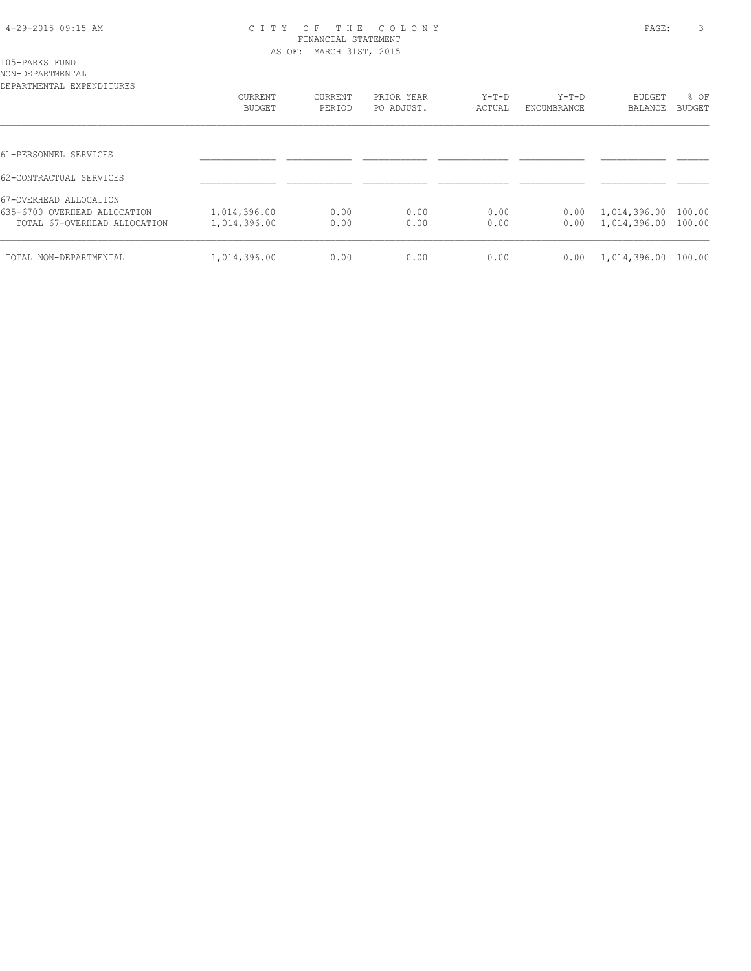### 4-29-2015 09:15 AM C I T Y O F T H E C O L O N Y PAGE: 3 FINANCIAL STATEMENT AS OF: MARCH 31ST, 2015

105-PARKS FUND

| NON-DEPARTMENTAL<br>DEPARTMENTAL EXPENDITURES |              |         |            |         |             |              |        |
|-----------------------------------------------|--------------|---------|------------|---------|-------------|--------------|--------|
|                                               | CURRENT      | CURRENT | PRIOR YEAR | $Y-T-D$ | Y-T-D       | BUDGET       | % OF   |
|                                               | BUDGET       | PERIOD  | PO ADJUST. | ACTUAL  | ENCUMBRANCE | BALANCE      | BUDGET |
|                                               |              |         |            |         |             |              |        |
| 61-PERSONNEL SERVICES                         |              |         |            |         |             |              |        |
| 62-CONTRACTUAL SERVICES                       |              |         |            |         |             |              |        |
| 67-OVERHEAD ALLOCATION                        |              |         |            |         |             |              |        |
| 635-6700 OVERHEAD ALLOCATION                  | 1,014,396.00 | 0.00    | 0.00       | 0.00    | 0.00        | 1,014,396.00 | 100.00 |
| TOTAL 67-OVERHEAD ALLOCATION                  | 1,014,396.00 | 0.00    | 0.00       | 0.00    | 0.00        | 1,014,396.00 | 100.00 |
| TOTAL NON-DEPARTMENTAL                        | 1,014,396.00 | 0.00    | 0.00       | 0.00    | 0.00        | 1,014,396.00 | 100.00 |
|                                               |              |         |            |         |             |              |        |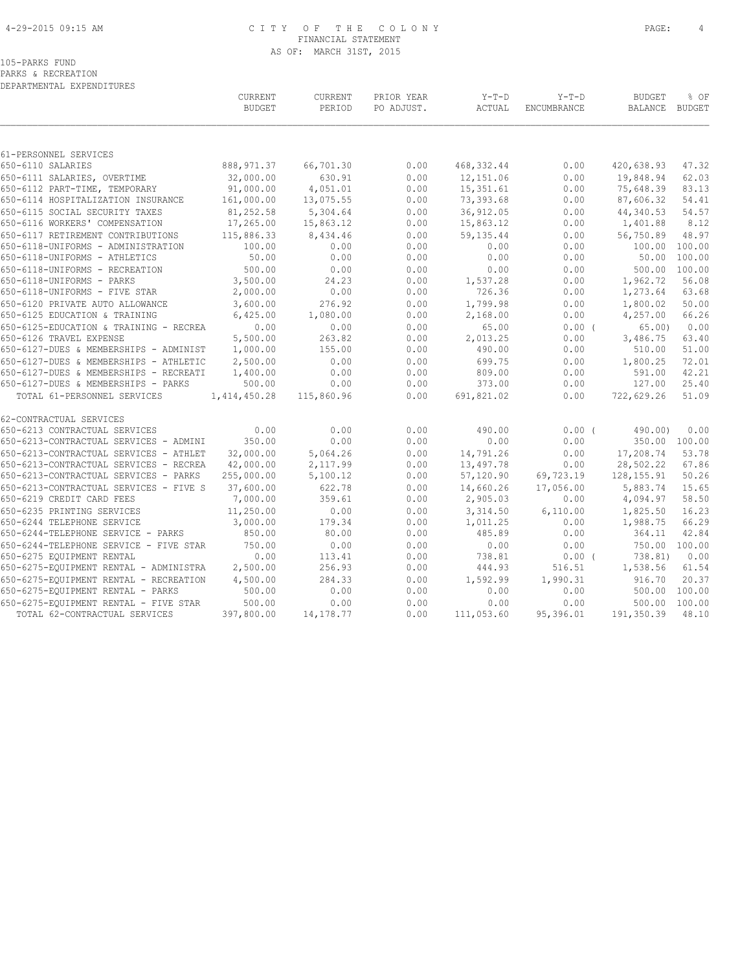# 4-29-2015 09:15 AM C I T Y O F T H E C O L O N Y PAGE: 4 FINANCIAL STATEMENT AS OF: MARCH 31ST, 2015

PARKS & RECREATION DEPARTMENTAL EXPENDITURES

|                                            | CURRENT<br><b>BUDGET</b> | CURRENT<br>PERIOD | PRIOR YEAR<br>PO ADJUST. | $Y-T-D$<br>ACTUAL | $Y-T-D$<br>ENCUMBRANCE | <b>BUDGET</b><br><b>BALANCE</b> | % OF<br>BUDGET |
|--------------------------------------------|--------------------------|-------------------|--------------------------|-------------------|------------------------|---------------------------------|----------------|
|                                            |                          |                   |                          |                   |                        |                                 |                |
| 61-PERSONNEL SERVICES<br>650-6110 SALARIES | 888, 971.37              | 66,701.30         | 0.00                     | 468, 332.44       | 0.00                   | 420,638.93                      | 47.32          |
| 650-6111 SALARIES, OVERTIME                | 32,000.00                | 630.91            | 0.00                     | 12,151.06         | 0.00                   | 19,848.94                       | 62.03          |
| 650-6112 PART-TIME, TEMPORARY              | 91,000.00                | 4,051.01          | 0.00                     | 15, 351.61        | 0.00                   | 75,648.39                       | 83.13          |
| 650-6114 HOSPITALIZATION INSURANCE         | 161,000.00               | 13,075.55         | 0.00                     | 73,393.68         | 0.00                   | 87,606.32                       | 54.41          |
| 650-6115 SOCIAL SECURITY TAXES             | 81,252.58                | 5,304.64          | 0.00                     | 36, 912.05        | 0.00                   | 44,340.53                       | 54.57          |
| 650-6116 WORKERS' COMPENSATION             | 17,265.00                | 15,863.12         | 0.00                     | 15,863.12         | 0.00                   | 1,401.88                        | 8.12           |
| 650-6117 RETIREMENT CONTRIBUTIONS          | 115,886.33               | 8,434.46          | 0.00                     | 59,135.44         | 0.00                   | 56,750.89                       | 48.97          |
| 650-6118-UNIFORMS - ADMINISTRATION         | 100.00                   | 0.00              | 0.00                     | 0.00              | 0.00                   |                                 | 100.00 100.00  |
| 650-6118-UNIFORMS - ATHLETICS              | 50.00                    | 0.00              | 0.00                     | 0.00              | 0.00                   | 50.00                           | 100.00         |
| 650-6118-UNIFORMS - RECREATION             | 500.00                   | 0.00              | 0.00                     | 0.00              | 0.00                   |                                 | 500.00 100.00  |
| 650-6118-UNIFORMS - PARKS                  | 3,500.00                 | 24.23             | 0.00                     | 1,537.28          | 0.00                   | 1,962.72                        | 56.08          |
| 650-6118-UNIFORMS - FIVE STAR              | 2,000.00                 | 0.00              | 0.00                     | 726.36            | 0.00                   | 1,273.64                        | 63.68          |
| 650-6120 PRIVATE AUTO ALLOWANCE            | 3,600.00                 | 276.92            | 0.00                     | 1,799.98          | 0.00                   | 1,800.02                        | 50.00          |
| 650-6125 EDUCATION & TRAINING              | 6,425.00                 | 1,080.00          | 0.00                     | 2,168.00          | 0.00                   | 4,257.00                        | 66.26          |
| 650-6125-EDUCATION & TRAINING - RECREA     | 0.00                     | 0.00              | 0.00                     | 65.00             | 0.00(                  | 65.00                           | 0.00           |
| 650-6126 TRAVEL EXPENSE                    | 5,500.00                 | 263.82            | 0.00                     | 2,013.25          | 0.00                   | 3,486.75                        | 63.40          |
| 650-6127-DUES & MEMBERSHIPS - ADMINIST     | 1,000.00                 | 155.00            | 0.00                     | 490.00            | 0.00                   | 510.00                          | 51.00          |
| 650-6127-DUES & MEMBERSHIPS - ATHLETIC     | 2,500.00                 | 0.00              | 0.00                     | 699.75            | 0.00                   | 1,800.25                        | 72.01          |
| 650-6127-DUES & MEMBERSHIPS - RECREATI     | 1,400.00                 | 0.00              | 0.00                     | 809.00            | 0.00                   | 591.00                          | 42.21          |
| 650-6127-DUES & MEMBERSHIPS - PARKS        | 500.00                   | 0.00              | 0.00                     | 373.00            | 0.00                   | 127.00                          | 25.40          |
| TOTAL 61-PERSONNEL SERVICES                | 1,414,450.28             | 115,860.96        | 0.00                     | 691,821.02        | 0.00                   | 722,629.26                      | 51.09          |
| 62-CONTRACTUAL SERVICES                    |                          |                   |                          |                   |                        |                                 |                |
| 650-6213 CONTRACTUAL SERVICES              | 0.00                     | 0.00              | 0.00                     | 490.00            | $0.00$ (               | 490.00                          | 0.00           |
| 650-6213-CONTRACTUAL SERVICES - ADMINI     | 350.00                   | 0.00              | 0.00                     | 0.00              | 0.00                   | 350.00 100.00                   |                |
| 650-6213-CONTRACTUAL SERVICES - ATHLET     | 32,000.00                | 5,064.26          | 0.00                     | 14,791.26         | 0.00                   | 17,208.74                       | 53.78          |
| 650-6213-CONTRACTUAL SERVICES - RECREA     | 42,000.00                | 2,117.99          | 0.00                     | 13,497.78         | 0.00                   | 28,502.22                       | 67.86          |
| 650-6213-CONTRACTUAL SERVICES - PARKS      | 255,000.00               | 5,100.12          | 0.00                     | 57,120.90         | 69,723.19              | 128, 155.91                     | 50.26          |
| 650-6213-CONTRACTUAL SERVICES - FIVE S     | 37,600.00                | 622.78            | 0.00                     | 14,660.26         | 17,056.00              | 5,883.74                        | 15.65          |
| 650-6219 CREDIT CARD FEES                  | 7,000.00                 | 359.61            | 0.00                     | 2,905.03          | 0.00                   | 4,094.97                        | 58.50          |
| 650-6235 PRINTING SERVICES                 | 11,250.00                | 0.00              | 0.00                     | 3,314.50          | 6,110.00               | 1,825.50                        | 16.23          |
| 650-6244 TELEPHONE SERVICE                 | 3,000.00                 | 179.34            | 0.00                     | 1,011.25          | 0.00                   | 1,988.75                        | 66.29          |
| 650-6244-TELEPHONE SERVICE - PARKS         | 850.00                   | 80.00             | 0.00                     | 485.89            | 0.00                   | 364.11                          | 42.84          |
| 650-6244-TELEPHONE SERVICE - FIVE STAR     | 750.00                   | 0.00              | 0.00                     | 0.00              | 0.00                   | 750.00 100.00                   |                |
| 650-6275 EQUIPMENT RENTAL                  | 0.00                     | 113.41            | 0.00                     | 738.81            | $0.00$ (               | 738.81)                         | 0.00           |
| 650-6275-EQUIPMENT RENTAL - ADMINISTRA     | 2,500.00                 | 256.93            | 0.00                     | 444.93            | 516.51                 | 1,538.56                        | 61.54          |
| 650-6275-EQUIPMENT RENTAL - RECREATION     | 4,500.00                 | 284.33            | 0.00                     | 1,592.99          | 1,990.31               | 916.70                          | 20.37          |
| 650-6275-EQUIPMENT RENTAL - PARKS          | 500.00                   | 0.00              | 0.00                     | 0.00              | 0.00                   | 500.00                          | 100.00         |
| 650-6275-EQUIPMENT RENTAL - FIVE STAR      | 500.00                   | 0.00              | 0.00                     | 0.00              | 0.00                   | 500.00                          | 100.00         |
| TOTAL 62-CONTRACTUAL SERVICES              | 397,800.00               | 14, 178. 77       | 0.00                     | 111,053.60        | 95,396.01              | 191,350.39                      | 48.10          |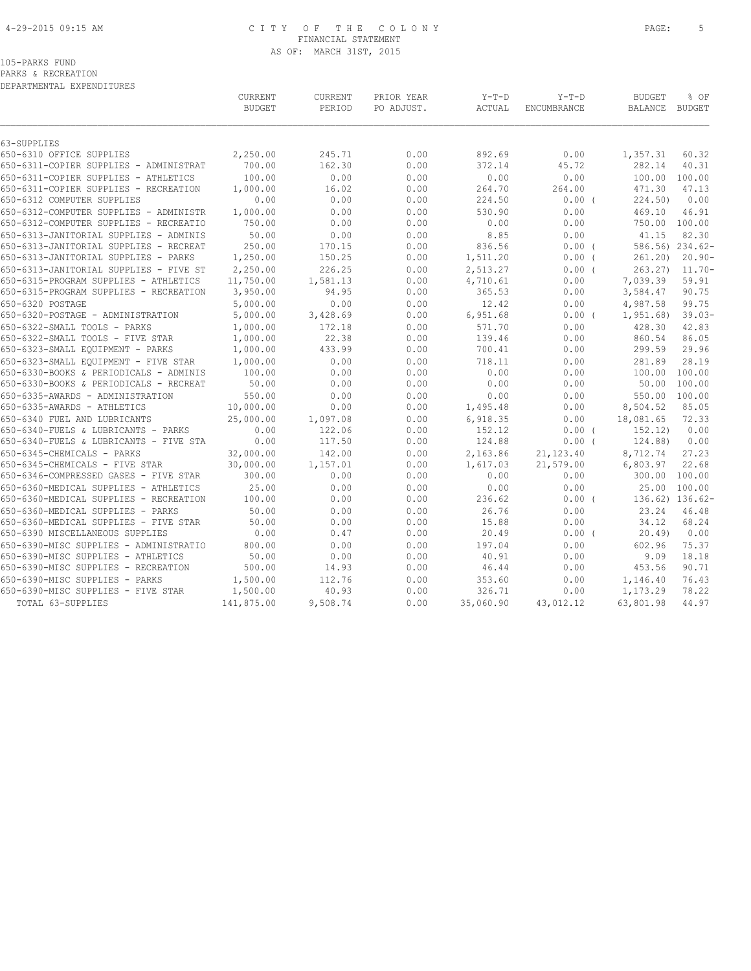# 4-29-2015 09:15 AM C I T Y O F T H E C O L O N Y PAGE: 5 FINANCIAL STATEMENT AS OF: MARCH 31ST, 2015

105-PARKS FUND

PARKS & RECREATION

DEPARTMENTAL EXPENDITURES

|                                        | CURRENT<br><b>BUDGET</b> | CURRENT<br>PERIOD | PRIOR YEAR<br>PO ADJUST. | $Y-T-D$<br>ACTUAL | $Y-T-D$<br>ENCUMBRANCE | <b>BUDGET</b><br><b>BALANCE</b> | % OF<br>BUDGET  |
|----------------------------------------|--------------------------|-------------------|--------------------------|-------------------|------------------------|---------------------------------|-----------------|
| 63-SUPPLIES                            |                          |                   |                          |                   |                        |                                 |                 |
| 650-6310 OFFICE SUPPLIES               | 2,250.00                 | 245.71            | 0.00                     | 892.69            | 0.00                   | 1,357.31                        | 60.32           |
| 650-6311-COPIER SUPPLIES - ADMINISTRAT | 700.00                   | 162.30            | 0.00                     | 372.14            | 45.72                  | 282.14                          | 40.31           |
| 650-6311-COPIER SUPPLIES - ATHLETICS   | 100.00                   | 0.00              | 0.00                     | 0.00              | 0.00                   | 100.00                          | 100.00          |
| 650-6311-COPIER SUPPLIES - RECREATION  | 1,000.00                 | 16.02             | 0.00                     | 264.70            | 264.00                 | 471.30                          | 47.13           |
| 650-6312 COMPUTER SUPPLIES             | 0.00                     | 0.00              | 0.00                     | 224.50            | $0.00$ (               | 224.50)                         | 0.00            |
| 650-6312-COMPUTER SUPPLIES - ADMINISTR | 1,000.00                 | 0.00              | 0.00                     | 530.90            | 0.00                   | 469.10                          | 46.91           |
| 650-6312-COMPUTER SUPPLIES - RECREATIO | 750.00                   | 0.00              | 0.00                     | 0.00              | 0.00                   |                                 | 750.00 100.00   |
| 650-6313-JANITORIAL SUPPLIES - ADMINIS | 50.00                    | 0.00              | 0.00                     | 8.85              | 0.00                   | 41.15                           | 82.30           |
| 650-6313-JANITORIAL SUPPLIES - RECREAT | 250.00                   | 170.15            | 0.00                     | 836.56            | 0.00(                  |                                 | 586.56) 234.62- |
| 650-6313-JANITORIAL SUPPLIES - PARKS   | 1,250.00                 | 150.25            | 0.00                     | 1,511.20          | $0.00$ (               | 261.20                          | $20.90 -$       |
| 650-6313-JANITORIAL SUPPLIES - FIVE ST | 2,250.00                 | 226.25            | 0.00                     | 2,513.27          | $0.00$ (               | 263.27                          | $11.70 -$       |
| 650-6315-PROGRAM SUPPLIES - ATHLETICS  | 11,750.00                | 1,581.13          | 0.00                     | 4,710.61          | 0.00                   | 7,039.39                        | 59.91           |
| 650-6315-PROGRAM SUPPLIES - RECREATION | 3,950.00                 | 94.95             | 0.00                     | 365.53            | 0.00                   | 3,584.47                        | 90.75           |
| 650-6320 POSTAGE                       | 5,000.00                 | 0.00              | 0.00                     | 12.42             | 0.00                   | 4,987.58                        | 99.75           |
| 650-6320-POSTAGE - ADMINISTRATION      | 5,000.00                 | 3,428.69          | 0.00                     | 6,951.68          | $0.00$ (               | 1,951.68)                       | $39.03-$        |
| 650-6322-SMALL TOOLS - PARKS           | 1,000.00                 | 172.18            | 0.00                     | 571.70            | 0.00                   | 428.30                          | 42.83           |
| 650-6322-SMALL TOOLS - FIVE STAR       | 1,000.00                 | 22.38             | 0.00                     | 139.46            | 0.00                   | 860.54                          | 86.05           |
| 650-6323-SMALL EQUIPMENT - PARKS       | 1,000.00                 | 433.99            | 0.00                     | 700.41            | 0.00                   | 299.59                          | 29.96           |
| 650-6323-SMALL EQUIPMENT - FIVE STAR   | 1,000.00                 | 0.00              | 0.00                     | 718.11            | 0.00                   | 281.89                          | 28.19           |
| 650-6330-BOOKS & PERIODICALS - ADMINIS | 100.00                   | 0.00              | 0.00                     | 0.00              | 0.00                   | 100.00                          | 100.00          |
| 650-6330-BOOKS & PERIODICALS - RECREAT | 50.00                    | 0.00              | 0.00                     | 0.00              | 0.00                   | 50.00                           | 100.00          |
| 650-6335-AWARDS - ADMINISTRATION       | 550.00                   | 0.00              | 0.00                     | 0.00              | 0.00                   | 550.00                          | 100.00          |
| 650-6335-AWARDS - ATHLETICS            | 10,000.00                | 0.00              | 0.00                     | 1,495.48          | 0.00                   | 8,504.52                        | 85.05           |
| 650-6340 FUEL AND LUBRICANTS           | 25,000.00                | 1,097.08          | 0.00                     | 6,918.35          | 0.00                   | 18,081.65                       | 72.33           |
| 650-6340-FUELS & LUBRICANTS - PARKS    | 0.00                     | 122.06            | 0.00                     | 152.12            | 0.00(                  | 152.12)                         | 0.00            |
| 650-6340-FUELS & LUBRICANTS - FIVE STA | 0.00                     | 117.50            | 0.00                     | 124.88            | $0.00$ (               | 124.88)                         | 0.00            |
| 650-6345-CHEMICALS - PARKS             | 32,000.00                | 142.00            | 0.00                     | 2,163.86          | 21, 123.40             | 8,712.74                        | 27.23           |
| 650-6345-CHEMICALS - FIVE STAR         | 30,000.00                | 1,157.01          | 0.00                     | 1,617.03          | 21,579.00              | 6,803.97                        | 22.68           |
| 650-6346-COMPRESSED GASES - FIVE STAR  | 300.00                   | 0.00              | 0.00                     | 0.00              | 0.00                   | 300.00                          | 100.00          |
| 650-6360-MEDICAL SUPPLIES - ATHLETICS  | 25.00                    | 0.00              | 0.00                     | 0.00              | 0.00                   |                                 | 25.00 100.00    |
| 650-6360-MEDICAL SUPPLIES - RECREATION | 100.00                   | 0.00              | 0.00                     | 236.62            | $0.00$ (               |                                 | 136.62) 136.62- |
| 650-6360-MEDICAL SUPPLIES - PARKS      | 50.00                    | 0.00              | 0.00                     | 26.76             | 0.00                   | 23.24                           | 46.48           |
| 650-6360-MEDICAL SUPPLIES - FIVE STAR  | 50.00                    | 0.00              | 0.00                     | 15.88             | 0.00                   | 34.12                           | 68.24           |
| 650-6390 MISCELLANEOUS SUPPLIES        | 0.00                     | 0.47              | 0.00                     | 20.49             | $0.00$ (               | 20.49                           | 0.00            |
| 650-6390-MISC SUPPLIES - ADMINISTRATIO | 800.00                   | 0.00              | 0.00                     | 197.04            | 0.00                   | 602.96                          | 75.37           |
| 650-6390-MISC SUPPLIES - ATHLETICS     | 50.00                    | 0.00              | 0.00                     | 40.91             | 0.00                   | 9.09                            | 18.18           |
| 650-6390-MISC SUPPLIES - RECREATION    | 500.00                   | 14.93             | 0.00                     | 46.44             | 0.00                   | 453.56                          | 90.71           |
| 650-6390-MISC SUPPLIES - PARKS         | 1,500.00                 | 112.76            | 0.00                     | 353.60            | 0.00                   | 1,146.40                        | 76.43           |
| 650-6390-MISC SUPPLIES - FIVE STAR     | 1,500.00                 | 40.93             | 0.00                     | 326.71            | 0.00                   | 1,173.29                        | 78.22           |
| TOTAL 63-SUPPLIES                      | 141,875.00               | 9,508.74          | 0.00                     | 35,060.90         | 43,012.12              | 63,801.98                       | 44.97           |
|                                        |                          |                   |                          |                   |                        |                                 |                 |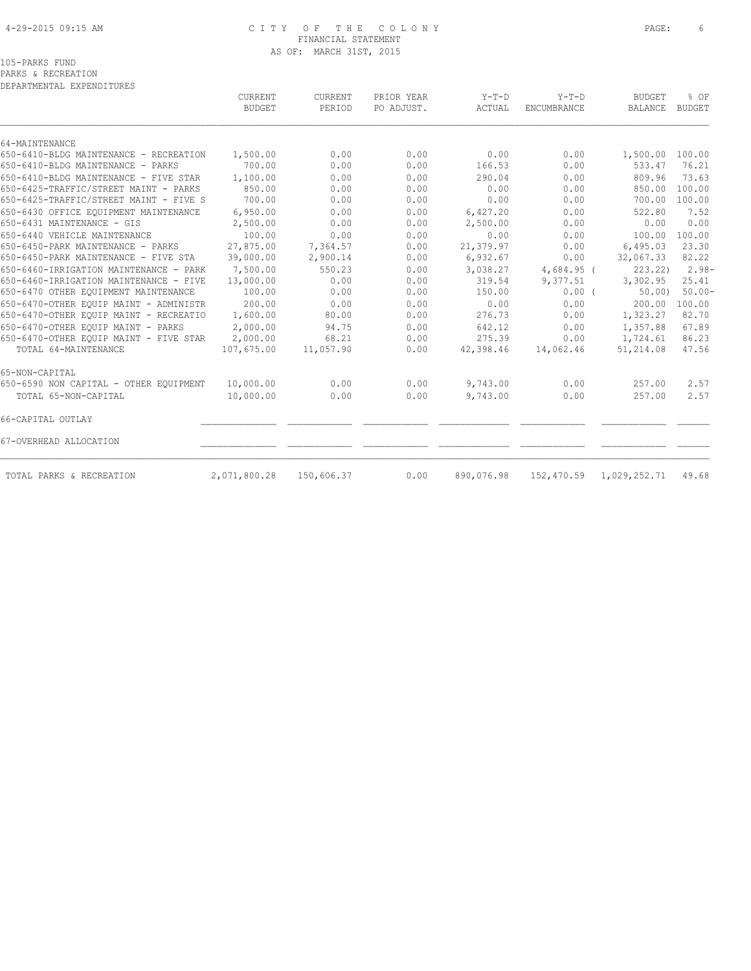# 4-29-2015 09:15 AM C I T Y O F T H E C O L O N Y PAGE: 6 FINANCIAL STATEMENT AS OF: MARCH 31ST, 2015

PARKS & RECREATION DEPARTMENTAL EXPENDITURES

|                                                          | <b>CURRENT</b><br><b>BUDGET</b> | <b>CURRENT</b><br>PERIOD | PRIOR YEAR<br>PO ADJUST. | $Y-T-D$<br>ACTUAL | $Y-T-D$<br><b>ENCUMBRANCE</b> | <b>BUDGET</b><br><b>BALANCE</b> | % OF<br><b>BUDGET</b> |
|----------------------------------------------------------|---------------------------------|--------------------------|--------------------------|-------------------|-------------------------------|---------------------------------|-----------------------|
|                                                          |                                 |                          |                          |                   |                               |                                 |                       |
| 64-MAINTENANCE<br>650-6410-BLDG MAINTENANCE - RECREATION | 1,500.00                        | 0.00                     | 0.00                     | 0.00              | 0.00                          | 1,500.00                        | 100.00                |
| 650-6410-BLDG MAINTENANCE - PARKS                        | 700.00                          | 0.00                     | 0.00                     | 166.53            | 0.00                          | 533.47                          | 76.21                 |
| 650-6410-BLDG MAINTENANCE - FIVE STAR                    | 1,100.00                        | 0.00                     | 0.00                     | 290.04            | 0.00                          | 809.96                          | 73.63                 |
| 650-6425-TRAFFIC/STREET MAINT - PARKS                    | 850.00                          | 0.00                     | 0.00                     | 0.00              | 0.00                          | 850.00                          | 100.00                |
| 650-6425-TRAFFIC/STREET MAINT - FIVE S                   | 700.00                          | 0.00                     | 0.00                     | 0.00              | 0.00                          | 700.00                          | 100.00                |
| 650-6430 OFFICE EOUIPMENT MAINTENANCE                    | 6,950.00                        | 0.00                     | 0.00                     | 6,427.20          | 0.00                          | 522.80                          | 7.52                  |
| 650-6431 MAINTENANCE - GIS                               | 2,500.00                        | 0.00                     | 0.00                     | 2,500.00          | 0.00                          | 0.00                            | 0.00                  |
| 650-6440 VEHICLE MAINTENANCE                             | 100.00                          | 0.00                     | 0.00                     | 0.00              | 0.00                          | 100.00                          | 100.00                |
| 650-6450-PARK MAINTENANCE - PARKS                        | 27,875.00                       | 7,364.57                 | 0.00                     | 21,379.97         | 0.00                          | 6,495.03                        | 23.30                 |
| 650-6450-PARK MAINTENANCE - FIVE STA                     | 39,000.00                       | 2,900.14                 | 0.00                     | 6,932.67          | 0.00                          | 32,067.33                       | 82.22                 |
| 650-6460-IRRIGATION MAINTENANCE - PARK                   | 7,500.00                        | 550.23                   | 0.00                     | 3,038.27          | $4,684.95$ (                  | 223.22                          | $2.98-$               |
| 650-6460-IRRIGATION MAINTENANCE - FIVE                   | 13,000.00                       | 0.00                     | 0.00                     | 319.54            | 9,377.51                      | 3,302.95                        | 25.41                 |
| 650-6470 OTHER EQUIPMENT MAINTENANCE                     | 100.00                          | 0.00                     | 0.00                     | 150.00            | $0.00$ (                      | 50.00                           | $50.00 -$             |
| 650-6470-OTHER EQUIP MAINT - ADMINISTR                   | 200.00                          | 0.00                     | 0.00                     | 0.00              | 0.00                          | 200.00                          | 100.00                |
| 650-6470-OTHER EQUIP MAINT - RECREATIO                   | 1,600.00                        | 80.00                    | 0.00                     | 276.73            | 0.00                          | 1,323.27                        | 82.70                 |
| 650-6470-OTHER EOUIP MAINT - PARKS                       | 2,000.00                        | 94.75                    | 0.00                     | 642.12            | 0.00                          | 1,357.88                        | 67.89                 |
| 650-6470-OTHER EQUIP MAINT - FIVE STAR                   | 2,000.00                        | 68.21                    | 0.00                     | 275.39            | 0.00                          | 1,724.61                        | 86.23                 |
| TOTAL 64-MAINTENANCE                                     | 107,675.00                      | 11,057.90                | 0.00                     | 42,398.46         | 14,062.46                     | 51,214.08                       | 47.56                 |
| 65-NON-CAPITAL                                           |                                 |                          |                          |                   |                               |                                 |                       |
| 650-6590 NON CAPITAL - OTHER EQUIPMENT                   | 10,000.00                       | 0.00                     | 0.00                     | 9,743.00          | 0.00                          | 257.00                          | 2.57                  |
| TOTAL 65-NON-CAPITAL                                     | 10,000.00                       | 0.00                     | 0.00                     | 9,743.00          | 0.00                          | 257.00                          | 2.57                  |
| 66-CAPITAL OUTLAY                                        |                                 |                          |                          |                   |                               |                                 |                       |
| 67-OVERHEAD ALLOCATION                                   |                                 |                          |                          |                   |                               |                                 |                       |
| TOTAL PARKS & RECREATION                                 | 2,071,800.28                    | 150,606.37               | 0.00                     | 890,076.98        |                               | 152,470.59 1,029,252.71         | 49.68                 |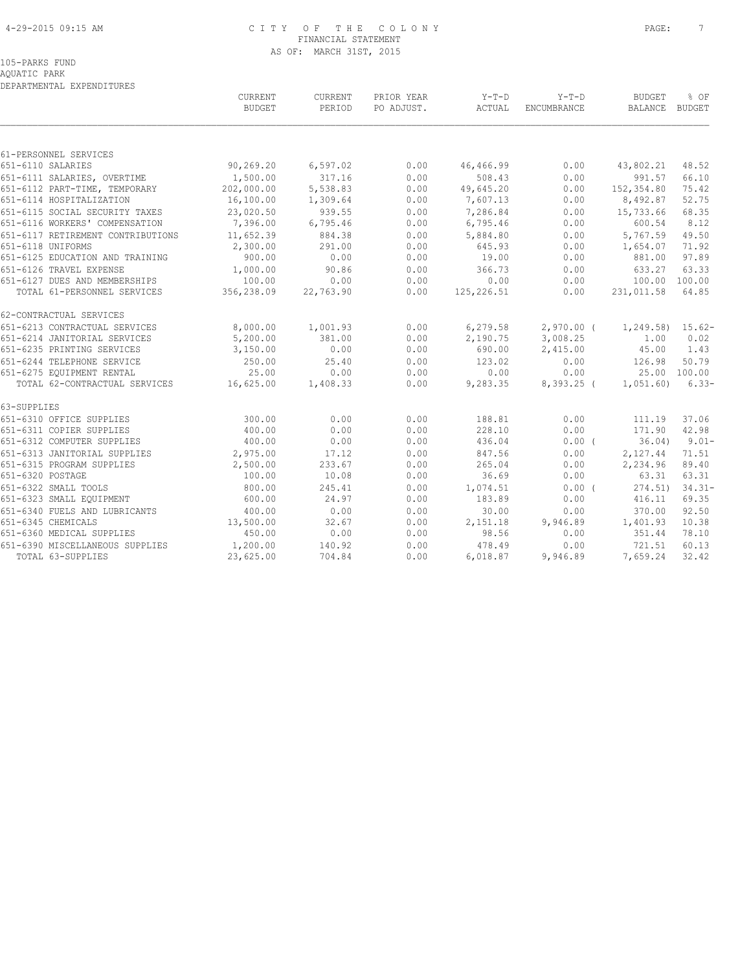# 4-29-2015 09:15 AM C I T Y O F T H E C O L O N Y PAGE: 7 FINANCIAL STATEMENT AS OF: MARCH 31ST, 2015

AQUATIC PARK DEPARTMENTAL EXPENDITURES

|                                   | CURRENT<br><b>BUDGET</b> | CURRENT<br>PERIOD | PRIOR YEAR<br>PO ADJUST. | $Y-T-D$<br>ACTUAL | $Y-T-D$<br>ENCUMBRANCE | <b>BUDGET</b><br>BALANCE BUDGET | % OF         |
|-----------------------------------|--------------------------|-------------------|--------------------------|-------------------|------------------------|---------------------------------|--------------|
|                                   |                          |                   |                          |                   |                        |                                 |              |
| 61-PERSONNEL SERVICES             |                          |                   |                          |                   |                        |                                 |              |
| 651-6110 SALARIES                 | 90,269.20                | 6, 597.02         | 0.00                     | 46,466.99         | 0.00                   | 43,802.21                       | 48.52        |
| 651-6111 SALARIES, OVERTIME       | 1,500.00                 | 317.16            | 0.00                     | 508.43            | 0.00                   | 991.57                          | 66.10        |
| 651-6112 PART-TIME, TEMPORARY     | 202,000.00               | 5,538.83          | 0.00                     | 49,645.20         | 0.00                   | 152,354.80                      | 75.42        |
| 651-6114 HOSPITALIZATION          | 16,100.00                | 1,309.64          | 0.00                     | 7,607.13          | 0.00                   | 8,492.87                        | 52.75        |
| 651-6115 SOCIAL SECURITY TAXES    | 23,020.50                | 939.55            | 0.00                     | 7,286.84          | 0.00                   | 15,733.66                       | 68.35        |
| 651-6116 WORKERS' COMPENSATION    | 7,396.00                 | 6,795.46          | 0.00                     | 6,795.46          | 0.00                   | 600.54                          | 8.12         |
| 651-6117 RETIREMENT CONTRIBUTIONS | 11,652.39                | 884.38            | 0.00                     | 5,884.80          | 0.00                   | 5,767.59                        | 49.50        |
| 651-6118 UNIFORMS                 | 2,300.00                 | 291.00            | 0.00                     | 645.93            | 0.00                   | 1,654.07                        | 71.92        |
| 651-6125 EDUCATION AND TRAINING   | 900.00                   | 0.00              | 0.00                     | 19.00             | 0.00                   | 881.00                          | 97.89        |
| 651-6126 TRAVEL EXPENSE           | 1,000.00                 | 90.86             | 0.00                     | 366.73            | 0.00                   | 633.27                          | 63.33        |
| 651-6127 DUES AND MEMBERSHIPS     | 100.00                   | 0.00              | 0.00                     | 0.00              | 0.00                   | 100.00 100.00                   |              |
| TOTAL 61-PERSONNEL SERVICES       | 356,238.09               | 22,763.90         | 0.00                     | 125, 226.51       | 0.00                   | 231,011.58                      | 64.85        |
| 62-CONTRACTUAL SERVICES           |                          |                   |                          |                   |                        |                                 |              |
| 651-6213 CONTRACTUAL SERVICES     | 8,000.00                 | 1,001.93          | 0.00                     | 6,279.58          |                        | 2,970.00 ( 1,249.58) 15.62-     |              |
| 651-6214 JANITORIAL SERVICES      | 5,200.00                 | 381.00            | 0.00                     | 2,190.75          | 3,008.25               | 1.00                            | 0.02         |
| 651-6235 PRINTING SERVICES        | 3,150.00                 | 0.00              | 0.00                     | 690.00            | 2,415.00               | 45.00                           | 1.43         |
| 651-6244 TELEPHONE SERVICE        | 250.00                   | 25.40             | 0.00                     | 123.02            | 0.00                   | 126.98                          | 50.79        |
| 651-6275 EQUIPMENT RENTAL         | 25.00                    | 0.00              | 0.00                     | 0.00              | 0.00                   |                                 | 25.00 100.00 |
| TOTAL 62-CONTRACTUAL SERVICES     | 16,625.00                | 1,408.33          | 0.00                     | 9,283.35          | 8,393.25 (             | 1,051.60                        | $6.33-$      |
| 63-SUPPLIES                       |                          |                   |                          |                   |                        |                                 |              |
| 651-6310 OFFICE SUPPLIES          | 300.00                   | 0.00              | 0.00                     | 188.81            | 0.00                   | 111.19                          | 37.06        |
| 651-6311 COPIER SUPPLIES          | 400.00                   | 0.00              | 0.00                     | 228.10            | 0.00                   | 171.90                          | 42.98        |
| 651-6312 COMPUTER SUPPLIES        | 400.00                   | 0.00              | 0.00                     | 436.04            | $0.00$ (               | 36.04)                          | $9.01 -$     |
| 651-6313 JANITORIAL SUPPLIES      | 2,975.00                 | 17.12             | 0.00                     | 847.56            | 0.00                   | 2,127.44                        | 71.51        |
| 651-6315 PROGRAM SUPPLIES         | 2,500.00                 | 233.67            | 0.00                     | 265.04            | 0.00                   | 2,234.96                        | 89.40        |
| 651-6320 POSTAGE                  | 100.00                   | 10.08             | 0.00                     | 36.69             | 0.00                   | 63.31                           | 63.31        |
| 651-6322 SMALL TOOLS              | 800.00                   | 245.41            | 0.00                     | 1,074.51          | 0.00(                  | 274.51                          | $34.31 -$    |
| 651-6323 SMALL EQUIPMENT          | 600.00                   | 24.97             | 0.00                     | 183.89            | 0.00                   | 416.11                          | 69.35        |
| 651-6340 FUELS AND LUBRICANTS     | 400.00                   | 0.00              | 0.00                     | 30.00             | 0.00                   | 370.00                          | 92.50        |
| 651-6345 CHEMICALS                | 13,500.00                | 32.67             | 0.00                     | 2,151.18          | 9,946.89               | 1,401.93                        | 10.38        |
| 651-6360 MEDICAL SUPPLIES         | 450.00                   | 0.00              | 0.00                     | 98.56             | 0.00                   | 351.44                          | 78.10        |
| 651-6390 MISCELLANEOUS SUPPLIES   | 1,200.00                 | 140.92            | 0.00                     | 478.49            | 0.00                   | 721.51                          | 60.13        |
| TOTAL 63-SUPPLIES                 | 23,625.00                | 704.84            | 0.00                     | 6,018.87          | 9,946.89               | 7,659.24                        | 32.42        |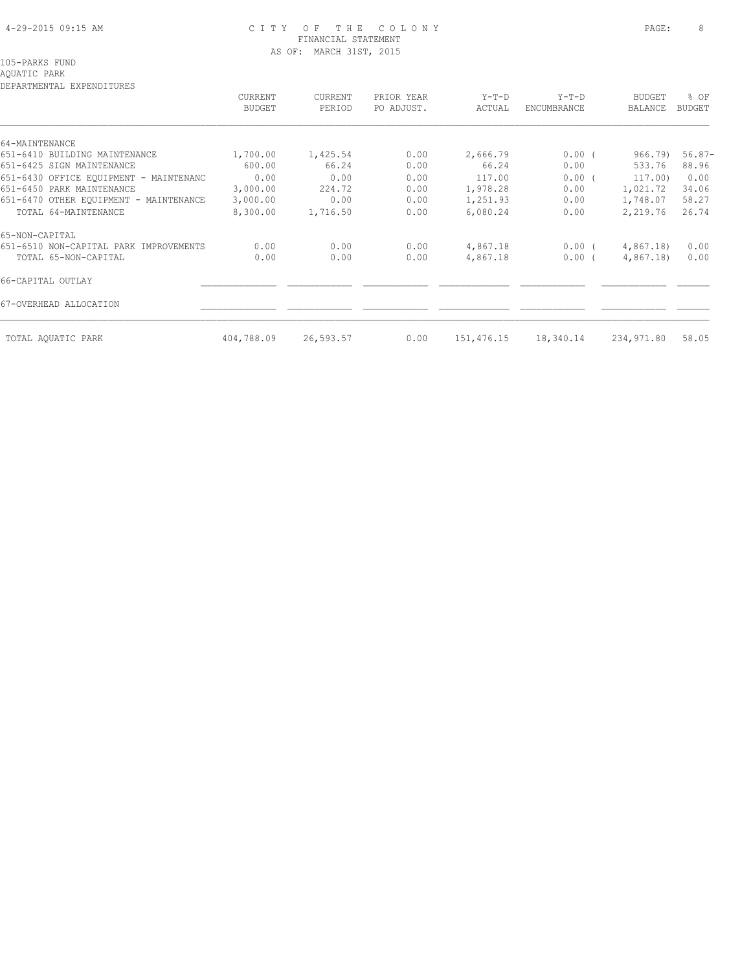# 4-29-2015 09:15 AM C I T Y O F T H E C O L O N Y PAGE: 8 FINANCIAL STATEMENT AS OF: MARCH 31ST, 2015

# AQUATIC PARK

DEPARTMENTAL EXPENDITURES

| DEFANIMENIAL EAFENDIIUNES              | CURRENT<br><b>BUDGET</b> | CURRENT<br>PERIOD | PRIOR YEAR<br>PO ADJUST. | Y-T-D<br>ACTUAL | $Y-T-D$<br>ENCUMBRANCE | <b>BUDGET</b><br>BALANCE | % OF<br>BUDGET |
|----------------------------------------|--------------------------|-------------------|--------------------------|-----------------|------------------------|--------------------------|----------------|
| 64-MAINTENANCE                         |                          |                   |                          |                 |                        |                          |                |
| 651-6410 BUILDING MAINTENANCE          | 1,700.00                 | 1,425.54          | 0.00                     | 2,666.79        | $0.00$ (               | 966.79)                  | $56.87-$       |
| 651-6425 SIGN MAINTENANCE              | 600.00                   | 66.24             | 0.00                     | 66.24           | 0.00                   | 533.76                   | 88.96          |
| 651-6430 OFFICE EOUIPMENT - MAINTENANC | 0.00                     | 0.00              | 0.00                     | 117.00          | $0.00$ (               | 117.00)                  | 0.00           |
| 651-6450 PARK MAINTENANCE              | 3,000.00                 | 224.72            | 0.00                     | 1,978.28        | 0.00                   | 1,021.72                 | 34.06          |
| 651-6470 OTHER EQUIPMENT - MAINTENANCE | 3,000.00                 | 0.00              | 0.00                     | 1,251.93        | 0.00                   | 1,748.07                 | 58.27          |
| TOTAL 64-MAINTENANCE                   | 8,300.00                 | 1,716.50          | 0.00                     | 6,080.24        | 0.00                   | 2,219.76                 | 26.74          |
| 65-NON-CAPITAL                         |                          |                   |                          |                 |                        |                          |                |
| 651-6510 NON-CAPITAL PARK IMPROVEMENTS | 0.00                     | 0.00              | 0.00                     | 4,867.18        | $0.00$ (               | 4,867.18)                | 0.00           |
| TOTAL 65-NON-CAPITAL                   | 0.00                     | 0.00              | 0.00                     | 4,867.18        | $0.00$ (               | 4,867.18)                | 0.00           |
| 66-CAPITAL OUTLAY                      |                          |                   |                          |                 |                        |                          |                |
| 67-OVERHEAD ALLOCATION                 |                          |                   |                          |                 |                        |                          |                |
| TOTAL AQUATIC PARK                     | 404,788.09               | 26,593.57         | 0.00                     | 151,476.15      | 18,340.14              | 234,971.80               | 58.05          |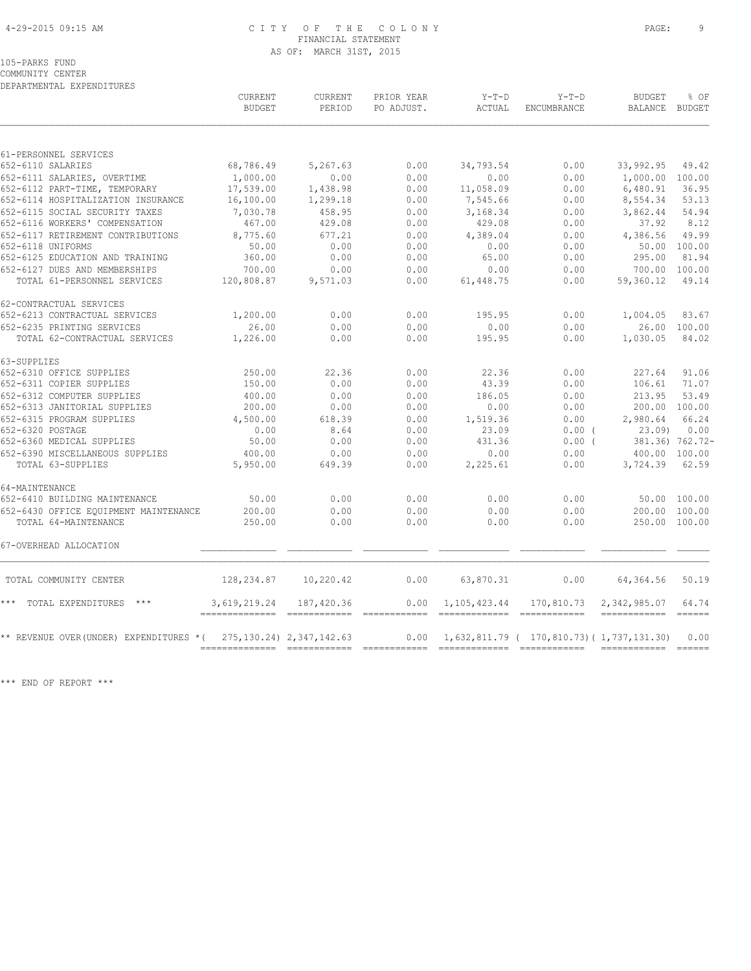# 4-29-2015 09:15 AM C I T Y O F T H E C O L O N Y PAGE: 9 FINANCIAL STATEMENT AS OF: MARCH 31ST, 2015

COMMUNITY CENTER DEPARTMENTAL EXPENDITURES

| DEPARTMENTAL EXPENDITURES              | CURRENT       | CURRENT                       | PRIOR YEAR | $Y-T-D$                        | $Y-T-D$                                            | <b>BUDGET</b>        | % OF            |
|----------------------------------------|---------------|-------------------------------|------------|--------------------------------|----------------------------------------------------|----------------------|-----------------|
|                                        | <b>BUDGET</b> | PERIOD                        | PO ADJUST. | ACTUAL                         | ENCUMBRANCE                                        | BALANCE              | BUDGET          |
| 61-PERSONNEL SERVICES                  |               |                               |            |                                |                                                    |                      |                 |
| 652-6110 SALARIES                      | 68,786.49     | 5,267.63                      | 0.00       | 34,793.54                      | 0.00                                               | 33,992.95            | 49.42           |
| 652-6111 SALARIES, OVERTIME            | 1,000.00      | 0.00                          | 0.00       | 0.00                           | 0.00                                               | 1,000.00 100.00      |                 |
| 652-6112 PART-TIME, TEMPORARY          | 17,539.00     | 1,438.98                      | 0.00       | 11,058.09                      | 0.00                                               | 6,480.91             | 36.95           |
| 652-6114 HOSPITALIZATION INSURANCE     | 16,100.00     | 1,299.18                      | 0.00       | 7,545.66                       | 0.00                                               | 8,554.34             | 53.13           |
| 652-6115 SOCIAL SECURITY TAXES         | 7,030.78      | 458.95                        | 0.00       | 3,168.34                       | 0.00                                               | 3,862.44             | 54.94           |
| 652-6116 WORKERS' COMPENSATION         | 467.00        | 429.08                        | 0.00       | 429.08                         | 0.00                                               | 37.92                | 8.12            |
| 652-6117 RETIREMENT CONTRIBUTIONS      | 8,775.60      | 677.21                        | 0.00       | 4,389.04                       | 0.00                                               | 4,386.56             | 49.99           |
| 652-6118 UNIFORMS                      | 50.00         | 0.00                          | 0.00       | 0.00                           | 0.00                                               |                      | 50.00 100.00    |
| 652-6125 EDUCATION AND TRAINING        | 360.00        | 0.00                          | 0.00       | 65.00                          | 0.00                                               | 295.00               | 81.94           |
| 652-6127 DUES AND MEMBERSHIPS          | 700.00        | 0.00                          | 0.00       | 0.00                           | 0.00                                               | 700.00 100.00        |                 |
| TOTAL 61-PERSONNEL SERVICES            | 120,808.87    | 9,571.03                      | 0.00       | 61,448.75                      | 0.00                                               | 59,360.12            | 49.14           |
| 62-CONTRACTUAL SERVICES                |               |                               |            |                                |                                                    |                      |                 |
| 652-6213 CONTRACTUAL SERVICES          | 1,200.00      | 0.00                          | 0.00       | 195.95                         | 0.00                                               | 1,004.05             | 83.67           |
| 652-6235 PRINTING SERVICES             | 26.00         | 0.00                          | 0.00       | 0.00                           | 0.00                                               |                      | 26.00 100.00    |
| TOTAL 62-CONTRACTUAL SERVICES          | 1,226.00      | 0.00                          | 0.00       | 195.95                         | 0.00                                               | 1,030.05             | 84.02           |
| 63-SUPPLIES                            |               |                               |            |                                |                                                    |                      |                 |
| 652-6310 OFFICE SUPPLIES               | 250.00        | 22.36                         | 0.00       | 22.36                          | 0.00                                               | 227.64               | 91.06           |
| 652-6311 COPIER SUPPLIES               | 150.00        | 0.00                          | 0.00       | 43.39                          | 0.00                                               | 106.61               | 71.07           |
| 652-6312 COMPUTER SUPPLIES             | 400.00        | 0.00                          | 0.00       | 186.05                         | 0.00                                               | 213.95               | 53.49           |
| 652-6313 JANITORIAL SUPPLIES           | 200.00        | 0.00                          | 0.00       | 0.00                           | 0.00                                               | 200.00 100.00        |                 |
| 652-6315 PROGRAM SUPPLIES              | 4,500.00      | 618.39                        | 0.00       | 1,519.36                       | 0.00                                               | 2,980.64             | 66.24           |
| 652-6320 POSTAGE                       | 0.00          | 8.64                          | 0.00       | 23.09                          | 0.00(                                              | 23.09                | 0.00            |
| 652-6360 MEDICAL SUPPLIES              | 50.00         | 0.00                          | 0.00       | 431.36                         | $0.00$ (                                           |                      | 381.36) 762.72- |
| 652-6390 MISCELLANEOUS SUPPLIES        | 400.00        | 0.00                          | 0.00       | 0.00                           | 0.00                                               | 400.00 100.00        |                 |
| TOTAL 63-SUPPLIES                      | 5,950.00      | 649.39                        | 0.00       | 2,225.61                       | 0.00                                               | 3,724.39             | 62.59           |
| 64-MAINTENANCE                         |               |                               |            |                                |                                                    |                      |                 |
| 652-6410 BUILDING MAINTENANCE          | 50.00         | 0.00                          | 0.00       | 0.00                           | 0.00                                               |                      | 50.00 100.00    |
| 652-6430 OFFICE EQUIPMENT MAINTENANCE  | 200.00        | 0.00                          | 0.00       | 0.00                           | 0.00                                               | 200.00               | 100.00          |
| TOTAL 64-MAINTENANCE                   | 250.00        | 0.00                          | 0.00       | 0.00                           | 0.00                                               | 250.00 100.00        |                 |
| 67-OVERHEAD ALLOCATION                 |               |                               |            |                                |                                                    |                      |                 |
| TOTAL COMMUNITY CENTER                 | 128,234.87    | 10,220.42                     | 0.00       | 63,870.31                      | 0.00                                               | 64,364.56            | 50.19           |
| TOTAL EXPENDITURES<br>$***$            | 3,619,219.24  | 187,420.36                    | 0.00       | 1,105,423.44<br>-------------- | 170,810.73<br>_____________                        | 2,342,985.07         | 64.74           |
| ** REVENUE OVER(UNDER) EXPENDITURES *( |               | 275, 130. 24) 2, 347, 142. 63 | 0.00       |                                | $1,632,811.79$ ( $170,810.73$ ) ( $1,737,131.30$ ) | ------------- ------ | 0.00            |

\*\*\* END OF REPORT \*\*\*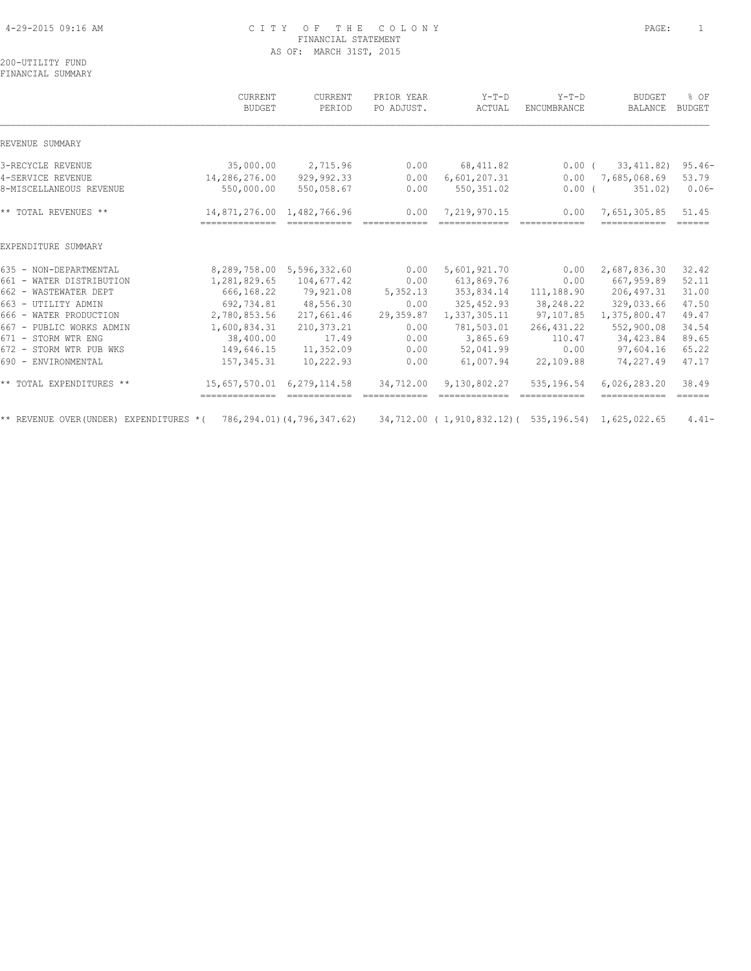# 4-29-2015 09:16 AM C I T Y O F T H E C O L O N Y PAGE: 1 FINANCIAL STATEMENT AS OF: MARCH 31ST, 2015

200-UTILITY FUND FINANCIAL SUMMARY

|                                                                                                                     | CURRENT<br><b>BUDGET</b>                     | CURRENT<br>PERIOD         | PRIOR YEAR<br>PO ADJUST. | $Y-T-D$<br>ACTUAL             | $Y-T-D$<br>ENCUMBRANCE | <b>BUDGET</b><br>BALANCE     | % OF<br>BUDGET                                                                                                                                                                                                                                                                                                                                                                                                                                                                                  |
|---------------------------------------------------------------------------------------------------------------------|----------------------------------------------|---------------------------|--------------------------|-------------------------------|------------------------|------------------------------|-------------------------------------------------------------------------------------------------------------------------------------------------------------------------------------------------------------------------------------------------------------------------------------------------------------------------------------------------------------------------------------------------------------------------------------------------------------------------------------------------|
| REVENUE SUMMARY                                                                                                     |                                              |                           |                          |                               |                        |                              |                                                                                                                                                                                                                                                                                                                                                                                                                                                                                                 |
| 3-RECYCLE REVENUE                                                                                                   | 35,000.00                                    | 2,715.96                  | 0.00                     | 68, 411.82                    | $0.00$ (               | 33,411.82)                   | $95.46 -$                                                                                                                                                                                                                                                                                                                                                                                                                                                                                       |
| 4-SERVICE REVENUE                                                                                                   | 14,286,276.00                                | 929,992.33                | 0.00                     | 6,601,207.31                  | 0.00                   | 7,685,068.69                 | 53.79                                                                                                                                                                                                                                                                                                                                                                                                                                                                                           |
| 8-MISCELLANEOUS REVENUE                                                                                             | 550,000.00                                   | 550,058.67                | 0.00                     | 550, 351.02                   | $0.00$ (               | 351.02)                      | $0.06-$                                                                                                                                                                                                                                                                                                                                                                                                                                                                                         |
| ** TOTAL REVENUES **                                                                                                | 14,871,276.00 1,482,766.96<br>-------------- |                           | 0.00                     | 7,219,970.15<br>------------- | 0.00<br>------------   | 7,651,305.85<br>------------ | 51.45<br>$\begin{array}{cccccccccc} \multicolumn{2}{c}{} & \multicolumn{2}{c}{} & \multicolumn{2}{c}{} & \multicolumn{2}{c}{} & \multicolumn{2}{c}{} & \multicolumn{2}{c}{} & \multicolumn{2}{c}{} & \multicolumn{2}{c}{} & \multicolumn{2}{c}{} & \multicolumn{2}{c}{} & \multicolumn{2}{c}{} & \multicolumn{2}{c}{} & \multicolumn{2}{c}{} & \multicolumn{2}{c}{} & \multicolumn{2}{c}{} & \multicolumn{2}{c}{} & \multicolumn{2}{c}{} & \multicolumn{2}{c}{} & \multicolumn{2}{c}{} & \mult$ |
| EXPENDITURE SUMMARY                                                                                                 |                                              |                           |                          |                               |                        |                              |                                                                                                                                                                                                                                                                                                                                                                                                                                                                                                 |
| 635 - NON-DEPARTMENTAL                                                                                              |                                              | 8,289,758.00 5,596,332.60 | 0.00                     | 5,601,921.70                  | 0.00                   | 2,687,836.30                 | 32.42                                                                                                                                                                                                                                                                                                                                                                                                                                                                                           |
| 661 - WATER DISTRIBUTION                                                                                            | 1,281,829.65                                 | 104,677.42                | 0.00                     | 613,869.76                    | 0.00                   | 667,959.89                   | 52.11                                                                                                                                                                                                                                                                                                                                                                                                                                                                                           |
| 662 - WASTEWATER DEPT                                                                                               | 666,168.22                                   | 79,921.08                 | 5,352.13                 | 353,834.14                    | 111,188.90             | 206,497.31                   | 31.00                                                                                                                                                                                                                                                                                                                                                                                                                                                                                           |
| 663 - UTILITY ADMIN                                                                                                 | 692,734.81                                   | 48,556.30                 | 0.00                     | 325,452.93                    | 38,248.22              | 329,033.66                   | 47.50                                                                                                                                                                                                                                                                                                                                                                                                                                                                                           |
| 666 - WATER PRODUCTION                                                                                              | 2,780,853.56                                 | 217,661.46                | 29,359.87                | 1,337,305.11                  | 97,107.85              | 1,375,800.47                 | 49.47                                                                                                                                                                                                                                                                                                                                                                                                                                                                                           |
| 667 - PUBLIC WORKS ADMIN                                                                                            | 1,600,834.31                                 | 210, 373.21               | 0.00                     | 781,503.01                    | 266, 431.22            | 552,900.08                   | 34.54                                                                                                                                                                                                                                                                                                                                                                                                                                                                                           |
| 671 - STORM WTR ENG                                                                                                 | 38,400.00                                    | 17.49                     | 0.00                     | 3,865.69                      | 110.47                 | 34,423.84                    | 89.65                                                                                                                                                                                                                                                                                                                                                                                                                                                                                           |
| 672 - STORM WTR PUB WKS                                                                                             | 149,646.15                                   | 11,352.09                 | 0.00                     | 52,041.99                     | 0.00                   | 97,604.16                    | 65.22                                                                                                                                                                                                                                                                                                                                                                                                                                                                                           |
| 690 - ENVIRONMENTAL                                                                                                 | 157,345.31                                   | 10,222.93                 | 0.00                     | 61,007.94                     | 22,109.88              | 74,227.49                    | 47.17                                                                                                                                                                                                                                                                                                                                                                                                                                                                                           |
| ** TOTAL EXPENDITURES **                                                                                            | 15,657,570.01<br>--------------              | 6, 279, 114.58            | 34,712.00                | 9,130,802.27                  | 535,196.54             | 6,026,283.20<br>============ | 38.49<br>$\begin{array}{cccccccccc} \multicolumn{2}{c}{} & \multicolumn{2}{c}{} & \multicolumn{2}{c}{} & \multicolumn{2}{c}{} & \multicolumn{2}{c}{} & \multicolumn{2}{c}{} & \multicolumn{2}{c}{} & \multicolumn{2}{c}{} & \multicolumn{2}{c}{} & \multicolumn{2}{c}{} & \multicolumn{2}{c}{} & \multicolumn{2}{c}{} & \multicolumn{2}{c}{} & \multicolumn{2}{c}{} & \multicolumn{2}{c}{} & \multicolumn{2}{c}{} & \multicolumn{2}{c}{} & \multicolumn{2}{c}{} & \multicolumn{2}{c}{} & \mult$ |
| ** REVENUE OVER(UNDER) EXPENDITURES *( 786,294.01)(4,796,347.62) 34,712.00 (1,910,832.12)( 535,196.54) 1,625,022.65 |                                              |                           |                          |                               |                        |                              | $4.41-$                                                                                                                                                                                                                                                                                                                                                                                                                                                                                         |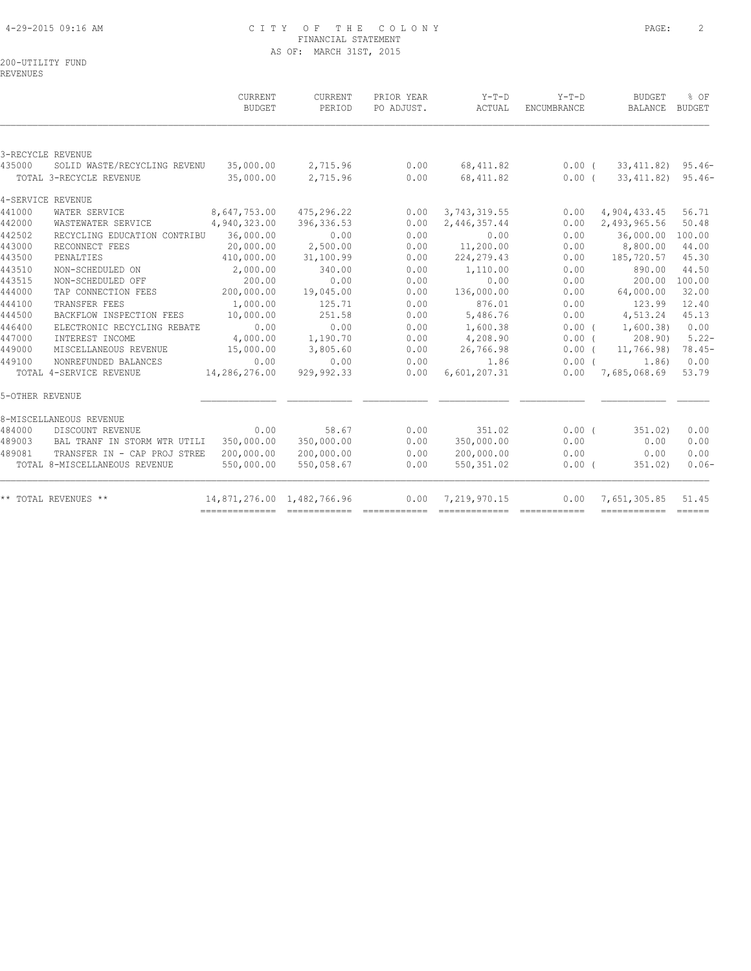# 4-29-2015 09:16 AM C I T Y O F T H E C O L O N Y PAGE: 2 FINANCIAL STATEMENT AS OF: MARCH 31ST, 2015

200-UTILITY FUND

REVENUES

|                 |                                                 | CURRENT<br><b>BUDGET</b>   | CURRENT<br>PERIOD  | PRIOR YEAR<br>PO ADJUST. | Y-T-D<br>ACTUAL      | $Y-T-D$<br>ENCUMBRANCE | BUDGET<br><b>BALANCE</b> | % OF<br><b>BUDGET</b>                                                                                                                                                                                                                                                                                                                                                                                                                                                                                 |
|-----------------|-------------------------------------------------|----------------------------|--------------------|--------------------------|----------------------|------------------------|--------------------------|-------------------------------------------------------------------------------------------------------------------------------------------------------------------------------------------------------------------------------------------------------------------------------------------------------------------------------------------------------------------------------------------------------------------------------------------------------------------------------------------------------|
|                 |                                                 |                            |                    |                          |                      |                        |                          |                                                                                                                                                                                                                                                                                                                                                                                                                                                                                                       |
|                 | 3-RECYCLE REVENUE                               |                            |                    |                          |                      |                        |                          |                                                                                                                                                                                                                                                                                                                                                                                                                                                                                                       |
| 435000          | SOLID WASTE/RECYCLING REVENU                    | 35,000.00                  | 2,715.96           | 0.00                     | 68, 411.82           | $0.00$ (               | 33, 411.82)              | $95.46 -$                                                                                                                                                                                                                                                                                                                                                                                                                                                                                             |
|                 | TOTAL 3-RECYCLE REVENUE                         | 35,000.00                  | 2,715.96           | 0.00                     | 68, 411.82           | 0.00(                  | 33,411.82)               | $95.46 -$                                                                                                                                                                                                                                                                                                                                                                                                                                                                                             |
|                 | 4-SERVICE REVENUE                               |                            |                    |                          |                      |                        |                          |                                                                                                                                                                                                                                                                                                                                                                                                                                                                                                       |
| 441000          | WATER SERVICE                                   | 8,647,753.00               | 475,296.22         | 0.00                     | 3,743,319.55         | 0.00                   | 4,904,433.45             | 56.71                                                                                                                                                                                                                                                                                                                                                                                                                                                                                                 |
| 442000          | WASTEWATER SERVICE                              | 4,940,323.00               | 396, 336.53        | 0.00                     | 2,446,357.44         | 0.00                   | 2,493,965.56             | 50.48                                                                                                                                                                                                                                                                                                                                                                                                                                                                                                 |
| 442502          | RECYCLING EDUCATION CONTRIBU                    | 36,000.00                  | 0.00               | 0.00                     | 0.00                 | 0.00                   | 36,000.00                | 100.00                                                                                                                                                                                                                                                                                                                                                                                                                                                                                                |
| 443000          | RECONNECT FEES                                  | 20,000.00                  | 2,500.00           | 0.00                     | 11,200.00            | 0.00                   | 8,800.00                 | 44.00                                                                                                                                                                                                                                                                                                                                                                                                                                                                                                 |
| 443500          | PENALTIES                                       | 410,000.00                 | 31,100.99          | 0.00                     | 224, 279.43          | 0.00                   | 185,720.57               | 45.30                                                                                                                                                                                                                                                                                                                                                                                                                                                                                                 |
| 443510          | NON-SCHEDULED ON                                | 2,000.00                   | 340.00             | 0.00                     | 1,110.00             | 0.00                   | 890.00                   | 44.50                                                                                                                                                                                                                                                                                                                                                                                                                                                                                                 |
| 443515          | NON-SCHEDULED OFF                               | 200.00                     | 0.00               | 0.00                     | 0.00                 | 0.00                   | 200.00                   | 100.00                                                                                                                                                                                                                                                                                                                                                                                                                                                                                                |
| 444000          | TAP CONNECTION FEES                             | 200,000.00                 | 19,045.00          | 0.00                     | 136,000.00           | 0.00                   | 64,000.00                | 32.00                                                                                                                                                                                                                                                                                                                                                                                                                                                                                                 |
| 444100          | TRANSFER FEES                                   | 1,000.00                   | 125.71             | 0.00                     | 876.01               | 0.00                   | 123.99                   | 12.40                                                                                                                                                                                                                                                                                                                                                                                                                                                                                                 |
| 444500          | BACKFLOW INSPECTION FEES                        | 10,000.00                  | 251.58             | 0.00                     | 5,486.76             | 0.00                   | 4,513.24                 | 45.13                                                                                                                                                                                                                                                                                                                                                                                                                                                                                                 |
| 446400          | ELECTRONIC RECYCLING REBATE                     | 0.00                       | 0.00               | 0.00                     | 1,600.38             | 0.00(                  | 1,600.38)                | 0.00                                                                                                                                                                                                                                                                                                                                                                                                                                                                                                  |
| 447000          | INTEREST INCOME                                 | 4,000.00                   | 1,190.70           | 0.00                     | 4,208.90             | $0.00$ (               | 208.90                   | $5.22 -$                                                                                                                                                                                                                                                                                                                                                                                                                                                                                              |
| 449000          | MISCELLANEOUS REVENUE                           | 15,000.00                  | 3,805.60           | 0.00                     | 26,766.98            | 0.00(                  | 11,766.98)               | 78.45-                                                                                                                                                                                                                                                                                                                                                                                                                                                                                                |
| 449100          | NONREFUNDED BALANCES<br>TOTAL 4-SERVICE REVENUE | 0.00<br>14,286,276.00      | 0.00<br>929,992.33 | 0.00<br>0.00             | 1.86<br>6,601,207.31 | $0.00$ (<br>0.00       | 1.86)<br>7,685,068.69    | 0.00<br>53.79                                                                                                                                                                                                                                                                                                                                                                                                                                                                                         |
|                 |                                                 |                            |                    |                          |                      |                        |                          |                                                                                                                                                                                                                                                                                                                                                                                                                                                                                                       |
| 5-OTHER REVENUE |                                                 |                            |                    |                          |                      |                        |                          |                                                                                                                                                                                                                                                                                                                                                                                                                                                                                                       |
|                 | 8-MISCELLANEOUS REVENUE                         |                            |                    |                          |                      |                        |                          |                                                                                                                                                                                                                                                                                                                                                                                                                                                                                                       |
| 484000          | DISCOUNT REVENUE                                | 0.00                       | 58.67              | 0.00                     | 351.02               | 0.00(                  | 351.02)                  | 0.00                                                                                                                                                                                                                                                                                                                                                                                                                                                                                                  |
| 489003          | BAL TRANF IN STORM WTR UTILI                    | 350,000.00                 | 350,000.00         | 0.00                     | 350,000.00           | 0.00                   | 0.00                     | 0.00                                                                                                                                                                                                                                                                                                                                                                                                                                                                                                  |
| 489081          | TRANSFER IN - CAP PROJ STREE                    | 200,000.00                 | 200,000.00         | 0.00                     | 200,000.00           | 0.00                   | 0.00                     | 0.00                                                                                                                                                                                                                                                                                                                                                                                                                                                                                                  |
|                 | TOTAL 8-MISCELLANEOUS REVENUE                   | 550,000.00                 | 550,058.67         | 0.00                     | 550, 351.02          | $0.00$ (               | 351.02)                  | $0.06-$                                                                                                                                                                                                                                                                                                                                                                                                                                                                                               |
|                 | ** TOTAL REVENUES **                            | 14,871,276.00 1,482,766.96 |                    | 0.00                     | 7,219,970.15         | 0.00                   | 7,651,305.85             | 51.45<br>$\begin{tabular}{lllllllllll} \multicolumn{3}{l}{{\color{red}\textbf{a}}}&\multicolumn{3}{l}{\color{blue}\textbf{a}}&\multicolumn{3}{l}{\color{blue}\textbf{a}}&\multicolumn{3}{l}{\color{blue}\textbf{a}}&\multicolumn{3}{l}{\color{blue}\textbf{a}}&\multicolumn{3}{l}{\color{blue}\textbf{a}}&\multicolumn{3}{l}{\color{blue}\textbf{a}}&\multicolumn{3}{l}{\color{blue}\textbf{a}}&\multicolumn{3}{l}{\color{blue}\textbf{a}}&\multicolumn{3}{l}{\color{blue}\textbf{a}}&\multicolumn{3$ |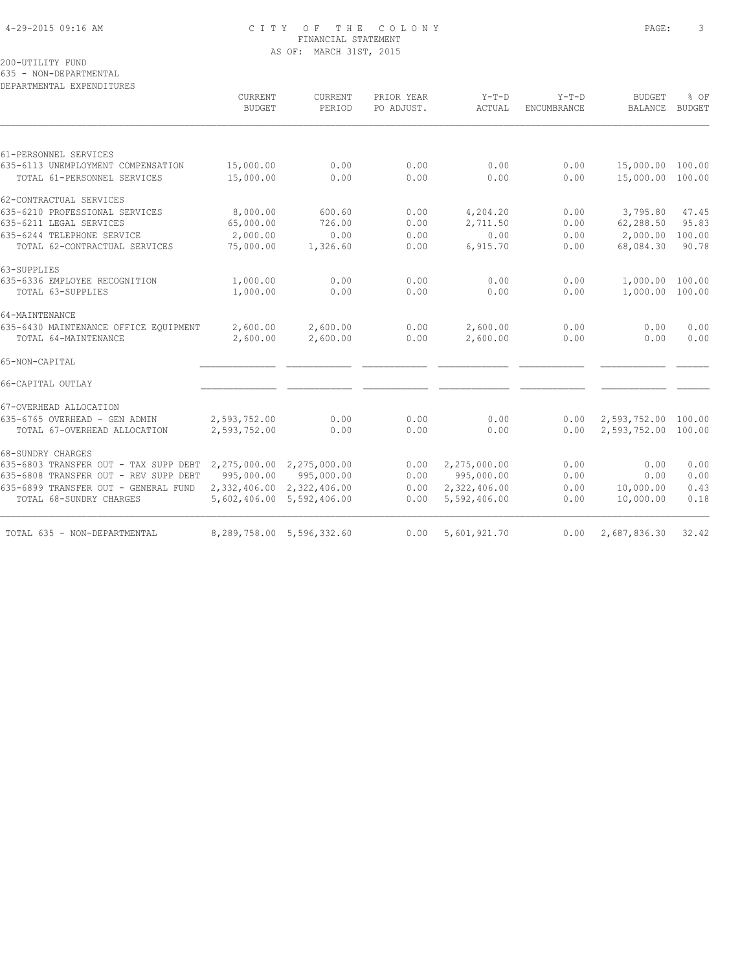# 4-29-2015 09:16 AM C I T Y O F T H E C O L O N Y PAGE: 3 FINANCIAL STATEMENT AS OF: MARCH 31ST, 2015

200-UTILITY FUND

635 - NON-DEPARTMENTAL

DEPARTMENTAL EXPENDITURES

|                                       | CURRENT<br><b>BUDGET</b>  | <b>CURRENT</b><br>PERIOD  | PRIOR YEAR<br>PO ADJUST. | $Y-T-D$<br>ACTUAL | $Y-T-D$<br>ENCUMBRANCE | <b>BUDGET</b><br><b>BALANCE</b> | % OF<br><b>BUDGET</b> |
|---------------------------------------|---------------------------|---------------------------|--------------------------|-------------------|------------------------|---------------------------------|-----------------------|
|                                       |                           |                           |                          |                   |                        |                                 |                       |
| 61-PERSONNEL SERVICES                 |                           |                           |                          |                   |                        |                                 |                       |
| 635-6113 UNEMPLOYMENT COMPENSATION    | 15,000.00                 | 0.00                      | 0.00                     | 0.00              | 0.00                   | 15,000.00                       | 100.00                |
| TOTAL 61-PERSONNEL SERVICES           | 15,000.00                 | 0.00                      | 0.00                     | 0.00              | 0.00                   | 15,000.00 100.00                |                       |
| 62-CONTRACTUAL SERVICES               |                           |                           |                          |                   |                        |                                 |                       |
| 635-6210 PROFESSIONAL SERVICES        | 8,000.00                  | 600.60                    | 0.00                     | 4,204.20          | 0.00                   | 3,795.80                        | 47.45                 |
| 635-6211 LEGAL SERVICES               | 65,000.00                 | 726.00                    | 0.00                     | 2,711.50          | 0.00                   | 62,288.50                       | 95.83                 |
| 635-6244 TELEPHONE SERVICE            | 2,000.00                  | 0.00                      | 0.00                     | 0.00              | 0.00                   | 2,000.00                        | 100.00                |
| TOTAL 62-CONTRACTUAL SERVICES         | 75,000.00                 | 1,326.60                  | 0.00                     | 6,915.70          | 0.00                   | 68,084.30                       | 90.78                 |
| 63-SUPPLIES                           |                           |                           |                          |                   |                        |                                 |                       |
| 635-6336 EMPLOYEE RECOGNITION         | 1,000.00                  | 0.00                      | 0.00                     | 0.00              | 0.00                   | 1,000.00 100.00                 |                       |
| TOTAL 63-SUPPLIES                     | 1,000.00                  | 0.00                      | 0.00                     | 0.00              | 0.00                   | 1,000.00 100.00                 |                       |
| 64-MAINTENANCE                        |                           |                           |                          |                   |                        |                                 |                       |
| 635-6430 MAINTENANCE OFFICE EQUIPMENT | 2,600.00                  | 2,600.00                  | 0.00                     | 2,600.00          | 0.00                   | 0.00                            | 0.00                  |
| TOTAL 64-MAINTENANCE                  | 2,600.00                  | 2,600.00                  | 0.00                     | 2,600.00          | 0.00                   | 0.00                            | 0.00                  |
| 65-NON-CAPITAL                        |                           |                           |                          |                   |                        |                                 |                       |
| 66-CAPITAL OUTLAY                     |                           |                           |                          |                   |                        |                                 |                       |
| 67-OVERHEAD ALLOCATION                |                           |                           |                          |                   |                        |                                 |                       |
| 635-6765 OVERHEAD - GEN ADMIN         | 2,593,752.00              | 0.00                      | 0.00                     | 0.00              | 0.00                   | 2,593,752.00 100.00             |                       |
| TOTAL 67-OVERHEAD ALLOCATION          | 2,593,752.00              | 0.00                      | 0.00                     | 0.00              | 0.00                   | 2,593,752.00 100.00             |                       |
| 68-SUNDRY CHARGES                     |                           |                           |                          |                   |                        |                                 |                       |
| 635-6803 TRANSFER OUT - TAX SUPP DEBT | 2,275,000.00 2,275,000.00 |                           | 0.00                     | 2,275,000.00      | 0.00                   | 0.00                            | 0.00                  |
| 635-6808 TRANSFER OUT - REV SUPP DEBT | 995,000.00                | 995,000.00                | 0.00                     | 995,000.00        | 0.00                   | 0.00                            | 0.00                  |
| 635-6899 TRANSFER OUT - GENERAL FUND  | 2,332,406.00              | 2,322,406.00              | 0.00                     | 2,322,406.00      | 0.00                   | 10,000.00                       | 0.43                  |
| TOTAL 68-SUNDRY CHARGES               |                           | 5,602,406.00 5,592,406.00 | 0.00                     | 5,592,406.00      | 0.00                   | 10,000.00                       | 0.18                  |
| TOTAL 635 - NON-DEPARTMENTAL          |                           | 8,289,758.00 5,596,332.60 | 0.00                     | 5,601,921.70      | 0.00                   | 2,687,836.30                    | 32.42                 |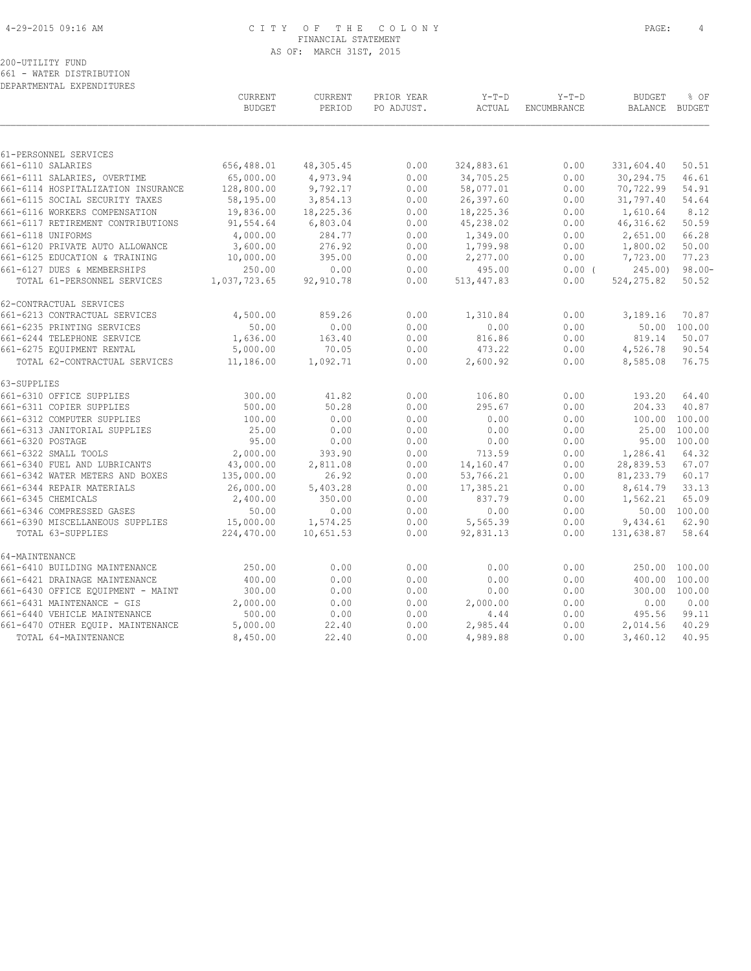# 4-29-2015 09:16 AM C I T Y O F T H E C O L O N Y PAGE: 4 FINANCIAL STATEMENT AS OF: MARCH 31ST, 2015

200-UTILITY FUND 661 - WATER DISTRIBUTION

DEPARTMENTAL EXPENDITURES

|                                    | CURRENT<br><b>BUDGET</b> | CURRENT<br>PERIOD | PRIOR YEAR<br>PO ADJUST. | $Y-T-D$<br>ACTUAL | $Y-T-D$<br>ENCUMBRANCE | <b>BUDGET</b><br>BALANCE | % OF<br><b>BUDGET</b> |
|------------------------------------|--------------------------|-------------------|--------------------------|-------------------|------------------------|--------------------------|-----------------------|
|                                    |                          |                   |                          |                   |                        |                          |                       |
| 61-PERSONNEL SERVICES              |                          |                   |                          |                   |                        |                          |                       |
| 661-6110 SALARIES                  | 656,488.01               | 48,305.45         | 0.00                     | 324,883.61        | 0.00                   | 331,604.40               | 50.51                 |
| 661-6111 SALARIES, OVERTIME        | 65,000.00                | 4,973.94          | 0.00                     | 34,705.25         | 0.00                   | 30,294.75                | 46.61                 |
| 661-6114 HOSPITALIZATION INSURANCE | 128,800.00               | 9,792.17          | 0.00                     | 58,077.01         | 0.00                   | 70,722.99                | 54.91                 |
| 661-6115 SOCIAL SECURITY TAXES     | 58,195.00                | 3,854.13          | 0.00                     | 26,397.60         | 0.00                   | 31,797.40                | 54.64                 |
| 661-6116 WORKERS COMPENSATION      | 19,836.00                | 18,225.36         | 0.00                     | 18,225.36         | 0.00                   | 1,610.64                 | 8.12                  |
| 661-6117 RETIREMENT CONTRIBUTIONS  | 91,554.64                | 6,803.04          | 0.00                     | 45,238.02         | 0.00                   | 46, 316.62               | 50.59                 |
| 661-6118 UNIFORMS                  | 4,000.00                 | 284.77            | 0.00                     | 1,349.00          | 0.00                   | 2,651.00                 | 66.28                 |
| 661-6120 PRIVATE AUTO ALLOWANCE    | 3,600.00                 | 276.92            | 0.00                     | 1,799.98          | 0.00                   | 1,800.02                 | 50.00                 |
| 661-6125 EDUCATION & TRAINING      | 10,000.00                | 395.00            | 0.00                     | 2,277.00          | 0.00                   | 7,723.00                 | 77.23                 |
| 661-6127 DUES & MEMBERSHIPS        | 250.00                   | 0.00              | 0.00                     | 495.00            | $0.00$ (               | 245.00                   | $98.00 -$             |
| TOTAL 61-PERSONNEL SERVICES        | 1,037,723.65             | 92,910.78         | 0.00                     | 513, 447.83       | 0.00                   | 524, 275.82              | 50.52                 |
| 62-CONTRACTUAL SERVICES            |                          |                   |                          |                   |                        |                          |                       |
| 661-6213 CONTRACTUAL SERVICES      | 4,500.00                 | 859.26            | 0.00                     | 1,310.84          | 0.00                   | 3,189.16                 | 70.87                 |
| 661-6235 PRINTING SERVICES         | 50.00                    | 0.00              | 0.00                     | 0.00              | 0.00                   | 50.00                    | 100.00                |
| 661-6244 TELEPHONE SERVICE         | 1,636.00                 | 163.40            | 0.00                     | 816.86            | 0.00                   | 819.14                   | 50.07                 |
| 661-6275 EQUIPMENT RENTAL          | 5,000.00                 | 70.05             | 0.00                     | 473.22            | 0.00                   | 4,526.78                 | 90.54                 |
| TOTAL 62-CONTRACTUAL SERVICES      | 11,186.00                | 1,092.71          | 0.00                     | 2,600.92          | 0.00                   | 8,585.08                 | 76.75                 |
| 63-SUPPLIES                        |                          |                   |                          |                   |                        |                          |                       |
| 661-6310 OFFICE SUPPLIES           | 300.00                   | 41.82             | 0.00                     | 106.80            | 0.00                   | 193.20                   | 64.40                 |
| 661-6311 COPIER SUPPLIES           | 500.00                   | 50.28             | 0.00                     | 295.67            | 0.00                   | 204.33                   | 40.87                 |
| 661-6312 COMPUTER SUPPLIES         | 100.00                   | 0.00              | 0.00                     | 0.00              | 0.00                   | 100.00                   | 100.00                |
| 661-6313 JANITORIAL SUPPLIES       | 25.00                    | 0.00              | 0.00                     | 0.00              | 0.00                   | 25.00                    | 100.00                |
| 661-6320 POSTAGE                   | 95.00                    | 0.00              | 0.00                     | 0.00              | 0.00                   | 95.00                    | 100.00                |
| 661-6322 SMALL TOOLS               | 2,000.00                 | 393.90            | 0.00                     | 713.59            | 0.00                   | 1,286.41                 | 64.32                 |
| 661-6340 FUEL AND LUBRICANTS       | 43,000.00                | 2,811.08          | 0.00                     | 14,160.47         | 0.00                   | 28,839.53                | 67.07                 |
| 661-6342 WATER METERS AND BOXES    | 135,000.00               | 26.92             | 0.00                     | 53,766.21         | 0.00                   | 81,233.79                | 60.17                 |
| 661-6344 REPAIR MATERIALS          | 26,000.00                | 5,403.28          | 0.00                     | 17,385.21         | 0.00                   | 8,614.79                 | 33.13                 |
| 661-6345 CHEMICALS                 | 2,400.00                 | 350.00            | 0.00                     | 837.79            | 0.00                   | 1,562.21                 | 65.09                 |
| 661-6346 COMPRESSED GASES          | 50.00                    | 0.00              | 0.00                     | 0.00              | 0.00                   |                          | 50.00 100.00          |
| 661-6390 MISCELLANEOUS SUPPLIES    | 15,000.00                | 1,574.25          | 0.00                     | 5,565.39          | 0.00                   | 9,434.61                 | 62.90                 |
| TOTAL 63-SUPPLIES                  | 224,470.00               | 10,651.53         | 0.00                     | 92,831.13         | 0.00                   | 131,638.87               | 58.64                 |
| 64-MAINTENANCE                     |                          |                   |                          |                   |                        |                          |                       |
| 661-6410 BUILDING MAINTENANCE      | 250.00                   | 0.00              | 0.00                     | 0.00              | 0.00                   | 250.00                   | 100.00                |
| 661-6421 DRAINAGE MAINTENANCE      | 400.00                   | 0.00              | 0.00                     | 0.00              | 0.00                   | 400.00                   | 100.00                |
| 661-6430 OFFICE EQUIPMENT - MAINT  | 300.00                   | 0.00              | 0.00                     | 0.00              | 0.00                   | 300.00                   | 100.00                |
| 661-6431 MAINTENANCE - GIS         | 2,000.00                 | 0.00              | 0.00                     | 2,000.00          | 0.00                   | 0.00                     | 0.00                  |
| 661-6440 VEHICLE MAINTENANCE       | 500.00                   | 0.00              | 0.00                     | 4.44              | 0.00                   | 495.56                   | 99.11                 |
| 661-6470 OTHER EQUIP. MAINTENANCE  | 5,000.00                 | 22.40             | 0.00                     | 2,985.44          | 0.00                   | 2,014.56                 | 40.29                 |
| TOTAL 64-MAINTENANCE               | 8,450.00                 | 22.40             | 0.00                     | 4,989.88          | 0.00                   | 3,460.12                 | 40.95                 |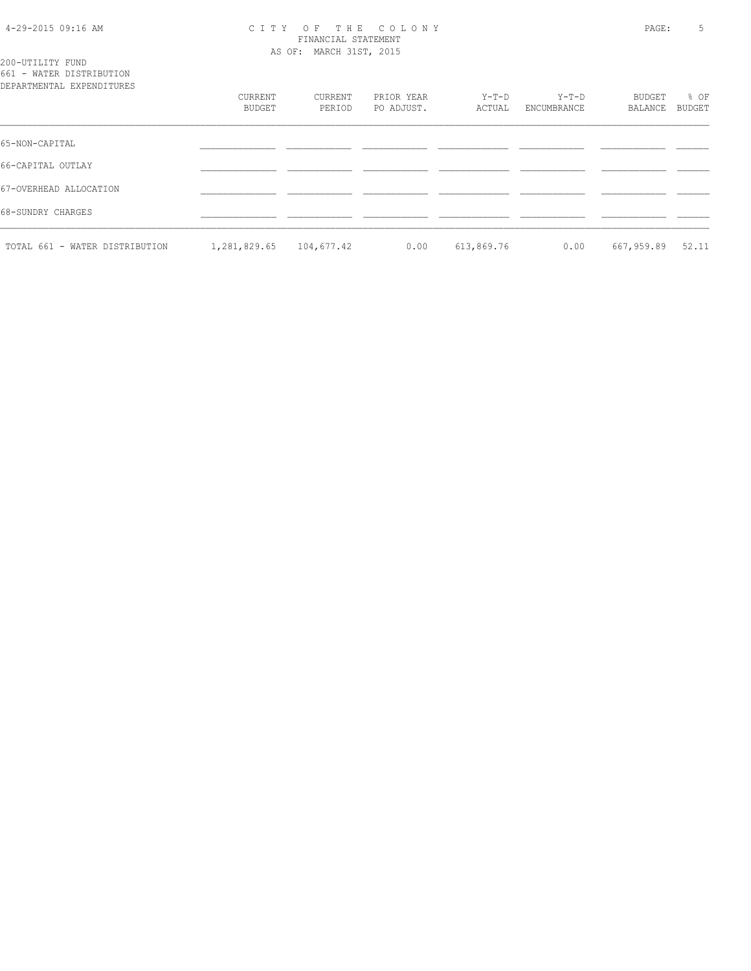#### 4-29-2015 09:16 AM C I T Y O F T H E C O L O N Y PAGE: 5 FINANCIAL STATEMENT AS OF: MARCH 31ST, 2015

200-UTILITY FUND 661 - WATER DISTRIBUTION

| DEPARTMENTAL EXPENDITURES      |                   |                   |                          |                 |                        |                   |                       |
|--------------------------------|-------------------|-------------------|--------------------------|-----------------|------------------------|-------------------|-----------------------|
|                                | CURRENT<br>BUDGET | CURRENT<br>PERIOD | PRIOR YEAR<br>PO ADJUST. | Y-T-D<br>ACTUAL | $Y-T-D$<br>ENCUMBRANCE | BUDGET<br>BALANCE | % OF<br><b>BUDGET</b> |
| 65-NON-CAPITAL                 |                   |                   |                          |                 |                        |                   |                       |
| 66-CAPITAL OUTLAY              |                   |                   |                          |                 |                        |                   |                       |
| 67-OVERHEAD ALLOCATION         |                   |                   |                          |                 |                        |                   |                       |
| 68-SUNDRY CHARGES              |                   |                   |                          |                 |                        |                   |                       |
| TOTAL 661 - WATER DISTRIBUTION | 1,281,829.65      | 104,677.42        | 0.00                     | 613,869.76      | 0.00                   | 667,959.89        | 52.11                 |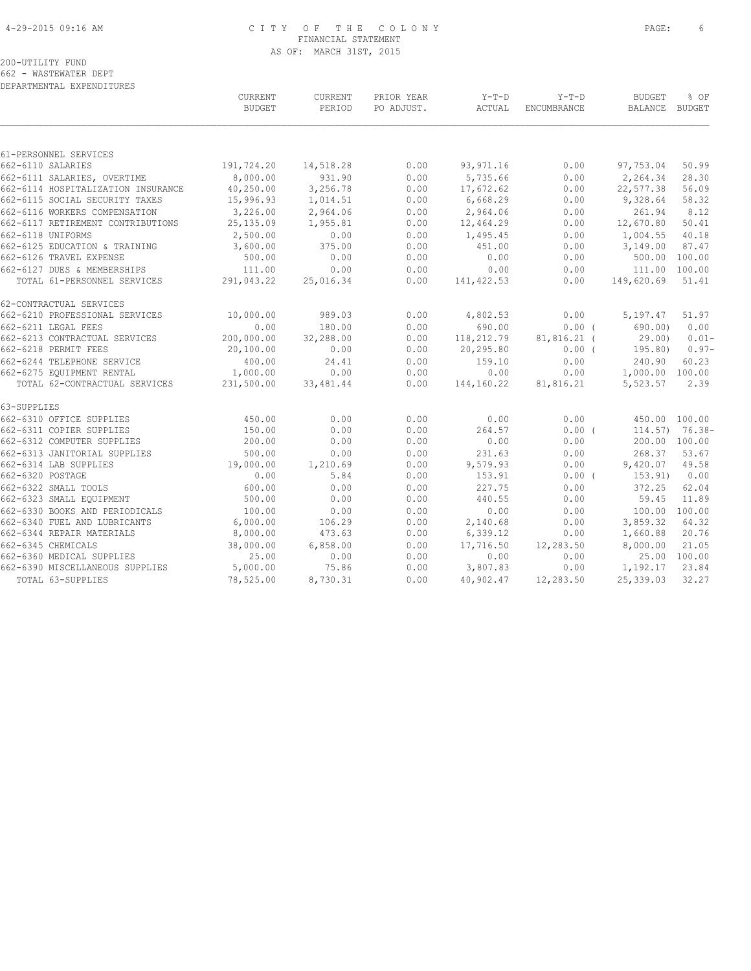# 4-29-2015 09:16 AM C I T Y O F T H E C O L O N Y PAGE: 6 FINANCIAL STATEMENT AS OF: MARCH 31ST, 2015

|                                    | CURRENT<br><b>BUDGET</b> | CURRENT<br>PERIOD | PRIOR YEAR<br>PO ADJUST. | Y-T-D<br>ACTUAL | $Y-T-D$<br>ENCUMBRANCE | <b>BUDGET</b><br>BALANCE BUDGET | % OF              |
|------------------------------------|--------------------------|-------------------|--------------------------|-----------------|------------------------|---------------------------------|-------------------|
|                                    |                          |                   |                          |                 |                        |                                 |                   |
| 61-PERSONNEL SERVICES              |                          |                   |                          |                 |                        |                                 |                   |
| 662-6110 SALARIES                  | 191,724.20               | 14,518.28         | 0.00                     | 93, 971.16      | 0.00                   | 97,753.04                       | 50.99             |
| 662-6111 SALARIES, OVERTIME        | 8,000.00                 | 931.90            | 0.00                     | 5,735.66        | 0.00                   | 2,264.34                        | 28.30             |
| 662-6114 HOSPITALIZATION INSURANCE | 40,250.00                | 3,256.78          | 0.00                     | 17,672.62       | 0.00                   | 22,577.38                       | 56.09             |
| 662-6115 SOCIAL SECURITY TAXES     | 15,996.93                | 1,014.51          | 0.00                     | 6,668.29        | 0.00                   | 9,328.64                        | 58.32             |
| 662-6116 WORKERS COMPENSATION      | 3,226.00                 | 2,964.06          | 0.00                     | 2,964.06        | 0.00                   | 261.94                          | 8.12              |
| 662-6117 RETIREMENT CONTRIBUTIONS  | 25,135.09                | 1,955.81          | 0.00                     | 12,464.29       | 0.00                   | 12,670.80                       | 50.41             |
| 662-6118 UNIFORMS                  | 2,500.00                 | 0.00              | 0.00                     | 1,495.45        | 0.00                   | 1,004.55                        | 40.18             |
| 662-6125 EDUCATION & TRAINING      | 3,600.00                 | 375.00            | 0.00                     | 451.00          | 0.00                   | 3,149.00                        | 87.47             |
| 662-6126 TRAVEL EXPENSE            | 500.00                   | 0.00              | 0.00                     | 0.00            | 0.00                   |                                 | 500.00 100.00     |
| 662-6127 DUES & MEMBERSHIPS        | 111.00                   | 0.00              | 0.00                     | 0.00            | 0.00                   | 111.00 100.00                   |                   |
| TOTAL 61-PERSONNEL SERVICES        | 291,043.22               | 25,016.34         | 0.00                     | 141, 422.53     | 0.00                   | 149,620.69                      | 51.41             |
| 62-CONTRACTUAL SERVICES            |                          |                   |                          |                 |                        |                                 |                   |
| 662-6210 PROFESSIONAL SERVICES     | 10,000.00                | 989.03            | 0.00                     | 4,802.53        | 0.00                   | 5,197.47                        | 51.97             |
| 662-6211 LEGAL FEES                | 0.00                     | 180.00            | 0.00                     | 690.00          | $0.00$ (               | 690.00)                         | 0.00              |
| 662-6213 CONTRACTUAL SERVICES      | 200,000.00               | 32,288.00         | 0.00                     | 118,212.79      | $81,816.21$ (          | 29.00)                          | $0.01 -$          |
| 662-6218 PERMIT FEES               | 20,100.00                | 0.00              | 0.00                     | 20,295.80       | $0.00$ (               | 195.80)                         | $0.97-$           |
| 662-6244 TELEPHONE SERVICE         | 400.00                   | 24.41             | 0.00                     | 159.10          | 0.00                   | 240.90                          | 60.23             |
| 662-6275 EQUIPMENT RENTAL          | 1,000.00                 | 0.00              | 0.00                     | 0.00            | 0.00                   | 1,000.00 100.00                 |                   |
| TOTAL 62-CONTRACTUAL SERVICES      | 231,500.00               | 33, 481.44        | 0.00                     | 144,160.22      | 81,816.21              | 5,523.57                        | 2.39              |
| 63-SUPPLIES                        |                          |                   |                          |                 |                        |                                 |                   |
| 662-6310 OFFICE SUPPLIES           | 450.00                   | 0.00              | 0.00                     | 0.00            | 0.00                   | 450.00 100.00                   |                   |
| 662-6311 COPIER SUPPLIES           | 150.00                   | 0.00              | 0.00                     | 264.57          | 0.00(                  |                                 | $114.57$ ) 76.38- |
| 662-6312 COMPUTER SUPPLIES         | 200.00                   | 0.00              | 0.00                     | 0.00            | 0.00                   |                                 | 200.00 100.00     |
| 662-6313 JANITORIAL SUPPLIES       | 500.00                   | 0.00              | 0.00                     | 231.63          | 0.00                   | 268.37                          | 53.67             |
| 662-6314 LAB SUPPLIES              | 19,000.00                | 1,210.69          | 0.00                     | 9,579.93        | 0.00                   | 9,420.07                        | 49.58             |
| 662-6320 POSTAGE                   | 0.00                     | 5.84              | 0.00                     | 153.91          | 0.00(                  | 153.91)                         | 0.00              |
| 662-6322 SMALL TOOLS               | 600.00                   | 0.00              | 0.00                     | 227.75          | 0.00                   | 372.25                          | 62.04             |
| 662-6323 SMALL EQUIPMENT           | 500.00                   | 0.00              | 0.00                     | 440.55          | 0.00                   | 59.45                           | 11.89             |
| 662-6330 BOOKS AND PERIODICALS     | 100.00                   | 0.00              | 0.00                     | 0.00            | 0.00                   |                                 | 100.00 100.00     |
| 662-6340 FUEL AND LUBRICANTS       | 6,000.00                 | 106.29            | 0.00                     | 2,140.68        | 0.00                   | 3,859.32                        | 64.32             |
| 662-6344 REPAIR MATERIALS          | 8,000.00                 | 473.63            | 0.00                     | 6,339.12        | 0.00                   | 1,660.88                        | 20.76             |
| 662-6345 CHEMICALS                 | 38,000.00                | 6,858.00          | 0.00                     | 17,716.50       | 12,283.50              | 8,000.00                        | 21.05             |
| 662-6360 MEDICAL SUPPLIES          | 25.00                    | 0.00              | 0.00                     | 0.00            | 0.00                   |                                 | 25.00 100.00      |
| 662-6390 MISCELLANEOUS SUPPLIES    | 5,000.00                 | 75.86             | 0.00                     | 3,807.83        | 0.00                   | 1,192.17                        | 23.84             |
| TOTAL 63-SUPPLIES                  | 78,525.00                | 8,730.31          | 0.00                     | 40,902.47       | 12,283.50              | 25,339.03                       | 32.27             |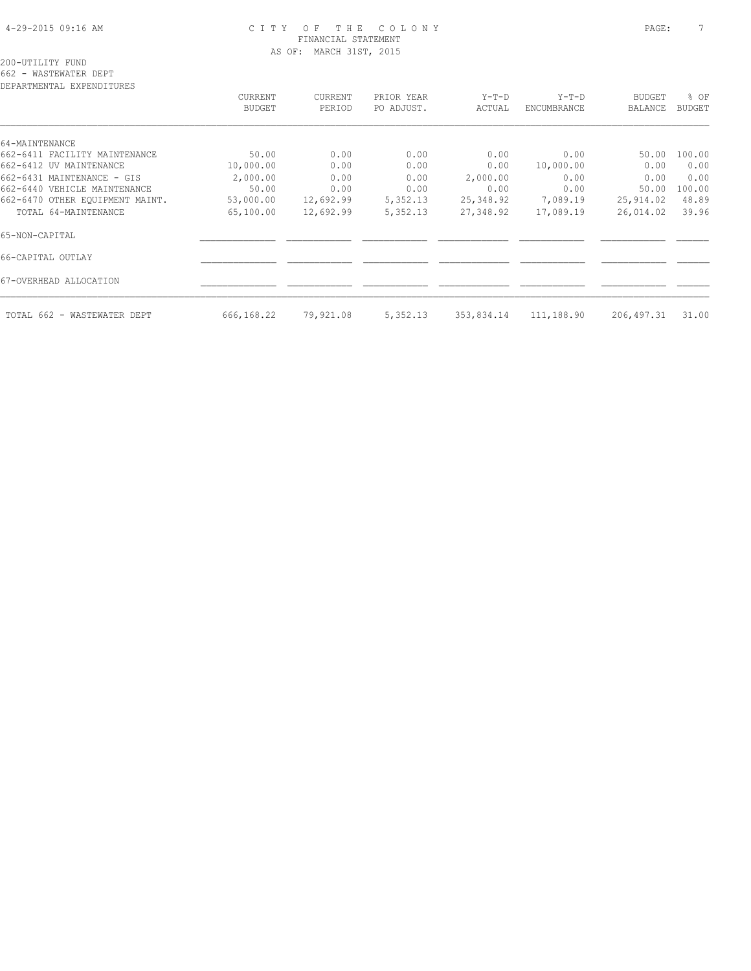# 4-29-2015 09:16 AM C I T Y O F T H E C O L O N Y PAGE: 7 FINANCIAL STATEMENT AS OF: MARCH 31ST, 2015

| DEPARTMENTAL EXPENDITURES       |               |           |            |            |             |               |               |
|---------------------------------|---------------|-----------|------------|------------|-------------|---------------|---------------|
|                                 | CURRENT       | CURRENT   | PRIOR YEAR | $Y-T-D$    | $Y-T-D$     | <b>BUDGET</b> | % OF          |
|                                 | <b>BUDGET</b> | PERIOD    | PO ADJUST. | ACTUAL     | ENCUMBRANCE | BALANCE       | <b>BUDGET</b> |
|                                 |               |           |            |            |             |               |               |
| 64-MAINTENANCE                  |               |           |            |            |             |               |               |
| 662-6411 FACILITY MAINTENANCE   | 50.00         | 0.00      | 0.00       | 0.00       | 0.00        | 50.00         | 100.00        |
| 662-6412 UV MAINTENANCE         | 10,000.00     | 0.00      | 0.00       | 0.00       | 10,000.00   | 0.00          | 0.00          |
| 662-6431 MAINTENANCE - GIS      | 2,000.00      | 0.00      | 0.00       | 2,000.00   | 0.00        | 0.00          | 0.00          |
| 662-6440 VEHICLE MAINTENANCE    | 50.00         | 0.00      | 0.00       | 0.00       | 0.00        | 50.00         | 100.00        |
| 662-6470 OTHER EQUIPMENT MAINT. | 53,000.00     | 12,692.99 | 5,352.13   | 25,348.92  | 7,089.19    | 25,914.02     | 48.89         |
| TOTAL 64-MAINTENANCE            | 65,100.00     | 12,692.99 | 5,352.13   | 27,348.92  | 17,089.19   | 26,014.02     | 39.96         |
| 65-NON-CAPITAL                  |               |           |            |            |             |               |               |
| 66-CAPITAL OUTLAY               |               |           |            |            |             |               |               |
| 67-OVERHEAD ALLOCATION          |               |           |            |            |             |               |               |
| TOTAL 662 - WASTEWATER DEPT     | 666,168.22    | 79,921.08 | 5,352.13   | 353,834.14 | 111,188.90  | 206, 497.31   | 31.00         |
|                                 |               |           |            |            |             |               |               |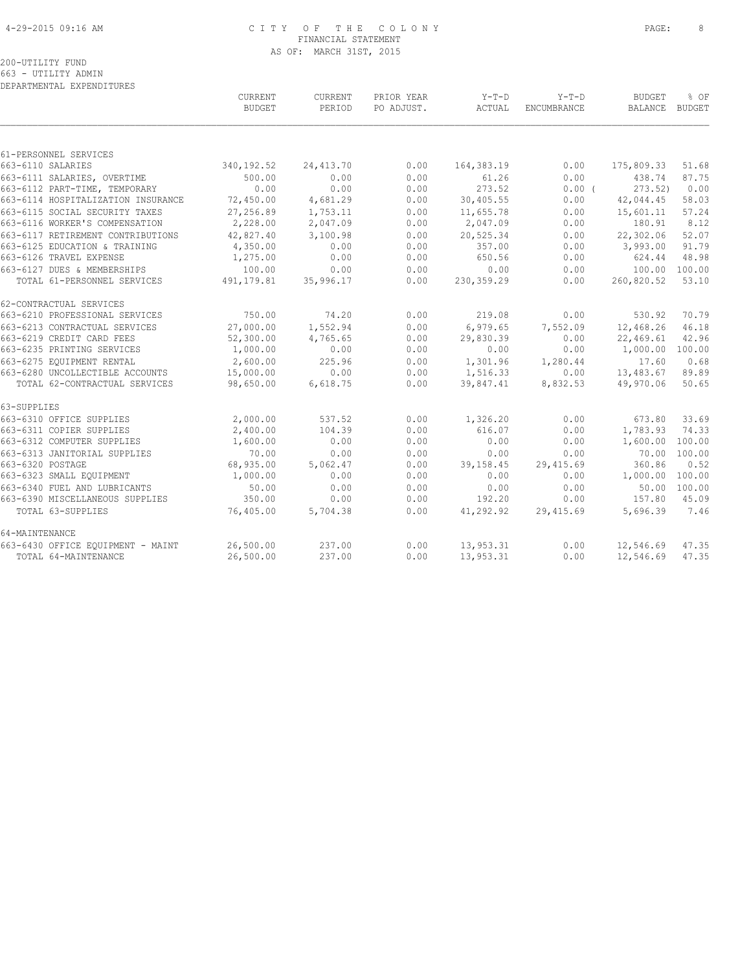# 4-29-2015 09:16 AM C I T Y O F T H E C O L O N Y PAGE: 8 FINANCIAL STATEMENT AS OF: MARCH 31ST, 2015

200-UTILITY FUND 663 - UTILITY ADMIN

DEPARTMENTAL EXPENDITURES

|                                    | CURRENT<br><b>BUDGET</b> | CURRENT<br>PERIOD | PRIOR YEAR<br>PO ADJUST. | $Y-T-D$<br>ACTUAL | $Y-T-D$<br>ENCUMBRANCE | <b>BUDGET</b><br>BALANCE | % OF<br><b>BUDGET</b> |
|------------------------------------|--------------------------|-------------------|--------------------------|-------------------|------------------------|--------------------------|-----------------------|
|                                    |                          |                   |                          |                   |                        |                          |                       |
| 61-PERSONNEL SERVICES              |                          |                   |                          |                   |                        |                          |                       |
| 663-6110 SALARIES                  | 340, 192.52              | 24, 413.70        | 0.00                     | 164, 383. 19      | 0.00                   | 175,809.33               | 51.68                 |
| 663-6111 SALARIES, OVERTIME        | 500.00                   | 0.00              | 0.00                     | 61.26             | 0.00                   | 438.74                   | 87.75                 |
| 663-6112 PART-TIME, TEMPORARY      | 0.00                     | 0.00              | 0.00                     | 273.52            | 0.00(                  | 273.52                   | 0.00                  |
| 663-6114 HOSPITALIZATION INSURANCE | 72,450.00                | 4,681.29          | 0.00                     | 30,405.55         | 0.00                   | 42,044.45                | 58.03                 |
| 663-6115 SOCIAL SECURITY TAXES     | 27,256.89                | 1,753.11          | 0.00                     | 11,655.78         | 0.00                   | 15,601.11                | 57.24                 |
| 663-6116 WORKER'S COMPENSATION     | 2,228.00                 | 2,047.09          | 0.00                     | 2,047.09          | 0.00                   | 180.91                   | 8.12                  |
| 663-6117 RETIREMENT CONTRIBUTIONS  | 42,827.40                | 3,100.98          | 0.00                     | 20,525.34         | 0.00                   | 22,302.06                | 52.07                 |
| 663-6125 EDUCATION & TRAINING      | 4,350.00                 | 0.00              | 0.00                     | 357.00            | 0.00                   | 3,993.00                 | 91.79                 |
| 663-6126 TRAVEL EXPENSE            | 1,275.00                 | 0.00              | 0.00                     | 650.56            | 0.00                   | 624.44                   | 48.98                 |
| 663-6127 DUES & MEMBERSHIPS        | 100.00                   | 0.00              | 0.00                     | 0.00              | 0.00                   | 100.00                   | 100.00                |
| TOTAL 61-PERSONNEL SERVICES        | 491, 179.81              | 35,996.17         | 0.00                     | 230, 359.29       | 0.00                   | 260,820.52               | 53.10                 |
| 62-CONTRACTUAL SERVICES            |                          |                   |                          |                   |                        |                          |                       |
| 663-6210 PROFESSIONAL SERVICES     | 750.00                   | 74.20             | 0.00                     | 219.08            | 0.00                   | 530.92                   | 70.79                 |
| 663-6213 CONTRACTUAL SERVICES      | 27,000.00                | 1,552.94          | 0.00                     | 6,979.65          | 7,552.09               | 12,468.26                | 46.18                 |
| 663-6219 CREDIT CARD FEES          | 52,300.00                | 4,765.65          | 0.00                     | 29,830.39         | 0.00                   | 22,469.61                | 42.96                 |
| 663-6235 PRINTING SERVICES         | 1,000.00                 | 0.00              | 0.00                     | 0.00              | 0.00                   | 1,000.00                 | 100.00                |
| 663-6275 EOUIPMENT RENTAL          | 2,600.00                 | 225.96            | 0.00                     | 1,301.96          | 1,280.44               | 17.60                    | 0.68                  |
| 663-6280 UNCOLLECTIBLE ACCOUNTS    | 15,000.00                | 0.00              | 0.00                     | 1,516.33          | 0.00                   | 13,483.67                | 89.89                 |
| TOTAL 62-CONTRACTUAL SERVICES      | 98,650.00                | 6,618.75          | 0.00                     | 39,847.41         | 8,832.53               | 49,970.06                | 50.65                 |
| 63-SUPPLIES                        |                          |                   |                          |                   |                        |                          |                       |
| 663-6310 OFFICE SUPPLIES           | 2,000.00                 | 537.52            | 0.00                     | 1,326.20          | 0.00                   | 673.80                   | 33.69                 |
| 663-6311 COPIER SUPPLIES           | 2,400.00                 | 104.39            | 0.00                     | 616.07            | 0.00                   | 1,783.93                 | 74.33                 |
| 663-6312 COMPUTER SUPPLIES         | 1,600.00                 | 0.00              | 0.00                     | 0.00              | 0.00                   | 1,600.00                 | 100.00                |
| 663-6313 JANITORIAL SUPPLIES       | 70.00                    | 0.00              | 0.00                     | 0.00              | 0.00                   | 70.00                    | 100.00                |
| 663-6320 POSTAGE                   | 68,935.00                | 5,062.47          | 0.00                     | 39,158.45         | 29,415.69              | 360.86                   | 0.52                  |
| 663-6323 SMALL EQUIPMENT           | 1,000.00                 | 0.00              | 0.00                     | 0.00              | 0.00                   | 1,000.00                 | 100.00                |
| 663-6340 FUEL AND LUBRICANTS       | 50.00                    | 0.00              | 0.00                     | 0.00              | 0.00                   | 50.00                    | 100.00                |
| 663-6390 MISCELLANEOUS SUPPLIES    | 350.00                   | 0.00              | 0.00                     | 192.20            | 0.00                   | 157.80                   | 45.09                 |
| TOTAL 63-SUPPLIES                  | 76,405.00                | 5,704.38          | 0.00                     | 41,292.92         | 29,415.69              | 5,696.39                 | 7.46                  |
| 64-MAINTENANCE                     |                          |                   |                          |                   |                        |                          |                       |
| 663-6430 OFFICE EQUIPMENT - MAINT  | 26,500.00                | 237.00            | 0.00                     | 13,953.31         | 0.00                   | 12,546.69                | 47.35                 |
| TOTAL 64-MAINTENANCE               | 26,500.00                | 237.00            | 0.00                     | 13,953.31         | 0.00                   | 12,546.69                | 47.35                 |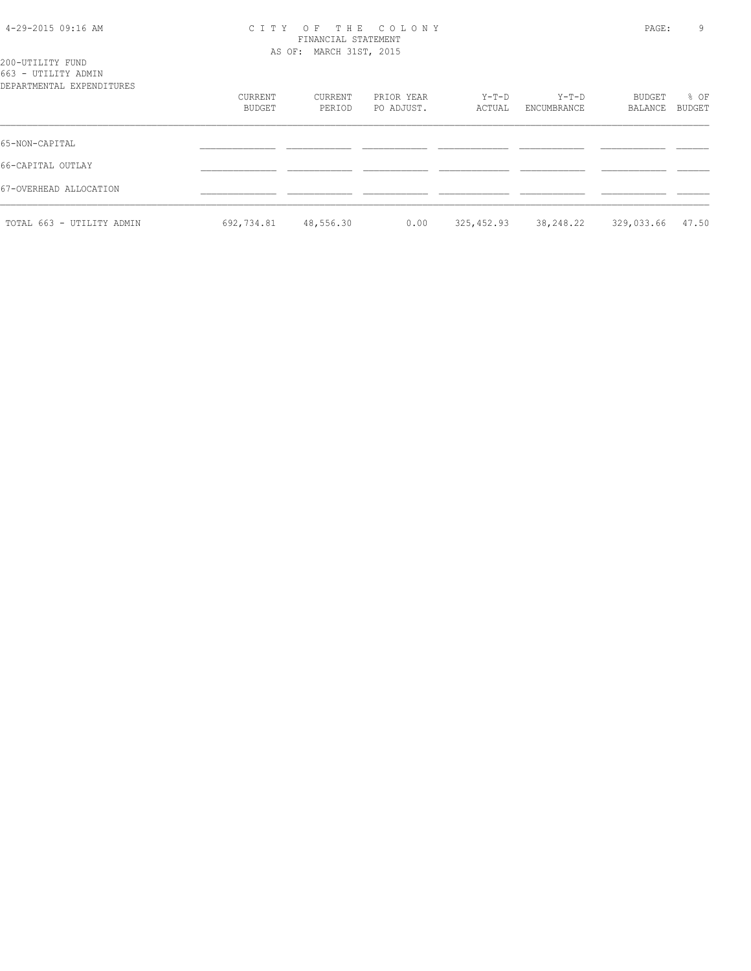### 4-29-2015 09:16 AM C I T Y O F T H E C O L O N Y PAGE: 9 FINANCIAL STATEMENT AS OF: MARCH 31ST, 2015

| 200-UTILITY FUND          |  |
|---------------------------|--|
| 663 - UTILITY ADMIN       |  |
| DEPARTMENTAL EXPENDITURES |  |

| DEPARTMENTAL EXPENDITURES | CURRENT<br>BUDGET | CURRENT<br>PERIOD | PRIOR YEAR<br>PO ADJUST. | Y-T-D<br>ACTUAL | Y-T-D<br>ENCUMBRANCE | BUDGET<br>BALANCE | % OF<br>BUDGET |
|---------------------------|-------------------|-------------------|--------------------------|-----------------|----------------------|-------------------|----------------|
| 65-NON-CAPITAL            |                   |                   |                          |                 |                      |                   |                |
| 66-CAPITAL OUTLAY         |                   |                   |                          |                 |                      |                   |                |
| 67-OVERHEAD ALLOCATION    |                   |                   |                          |                 |                      |                   |                |
| TOTAL 663 - UTILITY ADMIN | 692,734.81        | 48,556.30         | 0.00                     | 325,452.93      | 38,248.22            | 329,033.66        | 47.50          |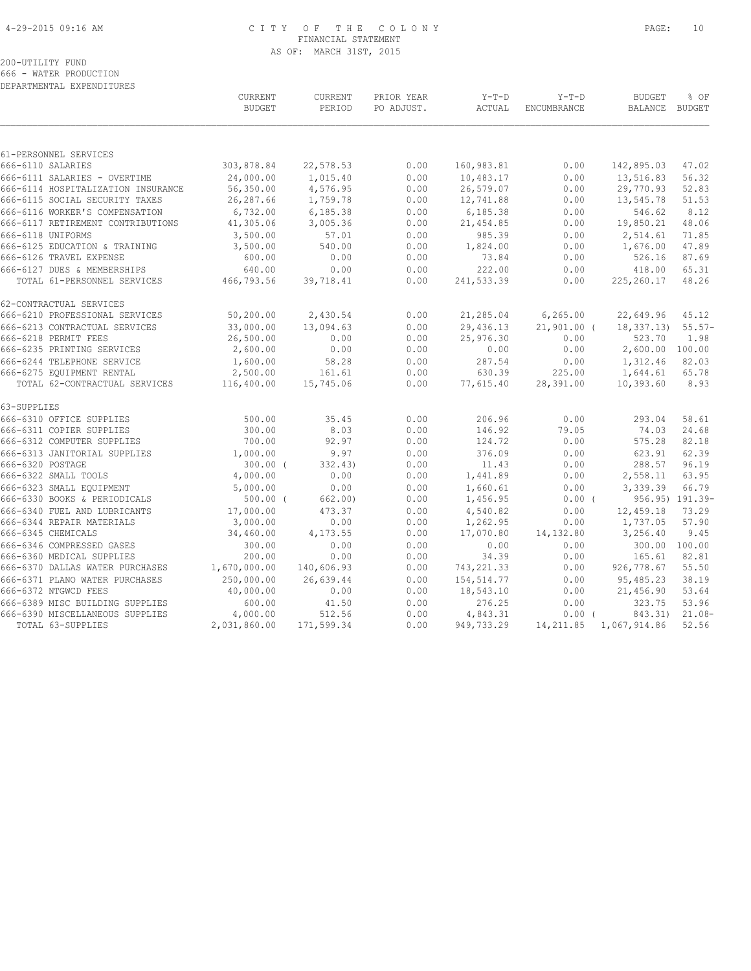# 4-29-2015 09:16 AM C I T Y O F T H E C O L O N Y PAGE: 10 FINANCIAL STATEMENT AS OF: MARCH 31ST, 2015

200-UTILITY FUND 666 - WATER PRODUCTION

DEPARTMENTAL EXPENDITURES

|                                            | CURRENT<br><b>BUDGET</b> | CURRENT<br>PERIOD | PRIOR YEAR<br>PO ADJUST. | $Y-T-D$<br>ACTUAL | $Y-T-D$<br>ENCUMBRANCE | <b>BUDGET</b><br>BALANCE | % OF<br>BUDGET  |
|--------------------------------------------|--------------------------|-------------------|--------------------------|-------------------|------------------------|--------------------------|-----------------|
|                                            |                          |                   |                          |                   |                        |                          |                 |
| 61-PERSONNEL SERVICES<br>666-6110 SALARIES | 303,878.84               | 22,578.53         | 0.00                     | 160,983.81        | 0.00                   | 142,895.03               | 47.02           |
| 666-6111 SALARIES - OVERTIME               | 24,000.00                | 1,015.40          | 0.00                     | 10,483.17         | 0.00                   | 13,516.83                | 56.32           |
| 666-6114 HOSPITALIZATION INSURANCE         | 56,350.00                | 4,576.95          | 0.00                     | 26,579.07         | 0.00                   | 29,770.93                | 52.83           |
| 666-6115 SOCIAL SECURITY TAXES             | 26,287.66                | 1,759.78          | 0.00                     | 12,741.88         | 0.00                   | 13,545.78                | 51.53           |
| 666-6116 WORKER'S COMPENSATION             | 6,732.00                 | 6,185.38          | 0.00                     | 6,185.38          | 0.00                   | 546.62                   | 8.12            |
| 666-6117 RETIREMENT CONTRIBUTIONS          | 41,305.06                | 3,005.36          | 0.00                     | 21,454.85         | 0.00                   | 19,850.21                | 48.06           |
| 666-6118 UNIFORMS                          | 3,500.00                 | 57.01             | 0.00                     | 985.39            | 0.00                   | 2,514.61                 | 71.85           |
| 666-6125 EDUCATION & TRAINING              | 3,500.00                 | 540.00            | 0.00                     | 1,824.00          | 0.00                   | 1,676.00                 | 47.89           |
| 666-6126 TRAVEL EXPENSE                    | 600.00                   | 0.00              | 0.00                     | 73.84             | 0.00                   | 526.16                   | 87.69           |
| 666-6127 DUES & MEMBERSHIPS                | 640.00                   | 0.00              | 0.00                     | 222.00            | 0.00                   | 418.00                   | 65.31           |
| TOTAL 61-PERSONNEL SERVICES                | 466,793.56               | 39,718.41         | 0.00                     | 241,533.39        | 0.00                   | 225, 260.17              | 48.26           |
|                                            |                          |                   |                          |                   |                        |                          |                 |
| 62-CONTRACTUAL SERVICES                    |                          |                   |                          |                   |                        |                          |                 |
| 666-6210 PROFESSIONAL SERVICES             | 50,200.00                | 2,430.54          | 0.00                     | 21,285.04         | 6, 265.00              | 22,649.96                | 45.12           |
| 666-6213 CONTRACTUAL SERVICES              | 33,000.00                | 13,094.63         | 0.00                     | 29,436.13         | $21,901.00$ (          | 18, 337, 13)             | $55.57-$        |
| 666-6218 PERMIT FEES                       | 26,500.00                | 0.00              | 0.00                     | 25,976.30         | 0.00                   | 523.70                   | 1.98            |
| 666-6235 PRINTING SERVICES                 | 2,600.00                 | 0.00              | 0.00                     | 0.00              | 0.00                   | 2,600.00 100.00          |                 |
| 666-6244 TELEPHONE SERVICE                 | 1,600.00                 | 58.28             | 0.00                     | 287.54            | 0.00                   | 1,312.46                 | 82.03           |
| 666-6275 EQUIPMENT RENTAL                  | 2,500.00                 | 161.61            | 0.00                     | 630.39            | 225.00                 | 1,644.61                 | 65.78           |
| TOTAL 62-CONTRACTUAL SERVICES              | 116,400.00               | 15,745.06         | 0.00                     | 77,615.40         | 28,391.00              | 10,393.60                | 8.93            |
| 63-SUPPLIES                                |                          |                   |                          |                   |                        |                          |                 |
| 666-6310 OFFICE SUPPLIES                   | 500.00                   | 35.45             | 0.00                     | 206.96            | 0.00                   | 293.04                   | 58.61           |
| 666-6311 COPIER SUPPLIES                   | 300.00                   | 8.03              | 0.00                     | 146.92            | 79.05                  | 74.03                    | 24.68           |
| 666-6312 COMPUTER SUPPLIES                 | 700.00                   | 92.97             | 0.00                     | 124.72            | 0.00                   | 575.28                   | 82.18           |
| 666-6313 JANITORIAL SUPPLIES               | 1,000.00                 | 9.97              | 0.00                     | 376.09            | 0.00                   | 623.91                   | 62.39           |
| 666-6320 POSTAGE                           | $300.00$ (               | 332.43)           | 0.00                     | 11.43             | 0.00                   | 288.57                   | 96.19           |
| 666-6322 SMALL TOOLS                       | 4,000.00                 | 0.00              | 0.00                     | 1,441.89          | 0.00                   | 2,558.11                 | 63.95           |
| 666-6323 SMALL EQUIPMENT                   | 5,000.00                 | 0.00              | 0.00                     | 1,660.61          | 0.00                   | 3,339.39                 | 66.79           |
| 666-6330 BOOKS & PERIODICALS               | $500.00$ (               | 662.00)           | 0.00                     | 1,456.95          | $0.00$ (               |                          | 956.95) 191.39- |
| 666-6340 FUEL AND LUBRICANTS               | 17,000.00                | 473.37            | 0.00                     | 4,540.82          | 0.00                   | 12,459.18                | 73.29           |
| 666-6344 REPAIR MATERIALS                  | 3,000.00                 | 0.00              | 0.00                     | 1,262.95          | 0.00                   | 1,737.05                 | 57.90           |
| 666-6345 CHEMICALS                         | 34,460.00                | 4,173.55          | 0.00                     | 17,070.80         | 14,132.80              | 3,256.40                 | 9.45            |
| 666-6346 COMPRESSED GASES                  | 300.00                   | 0.00              | 0.00                     | 0.00              | 0.00                   |                          | 300.00 100.00   |
| 666-6360 MEDICAL SUPPLIES                  | 200.00                   | 0.00              | 0.00                     | 34.39             | 0.00                   | 165.61                   | 82.81           |
| 666-6370 DALLAS WATER PURCHASES            | 1,670,000.00             | 140,606.93        | 0.00                     | 743, 221.33       | 0.00                   | 926,778.67               | 55.50           |
| 666-6371 PLANO WATER PURCHASES             | 250,000.00               | 26,639.44         | 0.00                     | 154,514.77        | 0.00                   | 95,485.23                | 38.19           |
| 666-6372 NTGWCD FEES                       | 40,000.00                | 0.00              | 0.00                     | 18,543.10         | 0.00                   | 21,456.90                | 53.64           |
| 666-6389 MISC BUILDING SUPPLIES            | 600.00                   | 41.50             | 0.00                     | 276.25            | 0.00                   | 323.75                   | 53.96           |
| 666-6390 MISCELLANEOUS SUPPLIES            | 4,000.00                 | 512.56            | 0.00                     | 4,843.31          | $0.00$ (               | 843.31)                  | $21.08-$        |
| TOTAL 63-SUPPLIES                          | 2,031,860.00             | 171,599.34        | 0.00                     | 949,733.29        | 14, 211.85             | 1,067,914.86             | 52.56           |
|                                            |                          |                   |                          |                   |                        |                          |                 |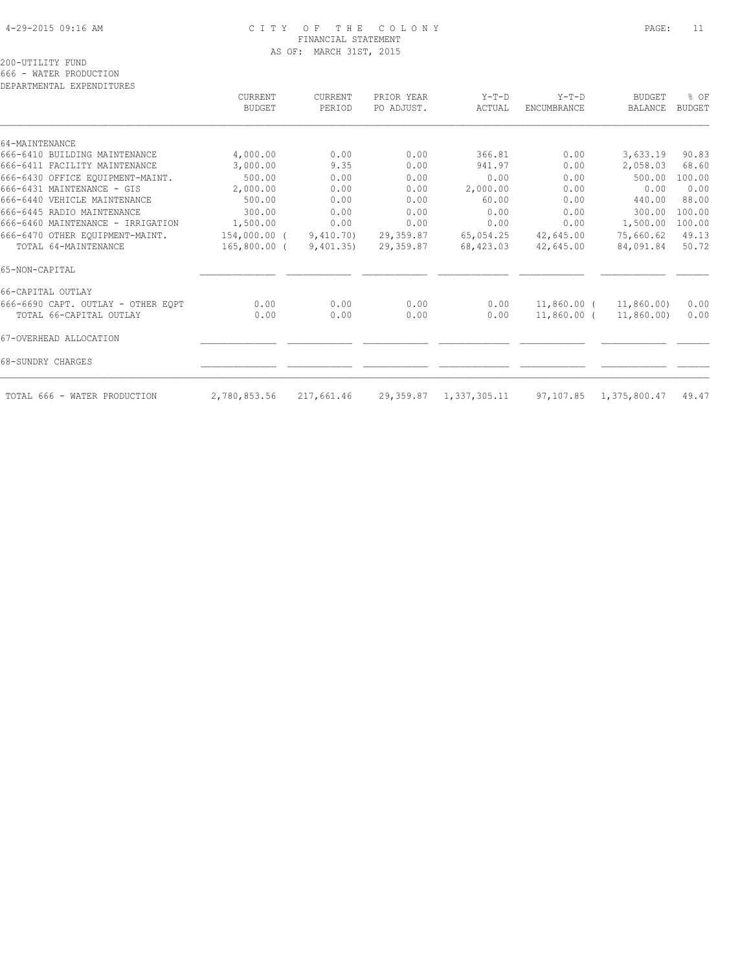# 4-29-2015 09:16 AM C I T Y O F T H E C O L O N Y PAGE: 11 FINANCIAL STATEMENT AS OF: MARCH 31ST, 2015

200-UTILITY FUND

666 - WATER PRODUCTION

| DEPARTMENTAL EXPENDITURES          |                                 |                   |                          |                   |                               |                                 |                       |
|------------------------------------|---------------------------------|-------------------|--------------------------|-------------------|-------------------------------|---------------------------------|-----------------------|
|                                    | <b>CURRENT</b><br><b>BUDGET</b> | CURRENT<br>PERIOD | PRIOR YEAR<br>PO ADJUST. | $Y-T-D$<br>ACTUAL | $Y-T-D$<br><b>ENCUMBRANCE</b> | <b>BUDGET</b><br><b>BALANCE</b> | % OF<br><b>BUDGET</b> |
| 64-MAINTENANCE                     |                                 |                   |                          |                   |                               |                                 |                       |
| 666-6410 BUILDING MAINTENANCE      | 4,000.00                        | 0.00              | 0.00                     | 366.81            | 0.00                          | 3,633.19                        | 90.83                 |
| 666-6411 FACILITY MAINTENANCE      | 3,000.00                        | 9.35              | 0.00                     | 941.97            | 0.00                          | 2,058.03                        | 68.60                 |
| 666-6430 OFFICE EQUIPMENT-MAINT.   | 500.00                          | 0.00              | 0.00                     | 0.00              | 0.00                          | 500.00                          | 100.00                |
| 666-6431 MAINTENANCE - GIS         | 2,000.00                        | 0.00              | 0.00                     | 2,000.00          | 0.00                          | 0.00                            | 0.00                  |
| 666-6440 VEHICLE MAINTENANCE       | 500.00                          | 0.00              | 0.00                     | 60.00             | 0.00                          | 440.00                          | 88.00                 |
| 666-6445 RADIO MAINTENANCE         | 300.00                          | 0.00              | 0.00                     | 0.00              | 0.00                          | 300.00                          | 100.00                |
| 666-6460 MAINTENANCE - IRRIGATION  | 1,500.00                        | 0.00              | 0.00                     | 0.00              | 0.00                          | 1,500.00                        | 100.00                |
| 666-6470 OTHER EOUIPMENT-MAINT.    | 154,000.00 (                    | 9,410.70)         | 29,359.87                | 65,054.25         | 42,645.00                     | 75,660.62                       | 49.13                 |
| TOTAL 64-MAINTENANCE               | $165,800.00$ (                  | 9,401,35)         | 29,359.87                | 68,423.03         | 42,645.00                     | 84,091.84                       | 50.72                 |
| 65-NON-CAPITAL                     |                                 |                   |                          |                   |                               |                                 |                       |
| 66-CAPITAL OUTLAY                  |                                 |                   |                          |                   |                               |                                 |                       |
| 666-6690 CAPT. OUTLAY - OTHER EQPT | 0.00                            | 0.00              | 0.00                     | 0.00              | 11,860.00 (                   | 11,860.00)                      | 0.00                  |
| TOTAL 66-CAPITAL OUTLAY            | 0.00                            | 0.00              | 0.00                     | 0.00              | 11,860.00 (                   | 11,860.00)                      | 0.00                  |
| 67-OVERHEAD ALLOCATION             |                                 |                   |                          |                   |                               |                                 |                       |
| 68-SUNDRY CHARGES                  |                                 |                   |                          |                   |                               |                                 |                       |
| TOTAL 666 - WATER PRODUCTION       | 2,780,853.56                    | 217,661.46        | 29,359.87                | 1,337,305.11      |                               | 97,107.85 1,375,800.47          | 49.47                 |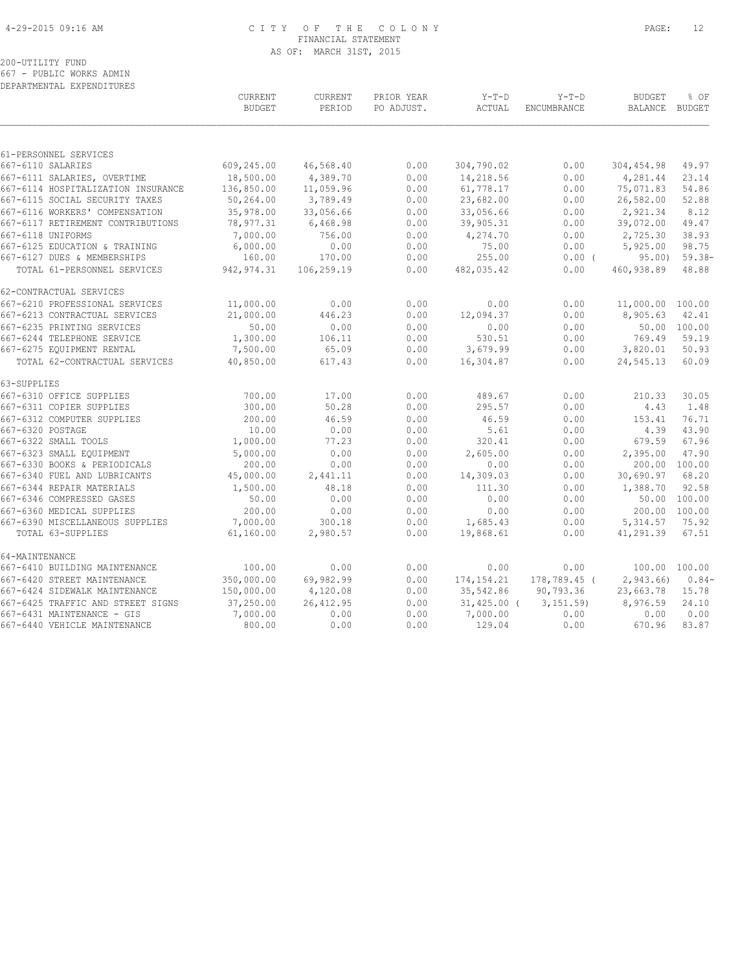# 4-29-2015 09:16 AM C I T Y O F T H E C O L O N Y PAGE: 12 FINANCIAL STATEMENT AS OF: MARCH 31ST, 2015

200-UTILITY FUND

667 - PUBLIC WORKS ADMIN DEPARTMENTAL EXPENDITURES

|                                    | <b>CURRENT</b><br><b>BUDGET</b> | CURRENT<br>PERIOD | PRIOR YEAR<br>PO ADJUST. | $Y-T-D$<br>ACTUAL | $Y-T-D$<br><b>ENCUMBRANCE</b> | <b>BUDGET</b><br><b>BALANCE</b> | % OF<br>BUDGET |
|------------------------------------|---------------------------------|-------------------|--------------------------|-------------------|-------------------------------|---------------------------------|----------------|
|                                    |                                 |                   |                          |                   |                               |                                 |                |
| 61-PERSONNEL SERVICES              |                                 |                   |                          |                   |                               |                                 |                |
| 667-6110 SALARIES                  | 609,245.00                      | 46,568.40         | 0.00                     | 304,790.02        | 0.00                          | 304,454.98                      | 49.97          |
| 667-6111 SALARIES, OVERTIME        | 18,500.00                       | 4,389.70          | 0.00                     | 14,218.56         | 0.00                          | 4,281.44                        | 23.14          |
| 667-6114 HOSPITALIZATION INSURANCE | 136,850.00                      | 11,059.96         | 0.00                     | 61,778.17         | 0.00                          | 75,071.83                       | 54.86          |
| 667-6115 SOCIAL SECURITY TAXES     | 50,264.00                       | 3,789.49          | 0.00                     | 23,682.00         | 0.00                          | 26,582.00                       | 52.88          |
| 667-6116 WORKERS' COMPENSATION     | 35,978.00                       | 33,056.66         | 0.00                     | 33,056.66         | 0.00                          | 2,921.34                        | 8.12           |
| 667-6117 RETIREMENT CONTRIBUTIONS  | 78,977.31                       | 6,468.98          | 0.00                     | 39,905.31         | 0.00                          | 39,072.00                       | 49.47          |
| 667-6118 UNIFORMS                  | 7,000.00                        | 756.00            | 0.00                     | 4,274.70          | 0.00                          | 2,725.30                        | 38.93          |
| 667-6125 EDUCATION & TRAINING      | 6,000.00                        | 0.00              | 0.00                     | 75.00             | 0.00                          | 5,925.00                        | 98.75          |
| 667-6127 DUES & MEMBERSHIPS        | 160.00                          | 170.00            | 0.00                     | 255.00            | $0.00$ (                      | 95.00                           | $59.38 -$      |
| TOTAL 61-PERSONNEL SERVICES        | 942, 974.31                     | 106,259.19        | 0.00                     | 482,035.42        | 0.00                          | 460,938.89                      | 48.88          |
| 62-CONTRACTUAL SERVICES            |                                 |                   |                          |                   |                               |                                 |                |
| 667-6210 PROFESSIONAL SERVICES     | 11,000.00                       | 0.00              | 0.00                     | 0.00              | 0.00                          | 11,000.00 100.00                |                |
| 667-6213 CONTRACTUAL SERVICES      | 21,000.00                       | 446.23            | 0.00                     | 12,094.37         | 0.00                          | 8,905.63                        | 42.41          |
| 667-6235 PRINTING SERVICES         | 50.00                           | 0.00              | 0.00                     | 0.00              | 0.00                          |                                 | 50.00 100.00   |
| 667-6244 TELEPHONE SERVICE         | 1,300.00                        | 106.11            | 0.00                     | 530.51            | 0.00                          | 769.49                          | 59.19          |
| 667-6275 EQUIPMENT RENTAL          | 7,500.00                        | 65.09             | 0.00                     | 3,679.99          | 0.00                          | 3,820.01                        | 50.93          |
| TOTAL 62-CONTRACTUAL SERVICES      | 40,850.00                       | 617.43            | 0.00                     | 16,304.87         | 0.00                          | 24,545.13                       | 60.09          |
| 63-SUPPLIES                        |                                 |                   |                          |                   |                               |                                 |                |
| 667-6310 OFFICE SUPPLIES           | 700.00                          | 17.00             | 0.00                     | 489.67            | 0.00                          | 210.33                          | 30.05          |
| 667-6311 COPIER SUPPLIES           | 300.00                          | 50.28             | 0.00                     | 295.57            | 0.00                          | 4.43                            | 1.48           |
| 667-6312 COMPUTER SUPPLIES         | 200.00                          | 46.59             | 0.00                     | 46.59             | 0.00                          | 153.41                          | 76.71          |
| 667-6320 POSTAGE                   | 10.00                           | 0.00              | 0.00                     | 5.61              | 0.00                          | 4.39                            | 43.90          |
| 667-6322 SMALL TOOLS               | 1,000.00                        | 77.23             | 0.00                     | 320.41            | 0.00                          | 679.59                          | 67.96          |
| 667-6323 SMALL EQUIPMENT           | 5,000.00                        | 0.00              | 0.00                     | 2,605.00          | 0.00                          | 2,395.00                        | 47.90          |
| 667-6330 BOOKS & PERIODICALS       | 200.00                          | 0.00              | 0.00                     | 0.00              | 0.00                          | 200.00 100.00                   |                |
| 667-6340 FUEL AND LUBRICANTS       | 45,000.00                       | 2,441.11          | 0.00                     | 14,309.03         | 0.00                          | 30,690.97                       | 68.20          |
| 667-6344 REPAIR MATERIALS          | 1,500.00                        | 48.18             | 0.00                     | 111.30            | 0.00                          | 1,388.70                        | 92.58          |
| 667-6346 COMPRESSED GASES          | 50.00                           | 0.00              | 0.00                     | 0.00              | 0.00                          |                                 | 50.00 100.00   |
| 667-6360 MEDICAL SUPPLIES          | 200.00                          | 0.00              | 0.00                     | 0.00              | 0.00                          | 200.00 100.00                   |                |
| 667-6390 MISCELLANEOUS SUPPLIES    | 7,000.00                        | 300.18            | 0.00                     | 1,685.43          | 0.00                          | 5,314.57                        | 75.92          |
| TOTAL 63-SUPPLIES                  | 61,160.00                       | 2,980.57          | 0.00                     | 19,868.61         | 0.00                          | 41,291.39                       | 67.51          |
| 64-MAINTENANCE                     |                                 |                   |                          |                   |                               |                                 |                |
| 667-6410 BUILDING MAINTENANCE      | 100.00                          | 0.00              | 0.00                     | 0.00              | 0.00                          | 100.00 100.00                   |                |
| 667-6420 STREET MAINTENANCE        | 350,000.00                      | 69,982.99         | 0.00                     | 174, 154. 21      | 178,789.45 (                  | 2,943.66)                       | $0.84-$        |
| 667-6424 SIDEWALK MAINTENANCE      | 150,000.00                      | 4,120.08          | 0.00                     | 35,542.86         | 90,793.36                     | 23,663.78                       | 15.78          |
| 667-6425 TRAFFIC AND STREET SIGNS  | 37,250.00                       | 26, 412.95        | 0.00                     | $31,425.00$ (     | 3, 151.59                     | 8,976.59                        | 24.10          |
| 667-6431 MAINTENANCE - GIS         | 7,000.00                        | 0.00              | 0.00                     | 7,000.00          | 0.00                          | 0.00                            | 0.00           |
| 667-6440 VEHICLE MAINTENANCE       | 800.00                          | 0.00              | 0.00                     | 129.04            | 0.00                          | 670.96                          | 83.87          |
|                                    |                                 |                   |                          |                   |                               |                                 |                |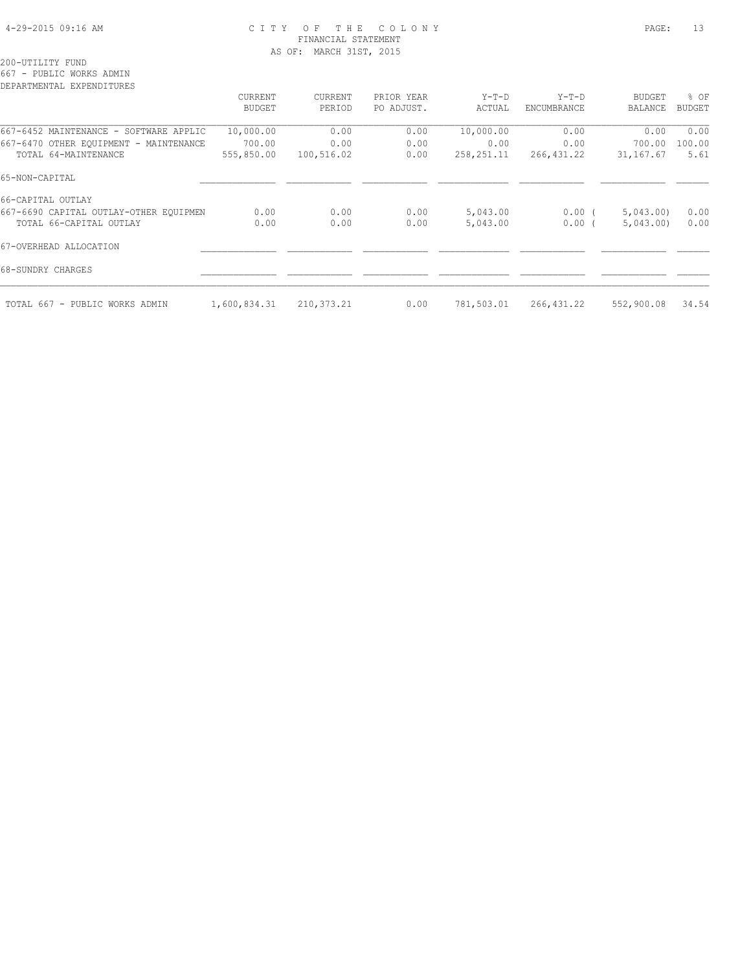## 4-29-2015 09:16 AM C I T Y O F T H E C O L O N Y PAGE: 13 FINANCIAL STATEMENT AS OF: MARCH 31ST, 2015

200-UTILITY FUND

667 - PUBLIC WORKS ADMIN

| DEPARTMENTAL EXPENDITURES              |               |              |            |              |             |               |               |
|----------------------------------------|---------------|--------------|------------|--------------|-------------|---------------|---------------|
|                                        | CURRENT       | CURRENT      | PRIOR YEAR | $Y-T-D$      | $Y-T-D$     | <b>BUDGET</b> | % OF          |
|                                        | <b>BUDGET</b> | PERIOD       | PO ADJUST. | ACTUAL       | ENCUMBRANCE | BALANCE       | <b>BUDGET</b> |
| 667-6452 MAINTENANCE - SOFTWARE APPLIC | 10,000.00     | 0.00         | 0.00       | 10,000.00    | 0.00        | 0.00          | 0.00          |
| 667-6470 OTHER EQUIPMENT - MAINTENANCE | 700.00        | 0.00         | 0.00       | 0.00         | 0.00        | 700.00        | 100.00        |
| TOTAL 64-MAINTENANCE                   | 555,850.00    | 100,516.02   | 0.00       | 258, 251. 11 | 266,431.22  | 31, 167.67    | 5.61          |
| 65-NON-CAPITAL                         |               |              |            |              |             |               |               |
| 66-CAPITAL OUTLAY                      |               |              |            |              |             |               |               |
| 667-6690 CAPITAL OUTLAY-OTHER EQUIPMEN | 0.00          | 0.00         | 0.00       | 5,043.00     | $0.00$ (    | 5,043.00      | 0.00          |
| TOTAL 66-CAPITAL OUTLAY                | 0.00          | 0.00         | 0.00       | 5,043.00     | $0.00$ (    | 5,043.00      | 0.00          |
| 67-OVERHEAD ALLOCATION                 |               |              |            |              |             |               |               |
| 68-SUNDRY CHARGES                      |               |              |            |              |             |               |               |
| TOTAL 667 - PUBLIC WORKS ADMIN         | 1,600,834.31  | 210, 373. 21 | 0.00       | 781,503.01   | 266, 431.22 | 552,900.08    | 34.54         |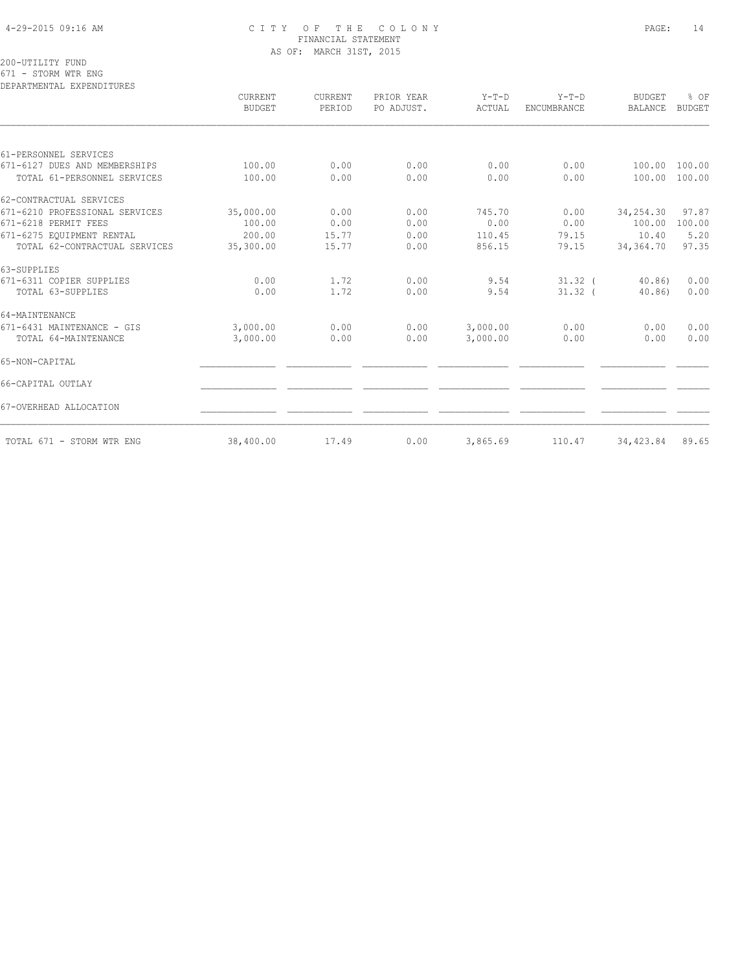# 4-29-2015 09:16 AM C I T Y O F T H E C O L O N Y PAGE: 14 FINANCIAL STATEMENT AS OF: MARCH 31ST, 2015

200-UTILITY FUND

671 - STORM WTR ENG

| DEPARTMENTAL EXPENDITURES      |                          |                          |                          |                   |                        |                                 |                       |
|--------------------------------|--------------------------|--------------------------|--------------------------|-------------------|------------------------|---------------------------------|-----------------------|
|                                | CURRENT<br><b>BUDGET</b> | <b>CURRENT</b><br>PERIOD | PRIOR YEAR<br>PO ADJUST. | $Y-T-D$<br>ACTUAL | $Y-T-D$<br>ENCUMBRANCE | <b>BUDGET</b><br><b>BALANCE</b> | % OF<br><b>BUDGET</b> |
|                                |                          |                          |                          |                   |                        |                                 |                       |
| 61-PERSONNEL SERVICES          |                          |                          |                          |                   |                        |                                 |                       |
| 671-6127 DUES AND MEMBERSHIPS  | 100.00                   | 0.00                     | 0.00                     | 0.00              | 0.00                   | 100.00                          | 100.00                |
| TOTAL 61-PERSONNEL SERVICES    | 100.00                   | 0.00                     | 0.00                     | 0.00              | 0.00                   | 100.00                          | 100.00                |
| 62-CONTRACTUAL SERVICES        |                          |                          |                          |                   |                        |                                 |                       |
| 671-6210 PROFESSIONAL SERVICES | 35,000.00                | 0.00                     | 0.00                     | 745.70            | 0.00                   | 34,254.30                       | 97.87                 |
| 671-6218 PERMIT FEES           | 100.00                   | 0.00                     | 0.00                     | 0.00              | 0.00                   | 100.00                          | 100.00                |
| 671-6275 EQUIPMENT RENTAL      | 200.00                   | 15.77                    | 0.00                     | 110.45            | 79.15                  | 10.40                           | 5.20                  |
| TOTAL 62-CONTRACTUAL SERVICES  | 35,300.00                | 15.77                    | 0.00                     | 856.15            | 79.15                  | 34,364.70                       | 97.35                 |
| 63-SUPPLIES                    |                          |                          |                          |                   |                        |                                 |                       |
| 671-6311 COPIER SUPPLIES       | 0.00                     | 1.72                     | 0.00                     | 9.54              | $31.32$ (              | 40.86                           | 0.00                  |
| TOTAL 63-SUPPLIES              | 0.00                     | 1.72                     | 0.00                     | 9.54              | $31.32$ (              | 40.86)                          | 0.00                  |
| 64-MAINTENANCE                 |                          |                          |                          |                   |                        |                                 |                       |
| 671-6431 MAINTENANCE - GIS     | 3,000.00                 | 0.00                     | 0.00                     | 3,000.00          | 0.00                   | 0.00                            | 0.00                  |
| TOTAL 64-MAINTENANCE           | 3,000.00                 | 0.00                     | 0.00                     | 3,000.00          | 0.00                   | 0.00                            | 0.00                  |
| 65-NON-CAPITAL                 |                          |                          |                          |                   |                        |                                 |                       |
| 66-CAPITAL OUTLAY              |                          |                          |                          |                   |                        |                                 |                       |
| 67-OVERHEAD ALLOCATION         |                          |                          |                          |                   |                        |                                 |                       |
| TOTAL 671 - STORM WTR ENG      | 38,400.00                | 17.49                    | 0.00                     | 3,865.69          | 110.47                 | 34,423.84                       | 89.65                 |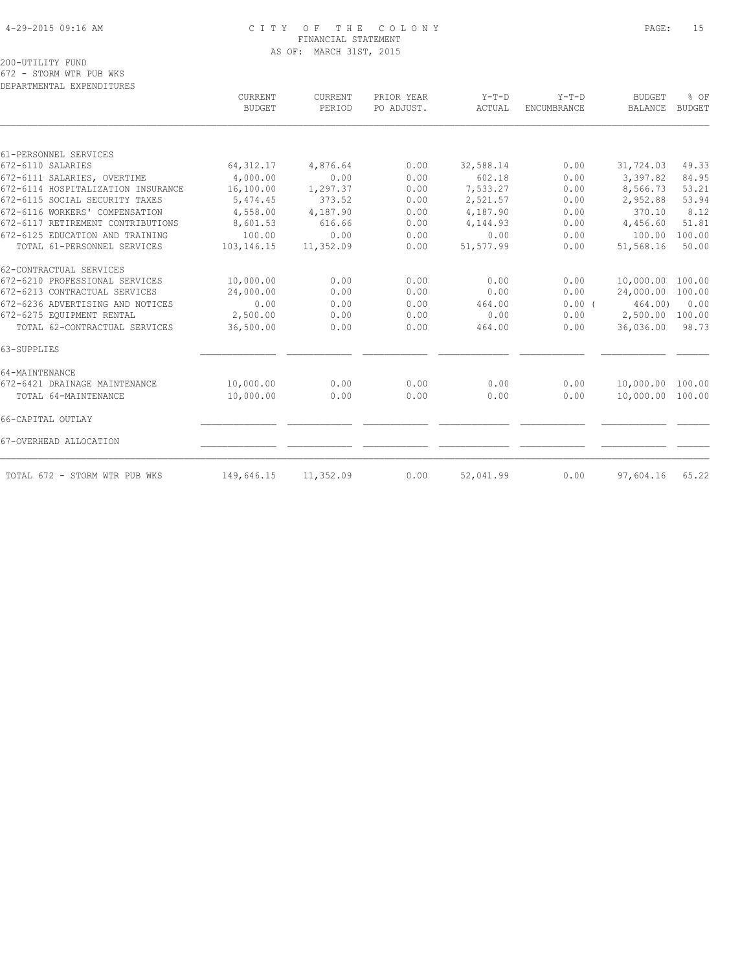# 4-29-2015 09:16 AM C I T Y O F T H E C O L O N Y PAGE: 15 FINANCIAL STATEMENT AS OF: MARCH 31ST, 2015

200-UTILITY FUND

672 - STORM WTR PUB WKS DEPARTMENTAL EXPENDITURES

|                                    | CURRENT<br><b>BUDGET</b> | <b>CURRENT</b><br>PERIOD | PRIOR YEAR<br>PO ADJUST. | $Y-T-D$<br>ACTUAL | $Y-T-D$<br><b>ENCUMBRANCE</b> | <b>BUDGET</b><br>BALANCE | % OF<br><b>BUDGET</b> |
|------------------------------------|--------------------------|--------------------------|--------------------------|-------------------|-------------------------------|--------------------------|-----------------------|
|                                    |                          |                          |                          |                   |                               |                          |                       |
| 61-PERSONNEL SERVICES              |                          |                          |                          |                   |                               |                          |                       |
| 672-6110 SALARIES                  | 64, 312.17               | 4,876.64                 | 0.00                     | 32,588.14         | 0.00                          | 31,724.03                | 49.33                 |
| 672-6111 SALARIES, OVERTIME        | 4,000.00                 | 0.00                     | 0.00                     | 602.18            | 0.00                          | 3,397.82                 | 84.95                 |
| 672-6114 HOSPITALIZATION INSURANCE | 16,100.00                | 1,297.37                 | 0.00                     | 7,533.27          | 0.00                          | 8,566.73                 | 53.21                 |
| 672-6115 SOCIAL SECURITY TAXES     | 5,474.45                 | 373.52                   | 0.00                     | 2,521.57          | 0.00                          | 2,952.88                 | 53.94                 |
| 672-6116 WORKERS' COMPENSATION     | 4,558.00                 | 4,187.90                 | 0.00                     | 4,187.90          | 0.00                          | 370.10                   | 8.12                  |
| 672-6117 RETIREMENT CONTRIBUTIONS  | 8,601.53                 | 616.66                   | 0.00                     | 4,144.93          | 0.00                          | 4,456.60                 | 51.81                 |
| 672-6125 EDUCATION AND TRAINING    | 100.00                   | 0.00                     | 0.00                     | 0.00              | 0.00                          | 100.00                   | 100.00                |
| TOTAL 61-PERSONNEL SERVICES        | 103,146.15               | 11,352.09                | 0.00                     | 51,577.99         | 0.00                          | 51,568.16                | 50.00                 |
| 62-CONTRACTUAL SERVICES            |                          |                          |                          |                   |                               |                          |                       |
| 672-6210 PROFESSIONAL SERVICES     | 10,000.00                | 0.00                     | 0.00                     | 0.00              | 0.00                          | 10,000.00                | 100.00                |
| 672-6213 CONTRACTUAL SERVICES      | 24,000.00                | 0.00                     | 0.00                     | 0.00              | 0.00                          | 24,000.00                | 100.00                |
| 672-6236 ADVERTISING AND NOTICES   | 0.00                     | 0.00                     | 0.00                     | 464.00            | 0.00(                         | 464.00                   | 0.00                  |
| 672-6275 EQUIPMENT RENTAL          | 2,500.00                 | 0.00                     | 0.00                     | 0.00              | 0.00                          | 2,500.00                 | 100.00                |
| TOTAL 62-CONTRACTUAL SERVICES      | 36,500.00                | 0.00                     | 0.00                     | 464.00            | 0.00                          | 36,036.00                | 98.73                 |
| 63-SUPPLIES                        |                          |                          |                          |                   |                               |                          |                       |
| 64-MAINTENANCE                     |                          |                          |                          |                   |                               |                          |                       |
| 672-6421 DRAINAGE MAINTENANCE      | 10,000.00                | 0.00                     | 0.00                     | 0.00              | 0.00                          | 10,000.00                | 100.00                |
| TOTAL 64-MAINTENANCE               | 10,000.00                | 0.00                     | 0.00                     | 0.00              | 0.00                          | 10,000.00                | 100.00                |
| 66-CAPITAL OUTLAY                  |                          |                          |                          |                   |                               |                          |                       |
| 67-OVERHEAD ALLOCATION             |                          |                          |                          |                   |                               |                          |                       |
| TOTAL 672 - STORM WTR PUB WKS      | 149,646.15               | 11,352.09                | 0.00                     | 52,041.99         | 0.00                          | 97,604.16                | 65.22                 |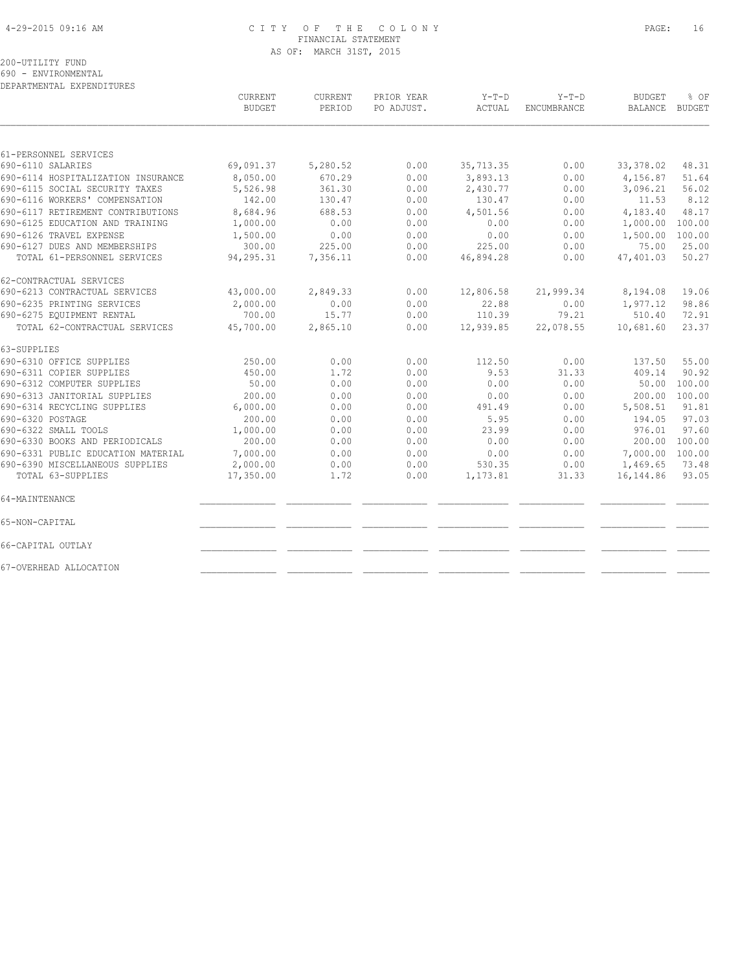### 4-29-2015 09:16 AM C I T Y O F T H E C O L O N Y PAGE: 16 FINANCIAL STATEMENT AS OF: MARCH 31ST, 2015

200-UTILITY FUND

690 - ENVIRONMENTAL

DEPARTMENTAL EXPENDITURES

 CURRENT CURRENT PRIOR YEAR Y-T-D Y-T-D BUDGET % OF BUDGET PERIOD PO ADJUST. ACTUAL ENCUMBRANCE BALANCE BUDGET  $\mathcal{L} = \{ \mathcal{L} = \{ \mathcal{L} = \{ \mathcal{L} = \{ \mathcal{L} = \{ \mathcal{L} = \{ \mathcal{L} = \{ \mathcal{L} = \{ \mathcal{L} = \{ \mathcal{L} = \{ \mathcal{L} = \{ \mathcal{L} = \{ \mathcal{L} = \{ \mathcal{L} = \{ \mathcal{L} = \{ \mathcal{L} = \{ \mathcal{L} = \{ \mathcal{L} = \{ \mathcal{L} = \{ \mathcal{L} = \{ \mathcal{L} = \{ \mathcal{L} = \{ \mathcal{L} = \{ \mathcal{L} = \{ \mathcal{$ 61-PERSONNEL SERVICES 690-6110 SALARIES 69,091.37 5,280.52 0.00 35,713.35 0.00 33,378.02 48.31 690-6114 HOSPITALIZATION INSURANCE 8,050.00 670.29 0.00 3,893.13 0.00 4,156.87 51.64 690-6115 SOCIAL SECURITY TAXES 5,526.98 361.30 0.00 2,430.77 0.00 3,096.21 56.02 690-6116 WORKERS' COMPENSATION 142.00 130.47 0.00 130.47 0.00 11.53 8.12 690-6117 RETIREMENT CONTRIBUTIONS 8,684.96 688.53 0.00 4,501.56 0.00 4,183.40 48.17 690-6125 EDUCATION AND TRAINING 1,000.00 0.00 0.00 0.00 0.00 1,000.00 100.00 690-6126 TRAVEL EXPENSE 1,500.00 0.00 0.00 0.00 0.00 1,500.00 100.00 690-6127 DUES AND MEMBERSHIPS 300.00 225.00 0.00 225.00 0.00 75.00 25.00 TOTAL 61-PERSONNEL SERVICES 94,295.31 7,356.11 0.00 46,894.28 0.00 47,401.03 50.27 62-CONTRACTUAL SERVICES 690-6213 CONTRACTUAL SERVICES 43,000.00 2,849.33 0.00 12,806.58 21,999.34 8,194.08 19.06 690-6235 PRINTING SERVICES 2,000.00 0.00 0.00 22.88 0.00 1,977.12 98.86 690-6275 EQUIPMENT RENTAL 700.00 15.77 0.00 110.39 79.21 510.40 72.91 TOTAL 62-CONTRACTUAL SERVICES 45,700.00 2,865.10 0.00 12,939.85 22,078.55 10,681.60 23.37 63-SUPPLIES 690-6310 OFFICE SUPPLIES 250.00 0.00 0.00 112.50 0.00 137.50 55.00 690-6311 COPIER SUPPLIES 450.00 1.72 0.00 9.53 31.33 409.14 90.92 690-6312 COMPUTER SUPPLIES 50.00 0.00 0.00 0.00 0.00 50.00 100.00 690-6313 JANITORIAL SUPPLIES 200.00 0.00 0.00 0.00 0.00 200.00 100.00 690-6314 RECYCLING SUPPLIES 6,000.00 0.00 0.00 491.49 0.00 5,508.51 91.81 690-6320 POSTAGE 200.00 0.00 0.00 5.95 0.00 194.05 97.03 690-6322 SMALL TOOLS 1,000.00 0.00 0.00 23.99 0.00 976.01 97.60 690-6330 BOOKS AND PERIODICALS 200.00 0.00 0.00 0.00 0.00 200.00 100.00 690-6331 PUBLIC EDUCATION MATERIAL 7,000.00 0.00 0.00 0.00 0.00 7,000.00 100.00 690-6390 MISCELLANEOUS SUPPLIES 2,000.00 0.00 0.00 530.35 0.00 1,469.65 73.48 TOTAL 63-SUPPLIES 17,350.00 1.72 0.00 1,173.81 31.33 16,144.86 93.05 64-MAINTENANCE \_\_\_\_\_\_\_\_\_\_\_\_\_\_ \_\_\_\_\_\_\_\_\_\_\_\_ \_\_\_\_\_\_\_\_\_\_\_\_ \_\_\_\_\_\_\_\_\_\_\_\_\_ \_\_\_\_\_\_\_\_\_\_\_\_ \_\_\_\_\_\_\_\_\_\_\_\_ \_\_\_\_\_\_ 65-NON-CAPITAL \_\_\_\_\_\_\_\_\_\_\_\_\_\_ \_\_\_\_\_\_\_\_\_\_\_\_ \_\_\_\_\_\_\_\_\_\_\_\_ \_\_\_\_\_\_\_\_\_\_\_\_\_ \_\_\_\_\_\_\_\_\_\_\_\_ \_\_\_\_\_\_\_\_\_\_\_\_ \_\_\_\_\_\_ 66-CAPITAL OUTLAY \_\_\_\_\_\_\_\_\_\_\_\_\_\_ \_\_\_\_\_\_\_\_\_\_\_\_ \_\_\_\_\_\_\_\_\_\_\_\_ \_\_\_\_\_\_\_\_\_\_\_\_\_ \_\_\_\_\_\_\_\_\_\_\_\_ \_\_\_\_\_\_\_\_\_\_\_\_ \_\_\_\_\_\_ 67-OVERHEAD ALLOCATION \_\_\_\_\_\_\_\_\_\_\_\_\_\_ \_\_\_\_\_\_\_\_\_\_\_\_ \_\_\_\_\_\_\_\_\_\_\_\_ \_\_\_\_\_\_\_\_\_\_\_\_\_ \_\_\_\_\_\_\_\_\_\_\_\_ \_\_\_\_\_\_\_\_\_\_\_\_ \_\_\_\_\_\_